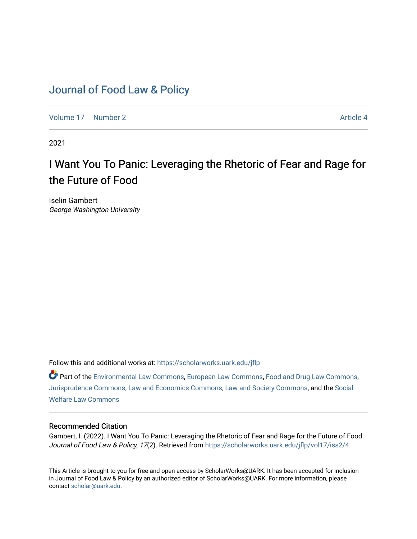## [Journal of Food Law & Policy](https://scholarworks.uark.edu/jflp)

[Volume 17](https://scholarworks.uark.edu/jflp/vol17) | [Number 2](https://scholarworks.uark.edu/jflp/vol17/iss2) Article 4

2021

# I Want You To Panic: Leveraging the Rhetoric of Fear and Rage for the Future of Food

Iselin Gambert George Washington University

Follow this and additional works at: [https://scholarworks.uark.edu/jflp](https://scholarworks.uark.edu/jflp?utm_source=scholarworks.uark.edu%2Fjflp%2Fvol17%2Fiss2%2F4&utm_medium=PDF&utm_campaign=PDFCoverPages) 

Part of the [Environmental Law Commons](http://network.bepress.com/hgg/discipline/599?utm_source=scholarworks.uark.edu%2Fjflp%2Fvol17%2Fiss2%2F4&utm_medium=PDF&utm_campaign=PDFCoverPages), [European Law Commons](http://network.bepress.com/hgg/discipline/1084?utm_source=scholarworks.uark.edu%2Fjflp%2Fvol17%2Fiss2%2F4&utm_medium=PDF&utm_campaign=PDFCoverPages), [Food and Drug Law Commons](http://network.bepress.com/hgg/discipline/844?utm_source=scholarworks.uark.edu%2Fjflp%2Fvol17%2Fiss2%2F4&utm_medium=PDF&utm_campaign=PDFCoverPages), [Jurisprudence Commons](http://network.bepress.com/hgg/discipline/610?utm_source=scholarworks.uark.edu%2Fjflp%2Fvol17%2Fiss2%2F4&utm_medium=PDF&utm_campaign=PDFCoverPages), [Law and Economics Commons](http://network.bepress.com/hgg/discipline/612?utm_source=scholarworks.uark.edu%2Fjflp%2Fvol17%2Fiss2%2F4&utm_medium=PDF&utm_campaign=PDFCoverPages), [Law and Society Commons,](http://network.bepress.com/hgg/discipline/853?utm_source=scholarworks.uark.edu%2Fjflp%2Fvol17%2Fiss2%2F4&utm_medium=PDF&utm_campaign=PDFCoverPages) and the [Social](http://network.bepress.com/hgg/discipline/878?utm_source=scholarworks.uark.edu%2Fjflp%2Fvol17%2Fiss2%2F4&utm_medium=PDF&utm_campaign=PDFCoverPages) [Welfare Law Commons](http://network.bepress.com/hgg/discipline/878?utm_source=scholarworks.uark.edu%2Fjflp%2Fvol17%2Fiss2%2F4&utm_medium=PDF&utm_campaign=PDFCoverPages)

## Recommended Citation

Gambert, I. (2022). I Want You To Panic: Leveraging the Rhetoric of Fear and Rage for the Future of Food. Journal of Food Law & Policy, 17(2). Retrieved from [https://scholarworks.uark.edu/jflp/vol17/iss2/4](https://scholarworks.uark.edu/jflp/vol17/iss2/4?utm_source=scholarworks.uark.edu%2Fjflp%2Fvol17%2Fiss2%2F4&utm_medium=PDF&utm_campaign=PDFCoverPages) 

This Article is brought to you for free and open access by ScholarWorks@UARK. It has been accepted for inclusion in Journal of Food Law & Policy by an authorized editor of ScholarWorks@UARK. For more information, please contact [scholar@uark.edu.](mailto:scholar@uark.edu)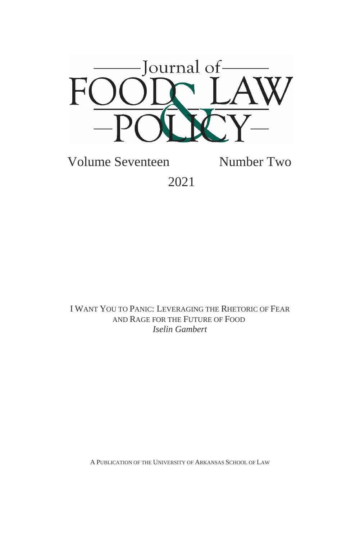

Volume Seventeen Number Two 2021

I WANT YOU TO PANIC: LEVERAGING THE RHETORIC OF FEAR AND RAGE FOR THE FUTURE OF FOOD *Iselin Gambert*

A PUBLICATION OF THE UNIVERSITY OF ARKANSAS SCHOOL OF LAW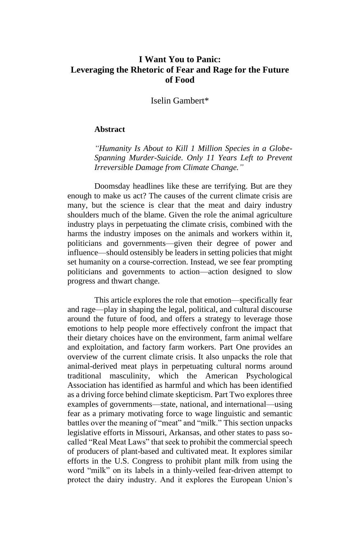## **I Want You to Panic: Leveraging the Rhetoric of Fear and Rage for the Future of Food**

Iselin Gambert\*

#### **Abstract**

*"Humanity Is About to Kill 1 Million Species in a Globe-Spanning Murder-Suicide. Only 11 Years Left to Prevent Irreversible Damage from Climate Change."*

Doomsday headlines like these are terrifying. But are they enough to make us act? The causes of the current climate crisis are many, but the science is clear that the meat and dairy industry shoulders much of the blame. Given the role the animal agriculture industry plays in perpetuating the climate crisis, combined with the harms the industry imposes on the animals and workers within it, politicians and governments—given their degree of power and influence—should ostensibly be leaders in setting policies that might set humanity on a course-correction. Instead, we see fear prompting politicians and governments to action—action designed to slow progress and thwart change.

This article explores the role that emotion—specifically fear and rage—play in shaping the legal, political, and cultural discourse around the future of food, and offers a strategy to leverage those emotions to help people more effectively confront the impact that their dietary choices have on the environment, farm animal welfare and exploitation, and factory farm workers. Part One provides an overview of the current climate crisis. It also unpacks the role that animal-derived meat plays in perpetuating cultural norms around traditional masculinity, which the American Psychological Association has identified as harmful and which has been identified as a driving force behind climate skepticism. Part Two explores three examples of governments—state, national, and international—using fear as a primary motivating force to wage linguistic and semantic battles over the meaning of "meat" and "milk." This section unpacks legislative efforts in Missouri, Arkansas, and other states to pass socalled "Real Meat Laws" that seek to prohibit the commercial speech of producers of plant-based and cultivated meat. It explores similar efforts in the U.S. Congress to prohibit plant milk from using the word "milk" on its labels in a thinly-veiled fear-driven attempt to protect the dairy industry. And it explores the European Union's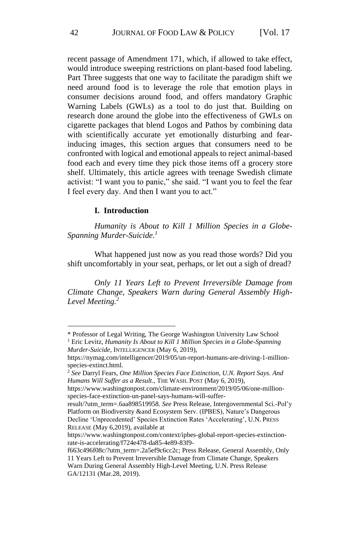recent passage of Amendment 171, which, if allowed to take effect, would introduce sweeping restrictions on plant-based food labeling. Part Three suggests that one way to facilitate the paradigm shift we need around food is to leverage the role that emotion plays in consumer decisions around food, and offers mandatory Graphic Warning Labels (GWLs) as a tool to do just that. Building on research done around the globe into the effectiveness of GWLs on cigarette packages that blend Logos and Pathos by combining data with scientifically accurate yet emotionally disturbing and fearinducing images, this section argues that consumers need to be confronted with logical and emotional appeals to reject animal-based food each and every time they pick those items off a grocery store shelf. Ultimately, this article agrees with teenage Swedish climate activist: "I want you to panic," she said. "I want you to feel the fear I feel every day. And then I want you to act."

#### **I. Introduction**

*Humanity is About to Kill 1 Million Species in a Globe-Spanning Murder-Suicide.<sup>1</sup>*

What happened just now as you read those words? Did you shift uncomfortably in your seat, perhaps, or let out a sigh of dread?

*Only 11 Years Left to Prevent Irreversible Damage from Climate Change, Speakers Warn during General Assembly High-Level Meeting.<sup>2</sup>*

<sup>\*</sup> Professor of Legal Writing, The George Washington University Law School

<sup>1</sup> Eric Levitz, *Humanity Is About to Kill 1 Million Species in a Globe-Spanning Murder-Suicide*, INTELLIGENCER (May 6, 2019),

https://nymag.com/intelligencer/2019/05/un-report-humans-are-driving-1-millionspecies-extinct.html.

<sup>2</sup> *See* Darryl Fears, *One Million Species Face Extinction, U.N. Report Says. And Humans Will Suffer as a Result.*, THE WASH. POST (May 6, 2019),

https://www.washingtonpost.com/climate-environment/2019/05/06/one-millionspecies-face-extinction-un-panel-says-humans-will-suffer-

result/?utm\_term=.6aa898519958. *See* Press Release, Intergovernmental Sci.-Pol'y Platform on Biodiversity &and Ecosystem Serv. (IPBES), Nature's Dangerous Decline 'Unprecedented' Species Extinction Rates 'Accelerating', U.N. PRESS RELEASE (May 6,2019), available at

https://www.washingtonpost.com/context/ipbes-global-report-species-extinctionrate-is-accelerating/f724e478-da85-4e89-83f9-

f663c496f08c/?utm\_term=.2a5ef9c6cc2c; Press Release, General Assembly, Only 11 Years Left to Prevent Irreversible Damage from Climate Change, Speakers Warn During General Assembly High-Level Meeting, U.N. Press Release GA/12131 (Mar.28, 2019).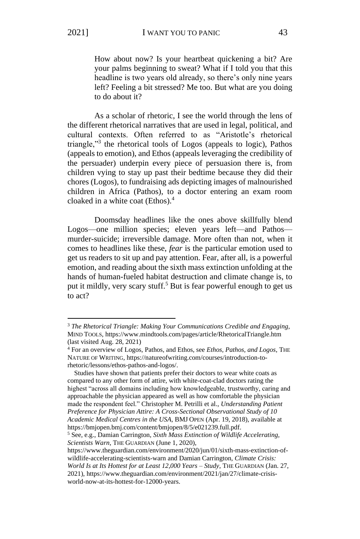How about now? Is your heartbeat quickening a bit? Are your palms beginning to sweat? What if I told you that this headline is two years old already, so there's only nine years left? Feeling a bit stressed? Me too. But what are you doing to do about it?

As a scholar of rhetoric, I see the world through the lens of the different rhetorical narratives that are used in legal, political, and cultural contexts. Often referred to as "Aristotle's rhetorical triangle,"<sup>3</sup> the rhetorical tools of Logos (appeals to logic), Pathos (appeals to emotion), and Ethos (appeals leveraging the credibility of the persuader) underpin every piece of persuasion there is, from children vying to stay up past their bedtime because they did their chores (Logos), to fundraising ads depicting images of malnourished children in Africa (Pathos), to a doctor entering an exam room cloaked in a white coat (Ethos).<sup>4</sup>

Doomsday headlines like the ones above skillfully blend Logos—one million species; eleven years left—and Pathos murder-suicide; irreversible damage. More often than not, when it comes to headlines like these, *fear* is the particular emotion used to get us readers to sit up and pay attention. Fear, after all, is a powerful emotion, and reading about the sixth mass extinction unfolding at the hands of human-fueled habitat destruction and climate change is, to put it mildly, very scary stuff.<sup>5</sup> But is fear powerful enough to get us to act?

 Studies have shown that patients prefer their doctors to wear white coats as compared to any other form of attire, with white-coat-clad doctors rating the highest "across all domains including how knowledgeable, trustworthy, caring and approachable the physician appeared as well as how comfortable the physician made the respondent feel." Christopher M. Petrilli et al., *Understanding Patient Preference for Physician Attire: A Cross-Sectional Observational Study of 10 Academic Medical Centres in the USA*, BMJ OPEN (Apr. 19, 2018), available at https://bmjopen.bmj.com/content/bmjopen/8/5/e021239.full.pdf.

<sup>5</sup> See, e.g., Damian Carrington, *Sixth Mass Extinction of Wildlife Accelerating, Scientists Warn*, THE GUARDIAN (June 1, 2020),

<sup>3</sup> *The Rhetorical Triangle: Making Your Communications Credible and Engaging*, MIND TOOLS, https://www.mindtools.com/pages/article/RhetoricalTriangle.htm (last visited Aug. 28, 2021)

<sup>4</sup> For an overview of Logos, Pathos, and Ethos, see *Ethos, Pathos, and Logos*, THE NATURE OF WRITING, https://natureofwriting.com/courses/introduction-torhetoric/lessons/ethos-pathos-and-logos/.

https://www.theguardian.com/environment/2020/jun/01/sixth-mass-extinction-ofwildlife-accelerating-scientists-warn and Damian Carrington, *Climate Crisis: World Is at Its Hottest for at Least 12,000 Years – Study*, THE GUARDIAN (Jan. 27,

<sup>2021),</sup> https://www.theguardian.com/environment/2021/jan/27/climate-crisisworld-now-at-its-hottest-for-12000-years.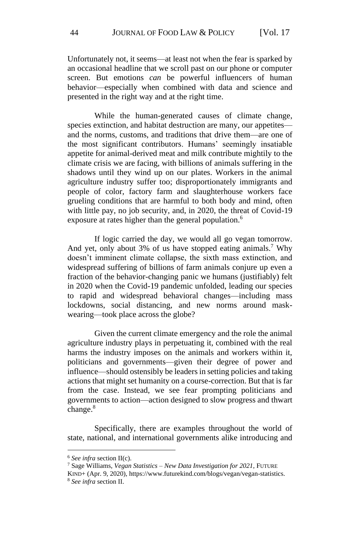Unfortunately not, it seems—at least not when the fear is sparked by an occasional headline that we scroll past on our phone or computer screen. But emotions *can* be powerful influencers of human behavior—especially when combined with data and science and presented in the right way and at the right time.

While the human-generated causes of climate change, species extinction, and habitat destruction are many, our appetites and the norms, customs, and traditions that drive them—are one of the most significant contributors. Humans' seemingly insatiable appetite for animal-derived meat and milk contribute mightily to the climate crisis we are facing, with billions of animals suffering in the shadows until they wind up on our plates. Workers in the animal agriculture industry suffer too; disproportionately immigrants and people of color, factory farm and slaughterhouse workers face grueling conditions that are harmful to both body and mind, often with little pay, no job security, and, in 2020, the threat of Covid-19 exposure at rates higher than the general population.<sup>6</sup>

If logic carried the day, we would all go vegan tomorrow. And yet, only about 3% of us have stopped eating animals.<sup>7</sup> Why doesn't imminent climate collapse, the sixth mass extinction, and widespread suffering of billions of farm animals conjure up even a fraction of the behavior-changing panic we humans (justifiably) felt in 2020 when the Covid-19 pandemic unfolded, leading our species to rapid and widespread behavioral changes—including mass lockdowns, social distancing, and new norms around maskwearing—took place across the globe?

Given the current climate emergency and the role the animal agriculture industry plays in perpetuating it, combined with the real harms the industry imposes on the animals and workers within it, politicians and governments—given their degree of power and influence—should ostensibly be leaders in setting policies and taking actions that might set humanity on a course-correction. But that is far from the case. Instead, we see fear prompting politicians and governments to action—action designed to slow progress and thwart change.<sup>8</sup>

Specifically, there are examples throughout the world of state, national, and international governments alike introducing and

<sup>6</sup> *See infra* section II(c).

<sup>7</sup> Sage Williams, *Vegan Statistics – New Data Investigation for 2021*, FUTURE

KIND+ (Apr. 9, 2020), https://www.futurekind.com/blogs/vegan/vegan-statistics. <sup>8</sup> *See infra* section II.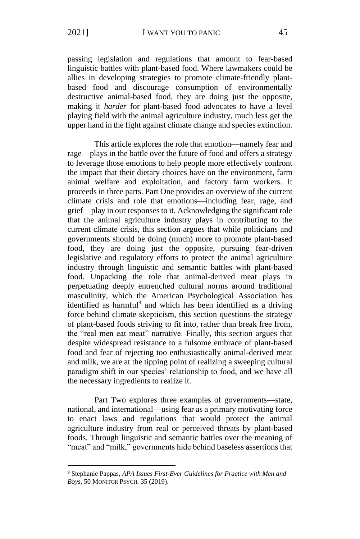passing legislation and regulations that amount to fear-based linguistic battles with plant-based food. Where lawmakers could be allies in developing strategies to promote climate-friendly plantbased food and discourage consumption of environmentally destructive animal-based food, they are doing just the opposite, making it *harder* for plant-based food advocates to have a level playing field with the animal agriculture industry, much less get the upper hand in the fight against climate change and species extinction.

This article explores the role that emotion—namely fear and rage—plays in the battle over the future of food and offers a strategy to leverage those emotions to help people more effectively confront the impact that their dietary choices have on the environment, farm animal welfare and exploitation, and factory farm workers. It proceeds in three parts. Part One provides an overview of the current climate crisis and role that emotions—including fear, rage, and grief—play in our responses to it. Acknowledging the significant role that the animal agriculture industry plays in contributing to the current climate crisis, this section argues that while politicians and governments should be doing (much) more to promote plant-based food, they are doing just the opposite, pursuing fear-driven legislative and regulatory efforts to protect the animal agriculture industry through linguistic and semantic battles with plant-based food. Unpacking the role that animal-derived meat plays in perpetuating deeply entrenched cultural norms around traditional masculinity, which the American Psychological Association has identified as harmful<sup>9</sup> and which has been identified as a driving force behind climate skepticism, this section questions the strategy of plant-based foods striving to fit into, rather than break free from, the "real men eat meat" narrative. Finally, this section argues that despite widespread resistance to a fulsome embrace of plant-based food and fear of rejecting too enthusiastically animal-derived meat and milk, we are at the tipping point of realizing a sweeping cultural paradigm shift in our species' relationship to food, and we have all the necessary ingredients to realize it.

Part Two explores three examples of governments—state, national, and international—using fear as a primary motivating force to enact laws and regulations that would protect the animal agriculture industry from real or perceived threats by plant-based foods. Through linguistic and semantic battles over the meaning of "meat" and "milk," governments hide behind baseless assertions that

<sup>9</sup> Stephanie Pappas, *APA Issues First-Ever Guidelines for Practice with Men and Boys*, 50 MONITOR PSYCH. 35 (2019).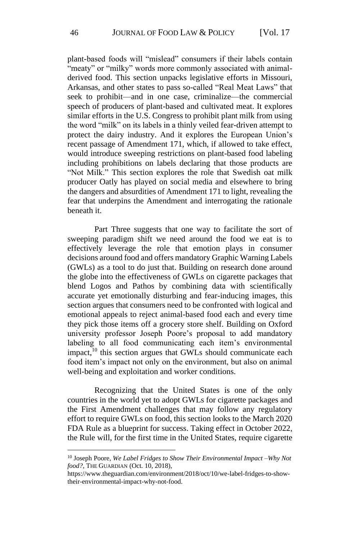plant-based foods will "mislead" consumers if their labels contain "meaty" or "milky" words more commonly associated with animalderived food. This section unpacks legislative efforts in Missouri, Arkansas, and other states to pass so-called "Real Meat Laws" that seek to prohibit—and in one case, criminalize—the commercial speech of producers of plant-based and cultivated meat. It explores similar efforts in the U.S. Congress to prohibit plant milk from using the word "milk" on its labels in a thinly veiled fear-driven attempt to protect the dairy industry. And it explores the European Union's recent passage of Amendment 171, which, if allowed to take effect, would introduce sweeping restrictions on plant-based food labeling including prohibitions on labels declaring that those products are "Not Milk." This section explores the role that Swedish oat milk producer Oatly has played on social media and elsewhere to bring the dangers and absurdities of Amendment 171 to light, revealing the fear that underpins the Amendment and interrogating the rationale beneath it.

Part Three suggests that one way to facilitate the sort of sweeping paradigm shift we need around the food we eat is to effectively leverage the role that emotion plays in consumer decisions around food and offers mandatory Graphic Warning Labels (GWLs) as a tool to do just that. Building on research done around the globe into the effectiveness of GWLs on cigarette packages that blend Logos and Pathos by combining data with scientifically accurate yet emotionally disturbing and fear-inducing images, this section argues that consumers need to be confronted with logical and emotional appeals to reject animal-based food each and every time they pick those items off a grocery store shelf. Building on Oxford university professor Joseph Poore's proposal to add mandatory labeling to all food communicating each item's environmental impact, $^{10}$  this section argues that GWLs should communicate each food item's impact not only on the environment, but also on animal well-being and exploitation and worker conditions.

Recognizing that the United States is one of the only countries in the world yet to adopt GWLs for cigarette packages and the First Amendment challenges that may follow any regulatory effort to require GWLs on food, this section looks to the March 2020 FDA Rule as a blueprint for success. Taking effect in October 2022, the Rule will, for the first time in the United States, require cigarette

<sup>10</sup> Joseph Poore, *We Label Fridges to Show Their Environmental Impact –Why Not food?*, THE GUARDIAN (Oct. 10, 2018),

https://www.theguardian.com/environment/2018/oct/10/we-label-fridges-to-showtheir-environmental-impact-why-not-food.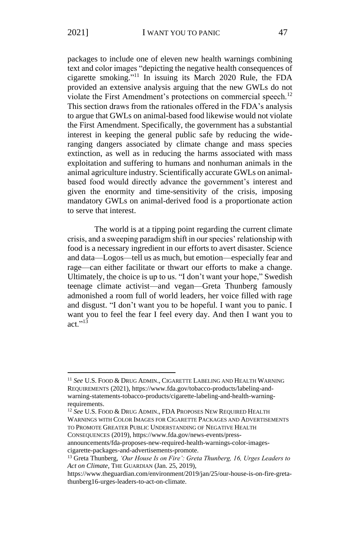packages to include one of eleven new health warnings combining text and color images "depicting the negative health consequences of cigarette smoking." <sup>11</sup> In issuing its March 2020 Rule, the FDA provided an extensive analysis arguing that the new GWLs do not violate the First Amendment's protections on commercial speech.<sup>12</sup> This section draws from the rationales offered in the FDA's analysis to argue that GWLs on animal-based food likewise would not violate the First Amendment. Specifically, the government has a substantial interest in keeping the general public safe by reducing the wideranging dangers associated by climate change and mass species extinction, as well as in reducing the harms associated with mass exploitation and suffering to humans and nonhuman animals in the animal agriculture industry. Scientifically accurate GWLs on animalbased food would directly advance the government's interest and given the enormity and time-sensitivity of the crisis, imposing mandatory GWLs on animal-derived food is a proportionate action to serve that interest.

The world is at a tipping point regarding the current climate crisis, and a sweeping paradigm shift in our species' relationship with food is a necessary ingredient in our efforts to avert disaster. Science and data—Logos—tell us as much, but emotion—especially fear and rage—can either facilitate or thwart our efforts to make a change. Ultimately, the choice is up to us. "I don't want your hope," Swedish teenage climate activist—and vegan—Greta Thunberg famously admonished a room full of world leaders, her voice filled with rage and disgust. "I don't want you to be hopeful. I want you to panic. I want you to feel the fear I feel every day. And then I want you to act  $\frac{13}{13}$ 

<sup>12</sup> *See* U.S. FOOD & DRUG ADMIN., FDA PROPOSES NEW REQUIRED HEALTH WARNINGS WITH COLOR IMAGES FOR CIGARETTE PACKAGES AND ADVERTISEMENTS TO PROMOTE GREATER PUBLIC UNDERSTANDING OF NEGATIVE HEALTH CONSEQUENCES (2019), https://www.fda.gov/news-events/press-

announcements/fda-proposes-new-required-health-warnings-color-imagescigarette-packages-and-advertisements-promote.

<sup>11</sup> *See* U.S. FOOD & DRUG ADMIN., CIGARETTE LABELING AND HEALTH WARNING REQUIREMENTS (2021), https://www.fda.gov/tobacco-products/labeling-andwarning-statements-tobacco-products/cigarette-labeling-and-health-warningrequirements.

<sup>13</sup> Greta Thunberg, *'Our House Is on Fire': Greta Thunberg, 16, Urges Leaders to Act on Climate*, THE GUARDIAN (Jan. 25, 2019),

https://www.theguardian.com/environment/2019/jan/25/our-house-is-on-fire-gretathunberg16-urges-leaders-to-act-on-climate.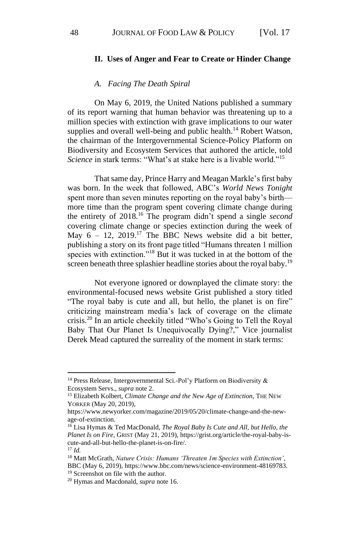#### **II. Uses of Anger and Fear to Create or Hinder Change**

#### *A. Facing The Death Spiral*

On May 6, 2019, the United Nations published a summary of its report warning that human behavior was threatening up to a million species with extinction with grave implications to our water supplies and overall well-being and public health.<sup>14</sup> Robert Watson. the chairman of the Intergovernmental Science-Policy Platform on Biodiversity and Ecosystem Services that authored the article, told *Science* in stark terms: "What's at stake here is a livable world."<sup>15</sup>

That same day, Prince Harry and Meagan Markle's first baby was born. In the week that followed, ABC's *World News Tonight* spent more than seven minutes reporting on the royal baby's birth more time than the program spent covering climate change during the entirety of 2018.<sup>16</sup> The program didn't spend a single *second*  covering climate change or species extinction during the week of May  $6 - 12$ , 2019.<sup>17</sup> The BBC News website did a bit better, publishing a story on its front page titled "Humans threaten 1 million species with extinction."<sup>18</sup> But it was tucked in at the bottom of the screen beneath three splashier headline stories about the royal baby.<sup>19</sup>

Not everyone ignored or downplayed the climate story: the environmental-focused news website Grist published a story titled "The royal baby is cute and all, but hello, the planet is on fire" criticizing mainstream media's lack of coverage on the climate crisis.<sup>20</sup> In an article cheekily titled "Who's Going to Tell the Royal Baby That Our Planet Is Unequivocally Dying?," Vice journalist Derek Mead captured the surreality of the moment in stark terms:

<sup>&</sup>lt;sup>14</sup> Press Release, Intergovernmental Sci.-Pol'y Platform on Biodiversity & Ecosystem Servs., *supra* note 2.

<sup>15</sup> Elizabeth Kolbert, *Climate Change and the New Age of Extinction*, THE NEW YORKER (May 20, 2019),

https://www.newyorker.com/magazine/2019/05/20/climate-change-and-the-newage-of-extinction.

<sup>16</sup> Lisa Hymas & Ted MacDonald, *The Royal Baby Is Cute and All, but Hello, the Planet Is on Fire*, GRIST (May 21, 2019), https://grist.org/article/the-royal-baby-iscute-and-all-but-hello-the-planet-is-on-fire/.

<sup>17</sup> *Id.*

<sup>18</sup> Matt McGrath, *Nature Crisis: Humans 'Threaten 1m Species with Extinction'*, BBC (May 6, 2019), https://www.bbc.com/news/science-environment-48169783.

<sup>19</sup> Screenshot on file with the author.

<sup>20</sup> Hymas and Macdonald, *supra* note 16.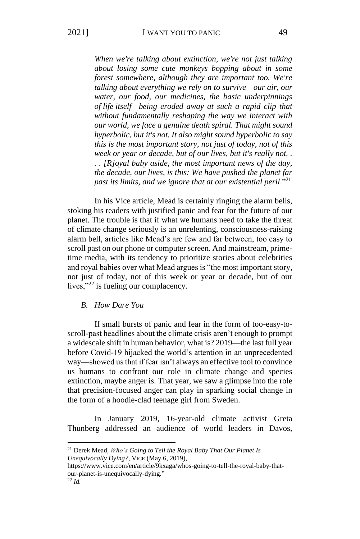*When we're talking about extinction, we're not just talking about losing some cute monkeys bopping about in some forest somewhere, although they are important too. We're talking about everything we rely on to survive—our air, our water, our food, our medicines, the basic underpinnings of life itself—being eroded away at such a rapid clip that without fundamentally reshaping the way we interact with our world, we face a genuine death spiral. That might sound hyperbolic, but it's not. It also might sound hyperbolic to say this is the most important story, not just of today, not of this week or year or decade, but of our lives, but it's really not. . . . [R]oyal baby aside, the most important news of the day, the decade, our lives, is this: We have pushed the planet far past its limits, and we ignore that at our existential peril.*"<sup>21</sup>

In his Vice article, Mead is certainly ringing the alarm bells, stoking his readers with justified panic and fear for the future of our planet. The trouble is that if what we humans need to take the threat of climate change seriously is an unrelenting, consciousness-raising alarm bell, articles like Mead's are few and far between, too easy to scroll past on our phone or computer screen. And mainstream, primetime media, with its tendency to prioritize stories about celebrities and royal babies over what Mead argues is "the most important story, not just of today, not of this week or year or decade, but of our lives,"<sup>22</sup> is fueling our complacency.

#### *B. How Dare You*

If small bursts of panic and fear in the form of too-easy-toscroll-past headlines about the climate crisis aren't enough to prompt a widescale shift in human behavior, what is? 2019—the last full year before Covid-19 hijacked the world's attention in an unprecedented way—showed us that if fear isn't always an effective tool to convince us humans to confront our role in climate change and species extinction, maybe anger is. That year, we saw a glimpse into the role that precision-focused anger can play in sparking social change in the form of a hoodie-clad teenage girl from Sweden.

In January 2019, 16-year-old climate activist Greta Thunberg addressed an audience of world leaders in Davos,

<sup>21</sup> Derek Mead, *Who's Going to Tell the Royal Baby That Our Planet Is Unequivocally Dying?*, VICE (May 6, 2019),

https://www.vice.com/en/article/9kxaga/whos-going-to-tell-the-royal-baby-thatour-planet-is-unequivocally-dying."

 $^{22}$  *Id*.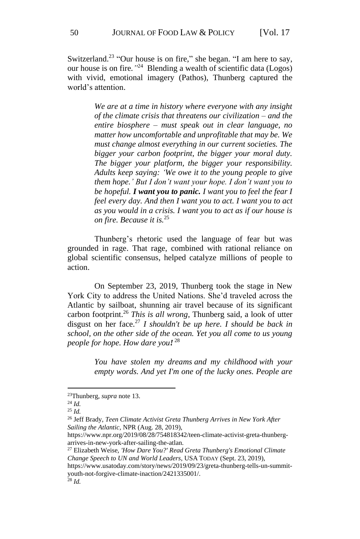Switzerland.<sup>23</sup> "Our house is on fire," she began. "I am here to say, our house is on fire*."* <sup>24</sup> Blending a wealth of scientific data (Logos) with vivid, emotional imagery (Pathos), Thunberg captured the world's attention.

> *We are at a time in history where everyone with any insight of the climate crisis that threatens our civilization – and the entire biosphere – must speak out in clear language, no matter how uncomfortable and unprofitable that may be. We must change almost everything in our current societies. The bigger your carbon footprint, the bigger your moral duty. The bigger your platform, the bigger your responsibility. Adults keep saying: 'We owe it to the young people to give them hope.' But I don't want your hope. I don't want you to be hopeful. I want you to panic. I want you to feel the fear I feel every day. And then I want you to act. I want you to act as you would in a crisis. I want you to act as if our house is on fire. Because it is.*<sup>25</sup>

Thunberg's rhetoric used the language of fear but was grounded in rage. That rage, combined with rational reliance on global scientific consensus, helped catalyze millions of people to action.

On September 23, 2019, Thunberg took the stage in New York City to address the United Nations. She'd traveled across the Atlantic by sailboat, shunning air travel because of its significant carbon footprint.<sup>26</sup> *This is all wrong*, Thunberg said, a look of utter disgust on her face.<sup>27</sup> *I shouldn't be up here. I should be back in school, on the other side of the ocean. Yet you all come to us young people for hope. How dare you!* 28

> *You have stolen my dreams and my childhood with your empty words. And yet I'm one of the lucky ones. People are*

<sup>23</sup>Thunberg, *supra* note 13.

<sup>24</sup> *Id.*

<sup>25</sup> *Id.*

<sup>26</sup> Jeff Brady, *Teen Climate Activist Greta Thunberg Arrives in New York After Sailing the Atlantic*, NPR (Aug. 28, 2019),

https://www.npr.org/2019/08/28/754818342/teen-climate-activist-greta-thunbergarrives-in-new-york-after-sailing-the-atlan.

<sup>27</sup> Elizabeth Weise, *'How Dare You?' Read Greta Thunberg's Emotional Climate Change Speech to UN and World Leaders*, USA TODAY (Sept. 23, 2019),

https://www.usatoday.com/story/news/2019/09/23/greta-thunberg-tells-un-summityouth-not-forgive-climate-inaction/2421335001/.

<sup>28</sup> *Id.*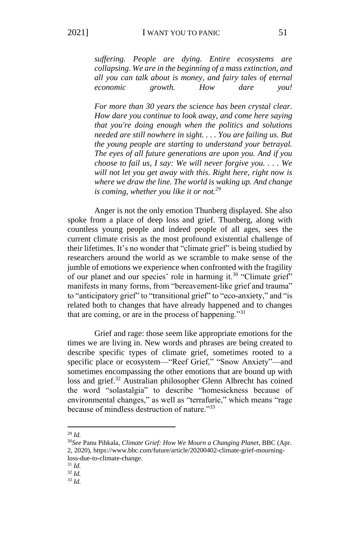*suffering. People are dying. Entire ecosystems are collapsing. We are in the beginning of a mass extinction, and all you can talk about is money, and fairy tales of eternal economic growth. How dare you!* 

*For more than 30 years the science has been crystal clear. How dare you continue to look away, and come here saying that you're doing enough when the politics and solutions needed are still nowhere in sight. . . . You are failing us. But the young people are starting to understand your betrayal. The eyes of all future generations are upon you. And if you choose to fail us, I say: We will never forgive you. . . . We will not let you get away with this. Right here, right now is where we draw the line. The world is waking up. And change is coming, whether you like it or not.<sup>29</sup>*

Anger is not the only emotion Thunberg displayed. She also spoke from a place of deep loss and grief. Thunberg, along with countless young people and indeed people of all ages, sees the current climate crisis as the most profound existential challenge of their lifetimes. It's no wonder that "climate grief" is being studied by researchers around the world as we scramble to make sense of the jumble of emotions we experience when confronted with the fragility of our planet and our species' role in harming it.<sup>30</sup> "Climate grief" manifests in many forms, from "bereavement-like grief and trauma" to "anticipatory grief" to "transitional grief" to "eco-anxiety," and "is related both to changes that have already happened and to changes that are coming, or are in the process of happening."<sup>31</sup>

Grief and rage: those seem like appropriate emotions for the times we are living in. New words and phrases are being created to describe specific types of climate grief, sometimes rooted to a specific place or ecosystem—"Reef Grief," "Snow Anxiety"—and sometimes encompassing the other emotions that are bound up with loss and grief.<sup>32</sup> Australian philosopher Glenn Albrecht has coined the word "solastalgia" to describe "homesickness because of environmental changes," as well as "terrafurie," which means "rage because of mindless destruction of nature."<sup>33</sup>

<sup>29</sup> *Id.*

<sup>30</sup>*See* Panu Pihkala, *Climate Grief: How We Mourn a Changing Planet*, BBC (Apr. 2, 2020), https://www.bbc.com/future/article/20200402-climate-grief-mourningloss-due-to-climate-change.

<sup>31</sup> *Id.*

<sup>32</sup> *Id.*

<sup>33</sup> *Id.*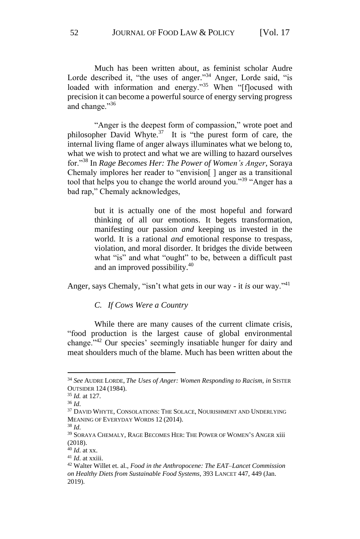Much has been written about, as feminist scholar Audre Lorde described it, "the uses of anger."<sup>34</sup> Anger, Lorde said, "is loaded with information and energy."<sup>35</sup> When "[flocused with precision it can become a powerful source of energy serving progress and change."36

"Anger is the deepest form of compassion," wrote poet and philosopher David Whyte. $37$  It is "the purest form of care, the internal living flame of anger always illuminates what we belong to, what we wish to protect and what we are willing to hazard ourselves for."<sup>38</sup> In *Rage Becomes Her: The Power of Women's Anger*, Soraya Chemaly implores her reader to "envision[ ] anger as a transitional tool that helps you to change the world around you."<sup>39</sup> "Anger has a bad rap," Chemaly acknowledges,

> but it is actually one of the most hopeful and forward thinking of all our emotions. It begets transformation, manifesting our passion *and* keeping us invested in the world. It is a rational *and* emotional response to trespass, violation, and moral disorder. It bridges the divide between what "is" and what "ought" to be, between a difficult past and an improved possibility.<sup>40</sup>

Anger, says Chemaly, "isn't what gets in our way - it *is* our way."<sup>41</sup>

*C. If Cows Were a Country*

While there are many causes of the current climate crisis, "food production is the largest cause of global environmental change."<sup>42</sup> Our species' seemingly insatiable hunger for dairy and meat shoulders much of the blame. Much has been written about the

<sup>34</sup> *See* AUDRE LORDE, *The Uses of Anger: Women Responding to Racism*, *in* SISTER OUTSIDER 124 (1984).

<sup>35</sup> *Id.* at 127.

<sup>36</sup> *Id*.

<sup>&</sup>lt;sup>37</sup> DAVID WHYTE, CONSOLATIONS: THE SOLACE, NOURISHMENT AND UNDERLYING MEANING OF EVERYDAY WORDS 12 (2014).

<sup>38</sup> *Id*.

<sup>&</sup>lt;sup>39</sup> SORAYA CHEMALY, RAGE BECOMES HER: THE POWER OF WOMEN'S ANGER xiii (2018).

<sup>40</sup> *Id*. at xx.

<sup>41</sup> *Id*. at xxiii.

<sup>42</sup> Walter Willet et. al., *Food in the Anthropocene: The EAT–Lancet Commission on Healthy Diets from Sustainable Food Systems*, 393 LANCET 447, 449 (Jan. 2019).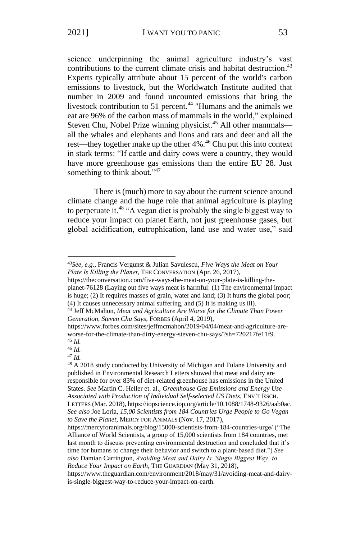science underpinning the animal agriculture industry's vast contributions to the current climate crisis and habitat destruction. 43 Experts typically attribute about 15 percent of the world's carbon emissions to livestock, but the Worldwatch Institute audited that number in 2009 and found uncounted emissions that bring the livestock contribution to 51 percent.<sup>44</sup> "Humans and the animals we eat are 96% of the carbon mass of mammals in the world," explained Steven Chu, Nobel Prize winning physicist.<sup>45</sup> All other mammals all the whales and elephants and lions and rats and deer and all the rest—they together make up the other 4%.<sup>46</sup> Chu put this into context in stark terms: "If cattle and dairy cows were a country, they would have more greenhouse gas emissions than the entire EU 28. Just something to think about."<sup>47</sup>

There is (much) more to say about the current science around climate change and the huge role that animal agriculture is playing to perpetuate it.<sup>48</sup> "A vegan diet is probably the single biggest way to reduce your impact on planet Earth, not just greenhouse gases, but global acidification, eutrophication, land use and water use," said

<sup>43</sup>*See, e.g.*, Francis Vergunst & Julian Savulescu, *Five Ways the Meat on Your Plate Is Killing the Planet*, THE CONVERSATION (Apr. 26, 2017),

https://theconversation.com/five-ways-the-meat-on-your-plate-is-killing-theplanet-76128 (Laying out five ways meat is harmful: (1) The environmental impact is huge; (2) It requires masses of grain, water and land; (3) It hurts the global poor; (4) It causes unnecessary animal suffering, and (5) It is making us ill).

<sup>44</sup> Jeff McMahon, *Meat and Agriculture Are Worse for the Climate Than Power Generation, Steven Chu Says*, FORBES (April 4, 2019),

https://www.forbes.com/sites/jeffmcmahon/2019/04/04/meat-and-agriculture-areworse-for-the-climate-than-dirty-energy-steven-chu-says/?sh=720217fe11f9. <sup>45</sup> *Id.*

<sup>46</sup> *Id.*

<sup>47</sup> *Id.*

<sup>48</sup> A 2018 study conducted by University of Michigan and Tulane University and published in Environmental Research Letters showed that meat and dairy are responsible for over 83% of diet-related greenhouse has emissions in the United States. *See* Martin C. Heller et. al., *Greenhouse Gas Emissions and Energy Use Associated with Production of Individual Self-selected US Diets,* ENV'T RSCH. LETTERS (Mar. 2018), https://iopscience.iop.org/article/10.1088/1748-9326/aab0ac. *See also* Joe Loria, *15,00 Scientists from 184 Countries Urge People to Go Vegan to Save the Planet*, MERCY FOR ANIMALS (Nov. 17, 2017),

https://mercyforanimals.org/blog/15000-scientists-from-184-countries-urge/ ("The Alliance of World Scientists, a group of 15,000 scientists from 184 countries, met last month to discuss preventing environmental destruction and concluded that it's time for humans to change their behavior and switch to a plant-based diet.") *See also* Damian Carrington, *Avoiding Meat and Dairy Is 'Single Biggest Way' to Reduce Your Impact on Earth*, THE GUARDIAN (May 31, 2018),

https://www.theguardian.com/environment/2018/may/31/avoiding-meat-and-dairyis-single-biggest-way-to-reduce-your-impact-on-earth.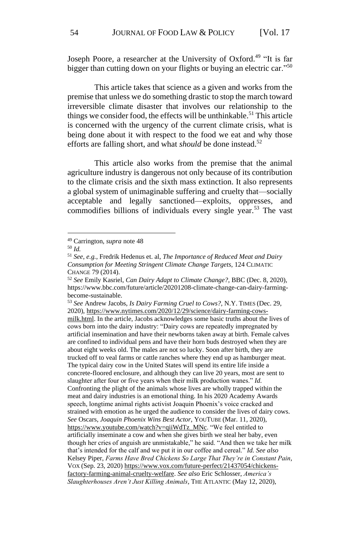Joseph Poore, a researcher at the University of Oxford.<sup>49</sup> "It is far bigger than cutting down on your flights or buying an electric car."<sup>50</sup>

This article takes that science as a given and works from the premise that unless we do something drastic to stop the march toward irreversible climate disaster that involves our relationship to the things we consider food, the effects will be unthinkable.<sup>51</sup> This article is concerned with the urgency of the current climate crisis, what is being done about it with respect to the food we eat and why those efforts are falling short, and what *should* be done instead.<sup>52</sup>

This article also works from the premise that the animal agriculture industry is dangerous not only because of its contribution to the climate crisis and the sixth mass extinction. It also represents a global system of unimaginable suffering and cruelty that—socially acceptable and legally sanctioned—exploits, oppresses, and commodifies billions of individuals every single year.<sup>53</sup> The vast

<sup>53</sup> *See* Andrew Jacobs, *Is Dairy Farming Cruel to Cows?*, N.Y. TIMES (Dec. 29, 2020), [https://www.nytimes.com/2020/12/29/science/dairy-farming-cows](https://www.nytimes.com/2020/12/29/science/dairy-farming-cows-milk.html)[milk.html.](https://www.nytimes.com/2020/12/29/science/dairy-farming-cows-milk.html) In the article, Jacobs acknowledges some basic truths about the lives of cows born into the dairy industry: "Dairy cows are repeatedly impregnated by artificial insemination and have their newborns taken away at birth. Female calves are confined to individual pens and have their horn buds destroyed when they are about eight weeks old. The males are not so lucky. Soon after birth, they are trucked off to veal farms or cattle ranches where they end up as hamburger meat. The typical dairy cow in the United States will spend its entire life inside a concrete-floored enclosure, and although they can live 20 years, most are sent to slaughter after four or five years when their milk production wanes." *Id.* Confronting the plight of the animals whose lives are wholly trapped within the meat and dairy industries is an emotional thing. In his 2020 Academy Awards speech, longtime animal rights activist Joaquin Phoenix's voice cracked and strained with emotion as he urged the audience to consider the lives of dairy cows. *See* Oscars, *Joaquin Phoenix Wins Best Actor*, YOUTUBE (Mar. 11, 2020), [https://www.youtube.com/watch?v=qiiWdTz\\_MNc.](https://www.youtube.com/watch?v=qiiWdTz_MNc) "We feel entitled to artificially inseminate a cow and when she gives birth we steal her baby, even though her cries of anguish are unmistakable," he said. "And then we take her milk that's intended for the calf and we put it in our coffee and cereal." *Id. See also* Kelsey Piper, *Farms Have Bred Chickens So Large That They're in Constant Pain*, VOX (Sep. 23, 2020) [https://www.vox.com/future-perfect/21437054/chickens](https://www.vox.com/future-perfect/21437054/chickens-factory-farming-animal-cruelty-welfare)[factory-farming-animal-cruelty-welfare.](https://www.vox.com/future-perfect/21437054/chickens-factory-farming-animal-cruelty-welfare) *See also* Eric Schlosser, *America's Slaughterhouses Aren't Just Killing Animals*, THE ATLANTIC (May 12, 2020),

<sup>49</sup> Carrington, *supra* note 48

<sup>50</sup> *Id.*

<sup>51</sup> *See, e.g.*, Fredrik Hedenus et. al, *The Importance of Reduced Meat and Dairy Consumption for Meeting Stringent Climate Change Targets*, 124 CLIMATIC CHANGE 79 (2014).

<sup>52</sup> *See* Emily Kasriel, *Can Dairy Adapt to Climate Change?*, BBC (Dec. 8, 2020), https://www.bbc.com/future/article/20201208-climate-change-can-dairy-farmingbecome-sustainable.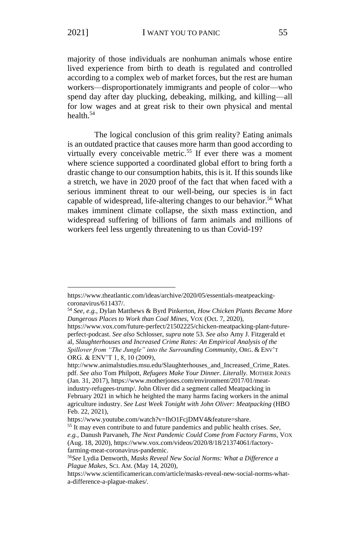majority of those individuals are nonhuman animals whose entire lived experience from birth to death is regulated and controlled according to a complex web of market forces, but the rest are human workers—disproportionately immigrants and people of color—who spend day after day plucking, debeaking, milking, and killing—all for low wages and at great risk to their own physical and mental health.<sup>54</sup>

The logical conclusion of this grim reality? Eating animals is an outdated practice that causes more harm than good according to virtually every conceivable metric.<sup>55</sup> If ever there was a moment where science supported a coordinated global effort to bring forth a drastic change to our consumption habits, this is it. If this sounds like a stretch, we have in 2020 proof of the fact that when faced with a serious imminent threat to our well-being, our species is in fact capable of widespread, life-altering changes to our behavior.<sup>56</sup> What makes imminent climate collapse, the sixth mass extinction, and widespread suffering of billions of farm animals and millions of workers feel less urgently threatening to us than Covid-19?

https://www.theatlantic.com/ideas/archive/2020/05/essentials-meatpeackingcoronavirus/611437/.

<sup>54</sup> *See, e.g.,* Dylan Matthews & Byrd Pinkerton, *How Chicken Plants Became More Dangerous Places to Work than Coal Mines*, VOX (Oct. 7, 2020),

https://www.vox.com/future-perfect/21502225/chicken-meatpacking-plant-futureperfect-podcast. *See also* Schlosser, *supra* note 53. *See also* Amy J. Fitzgerald et al, *Slaughterhouses and Increased Crime Rates: An Empirical Analysis of the Spillover from "The Jungle" into the Surrounding Community*, ORG. & ENV'T ORG. & ENV'T 1, 8, 10 (2009),

http://www.animalstudies.msu.edu/Slaughterhouses\_and\_Increased\_Crime\_Rates. pdf. *See also* Tom Philpott, *Refugees Make Your Dinner. Literally.* MOTHER JONES (Jan. 31, 2017), https://www.motherjones.com/environment/2017/01/meatindustry-refugees-trump/. John Oliver did a segment called Meatpacking in February 2021 in which he heighted the many harms facing workers in the animal agriculture industry. *See Last Week Tonight with John Oliver: Meatpacking* (HBO Feb. 22, 2021),

https://www.youtube.com/watch?v=IhO1FcjDMV4&feature=share.

<sup>55</sup> It may even contribute to and future pandemics and public health crises. *See, e.g.,* Danush Parvaneh, *The Next Pandemic Could Come from Factory Farms*, VOX (Aug. 18, 2020), https://www.vox.com/videos/2020/8/18/21374061/factoryfarming-meat-coronavirus-pandemic.

<sup>56</sup>*See* Lydia Denworth, *Masks Reveal New Social Norms: What a Difference a Plague Makes*, SCI. AM. (May 14, 2020),

https://www.scientificamerican.com/article/masks-reveal-new-social-norms-whata-difference-a-plague-makes/.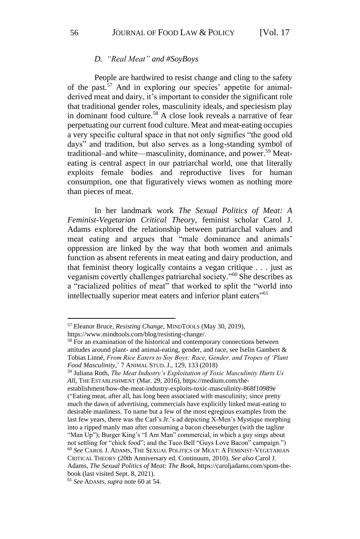#### *D. "Real Meat" and #SoyBoys*

People are hardwired to resist change and cling to the safety of the past. $57$  And in exploring our species' appetite for animalderived meat and dairy, it's important to consider the significant role that traditional gender roles, masculinity ideals, and speciesism play in dominant food culture.<sup>58</sup> A close look reveals a narrative of fear perpetuating our current food culture. Meat and meat-eating occupies a very specific cultural space in that not only signifies "the good old days" and tradition, but also serves as a long-standing symbol of traditional–and white—masculinity, dominance, and power.<sup>59</sup> Meateating is central aspect in our patriarchal world, one that literally exploits female bodies and reproductive lives for human consumption, one that figuratively views women as nothing more than pieces of meat.

In her landmark work *The Sexual Politics of Meat: A Feminist-Vegetarian Critical Theory*, feminist scholar Carol J. Adams explored the relationship between patriarchal values and meat eating and argues that "male dominance and animals' oppression are linked by the way that both women and animals function as absent referents in meat eating and dairy production, and that feminist theory logically contains a vegan critique . . . just as veganism covertly challenges patriarchal society."<sup>60</sup> She describes as a "racialized politics of meat" that worked to split the "world into intellectually superior meat eaters and inferior plant eaters"<sup>61</sup>

<sup>59</sup> Juliana Roth, *The Meat Industry's Exploitation of Toxic Masculinity Hurts Us All*, THE ESTABLISHMENT (Mar. 29, 2016), https://medium.com/theestablishment/how-the-meat-industry-exploits-toxic-masculinity-868f10989e ("Eating meat, after all, has long been associated with masculinity; since pretty much the dawn of advertising, commercials have explicitly linked meat-eating to desirable manliness. To name but a few of the most egregious examples from the last few years, there was the Carl's Jr.'s ad depicting X-Men's Mystique morphing into a ripped manly man after consuming a bacon cheeseburger (with the tagline "Man Up"); Burger King's "I Am Man" commercial, in which a guy sings about not settling for "chick food"; and the Taco Bell "Guys Love Bacon" campaign.") <sup>60</sup> *See* CAROL J. ADAMS, THE SEXUAL POLITICS OF MEAT: A FEMINIST-VEGETARIAN CRITICAL THEORY (20th Anniversary ed. Continuum, 2010). *See also* Carol J. Adams, *The Sexual Politics of Meat: The Book*, https://caroljadams.com/spom-thebook (last visited Sept. 8, 2021).

<sup>57</sup> Eleanor Bruce, *Resisting Change*, MINDTOOLS (May 30, 2019),

https://www.mindtools.com/blog/resisting-change/.

<sup>58</sup> For an examination of the historical and contemporary connections between attitudes around plant- and animal-eating, gender, and race, see Iselin Gambert & Tobias Linné, *From Rice Eaters to Soy Boys: Race, Gender, and Tropes of 'Plant Food Masculinity*,' 7 ANIMAL STUD. J., 129, 133 (2018)

<sup>61</sup> *See* ADAMS, *supra* note 60 at 54.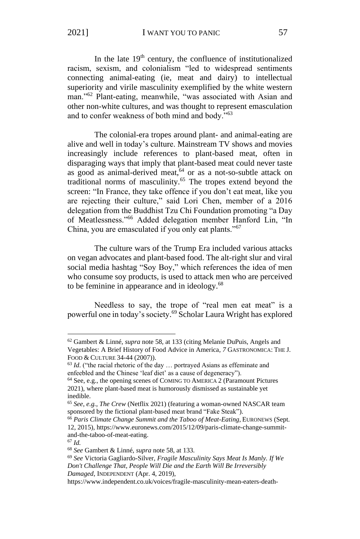2021] **I WANT YOU TO PANIC** 57

In the late  $19<sup>th</sup>$  century, the confluence of institutionalized racism, sexism, and colonialism "led to widespread sentiments connecting animal-eating (ie, meat and dairy) to intellectual superiority and virile masculinity exemplified by the white western man."<sup>62</sup> Plant-eating, meanwhile, "was associated with Asian and other non-white cultures, and was thought to represent emasculation and to confer weakness of both mind and body."<sup>63</sup>

The colonial-era tropes around plant- and animal-eating are alive and well in today's culture. Mainstream TV shows and movies increasingly include references to plant-based meat, often in disparaging ways that imply that plant-based meat could never taste as good as animal-derived meat,<sup>64</sup> or as a not-so-subtle attack on traditional norms of masculinity.<sup>65</sup> The tropes extend beyond the screen: "In France, they take offence if you don't eat meat, like you are rejecting their culture," said Lori Chen, member of a 2016 delegation from the Buddhist Tzu Chi Foundation promoting "a Day of Meatlessness."<sup>66</sup> Added delegation member Hanford Lin, "In China, you are emasculated if you only eat plants."<sup>67</sup>

The culture wars of the Trump Era included various attacks on vegan advocates and plant-based food. The alt-right slur and viral social media hashtag "Soy Boy," which references the idea of men who consume soy products, is used to attack men who are perceived to be feminine in appearance and in ideology.<sup>68</sup>

Needless to say, the trope of "real men eat meat" is a powerful one in today's society. <sup>69</sup> Scholar Laura Wright has explored

<sup>62</sup> Gambert & Linné, *supra* note 58, at 133 (citing Melanie DuPuis, Angels and Vegetables: A Brief History of Food Advice in America, *7* GASTRONOMICA: THE J. FOOD & CULTURE 34-44 (2007)).

<sup>&</sup>lt;sup>63</sup> *Id.* ("the racial rhetoric of the day ... portrayed Asians as effeminate and enfeebled and the Chinese 'leaf diet' as a cause of degeneracy").

<sup>64</sup> See, e.g., the opening scenes of COMING TO AMERICA 2 (Paramount Pictures 2021), where plant-based meat is humorously dismissed as sustainable yet inedible.

<sup>65</sup> *See, e.g.*, *The Crew* (Netflix 2021) (featuring a woman-owned NASCAR team sponsored by the fictional plant-based meat brand "Fake Steak").

<sup>66</sup> *Paris Climate Change Summit and the Taboo of Meat-Eating*, EURONEWS (Sept. 12, 2015), https://www.euronews.com/2015/12/09/paris-climate-change-summitand-the-taboo-of-meat-eating.

<sup>67</sup> *Id.*

<sup>68</sup> *See* Gambert & Linné, *supra* note 58, at 133.

<sup>69</sup> *See* Victoria Gagliardo-Silver, *Fragile Masculinity Says Meat Is Manly. If We Don't Challenge That, People Will Die and the Earth Will Be Irreversibly Damaged*, INDEPENDENT (Apr. 4, 2019),

https://www.independent.co.uk/voices/fragile-masculinity-mean-eaters-death-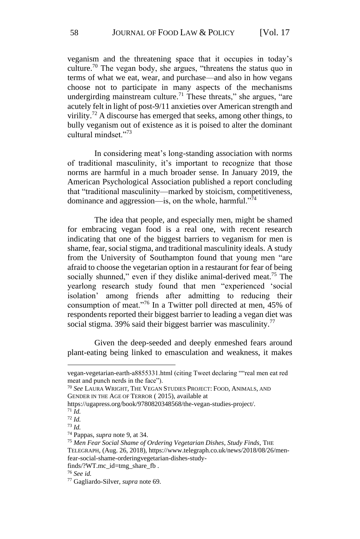veganism and the threatening space that it occupies in today's culture.<sup>70</sup> The vegan body, she argues, "threatens the status quo in terms of what we eat, wear, and purchase—and also in how vegans choose not to participate in many aspects of the mechanisms undergirding mainstream culture.<sup>71</sup> These threats," she argues, "are acutely felt in light of post-9/11 anxieties over American strength and virility.<sup>72</sup> A discourse has emerged that seeks, among other things, to bully veganism out of existence as it is poised to alter the dominant cultural mindset."<sup>73</sup>

In considering meat's long-standing association with norms of traditional masculinity, it's important to recognize that those norms are harmful in a much broader sense. In January 2019, the American Psychological Association published a report concluding that "traditional masculinity—marked by stoicism, competitiveness, dominance and aggression—is, on the whole, harmful."<sup>74</sup>

The idea that people, and especially men, might be shamed for embracing vegan food is a real one, with recent research indicating that one of the biggest barriers to veganism for men is shame, fear, social stigma, and traditional masculinity ideals. A study from the University of Southampton found that young men "are afraid to choose the vegetarian option in a restaurant for fear of being socially shunned," even if they dislike animal-derived meat.<sup>75</sup> The yearlong research study found that men "experienced 'social isolation' among friends after admitting to reducing their consumption of meat."<sup>76</sup> In a Twitter poll directed at men, 45% of respondents reported their biggest barrier to leading a vegan diet was social stigma. 39% said their biggest barrier was masculinity.<sup>77</sup>

Given the deep-seeded and deeply enmeshed fears around plant-eating being linked to emasculation and weakness, it makes

vegan-vegetarian-earth-a8855331.html (citing Tweet declaring ""real men eat red meat and punch nerds in the face").

<sup>70</sup> *See* LAURA WRIGHT*,* THE VEGAN STUDIES PROJECT: FOOD, ANIMALS, AND GENDER IN THE AGE OF TERROR ( 2015), available at

https://ugapress.org/book/9780820348568/the-vegan-studies-project/.

<sup>71</sup> *Id.*

<sup>72</sup> *Id.*

<sup>73</sup> *Id.*

<sup>74</sup> Pappas, *supra* note 9, at 34.

<sup>75</sup> *Men Fear Social Shame of Ordering Vegetarian Dishes, Study Finds*, THE

TELEGRAPH, (Aug. 26, 2018), https://www.telegraph.co.uk/news/2018/08/26/men-

fear-social-shame-orderingvegetarian-dishes-study-

finds/?WT.mc\_id=tmg\_share\_fb .

<sup>76</sup> *See id.*

<sup>77</sup> Gagliardo-Silver, *supra* note 69.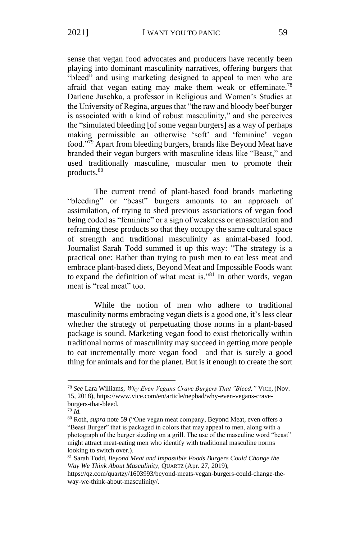sense that vegan food advocates and producers have recently been playing into dominant masculinity narratives, offering burgers that "bleed" and using marketing designed to appeal to men who are afraid that vegan eating may make them weak or effeminate.<sup>78</sup> Darlene Juschka, a professor in Religious and Women's Studies at the University of Regina, argues that "the raw and bloody beef burger is associated with a kind of robust masculinity," and she perceives the "simulated bleeding [of some vegan burgers] as a way of perhaps making permissible an otherwise 'soft' and 'feminine' vegan food."<sup>79</sup> Apart from bleeding burgers, brands like Beyond Meat have branded their vegan burgers with masculine ideas like "Beast," and used traditionally masculine, muscular men to promote their products.<sup>80</sup>

The current trend of plant-based food brands marketing "bleeding" or "beast" burgers amounts to an approach of assimilation, of trying to shed previous associations of vegan food being coded as "feminine" or a sign of weakness or emasculation and reframing these products so that they occupy the same cultural space of strength and traditional masculinity as animal-based food. Journalist Sarah Todd summed it up this way: "The strategy is a practical one: Rather than trying to push men to eat less meat and embrace plant-based diets, Beyond Meat and Impossible Foods want to expand the definition of what meat is."<sup>81</sup> In other words, vegan meat is "real meat" too.

While the notion of men who adhere to traditional masculinity norms embracing vegan diets is a good one, it's less clear whether the strategy of perpetuating those norms in a plant-based package is sound. Marketing vegan food to exist rhetorically within traditional norms of masculinity may succeed in getting more people to eat incrementally more vegan food—and that is surely a good thing for animals and for the planet. But is it enough to create the sort

<sup>78</sup> *See* Lara Williams, *Why Even Vegans Crave Burgers That "Bleed,"* VICE, (Nov. 15, 2018), https://www.vice.com/en/article/nepbad/why-even-vegans-craveburgers-that-bleed.

<sup>79</sup> *Id.*

<sup>80</sup> Roth, *supra* note 59 ("One vegan meat company, Beyond Meat, even offers a "Beast Burger" that is packaged in colors that may appeal to men, along with a photograph of the burger sizzling on a grill. The use of the masculine word "beast" might attract meat-eating men who identify with traditional masculine norms looking to switch over.).

<sup>81</sup> Sarah Todd, *Beyond Meat and Impossible Foods Burgers Could Change the Way We Think About Masculinity*, QUARTZ (Apr. 27, 2019),

https://qz.com/quartzy/1603993/beyond-meats-vegan-burgers-could-change-theway-we-think-about-masculinity/.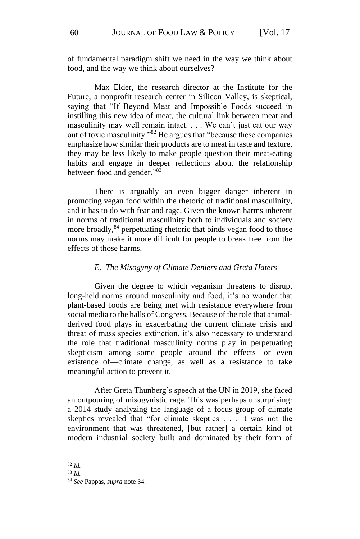of fundamental paradigm shift we need in the way we think about food, and the way we think about ourselves?

Max Elder, the research director at the Institute for the Future, a nonprofit research center in Silicon Valley, is skeptical, saying that "If Beyond Meat and Impossible Foods succeed in instilling this new idea of meat, the cultural link between meat and masculinity may well remain intact. . . . We can't just eat our way out of toxic masculinity."<sup>82</sup> He argues that "because these companies emphasize how similar their products are to meat in taste and texture, they may be less likely to make people question their meat-eating habits and engage in deeper reflections about the relationship between food and gender."<sup>83</sup>

There is arguably an even bigger danger inherent in promoting vegan food within the rhetoric of traditional masculinity, and it has to do with fear and rage. Given the known harms inherent in norms of traditional masculinity both to individuals and society more broadly,<sup>84</sup> perpetuating rhetoric that binds vegan food to those norms may make it more difficult for people to break free from the effects of those harms.

#### *E. The Misogyny of Climate Deniers and Greta Haters*

Given the degree to which veganism threatens to disrupt long-held norms around masculinity and food, it's no wonder that plant-based foods are being met with resistance everywhere from social media to the halls of Congress. Because of the role that animalderived food plays in exacerbating the current climate crisis and threat of mass species extinction, it's also necessary to understand the role that traditional masculinity norms play in perpetuating skepticism among some people around the effects—or even existence of—climate change, as well as a resistance to take meaningful action to prevent it.

After Greta Thunberg's speech at the UN in 2019, she faced an outpouring of misogynistic rage. This was perhaps unsurprising: a 2014 study analyzing the language of a focus group of climate skeptics revealed that "for climate skeptics . . . it was not the environment that was threatened, [but rather] a certain kind of modern industrial society built and dominated by their form of

<sup>82</sup> *Id.*

<sup>83</sup> *Id.*

<sup>84</sup> *See* Pappas, *supra* note 34.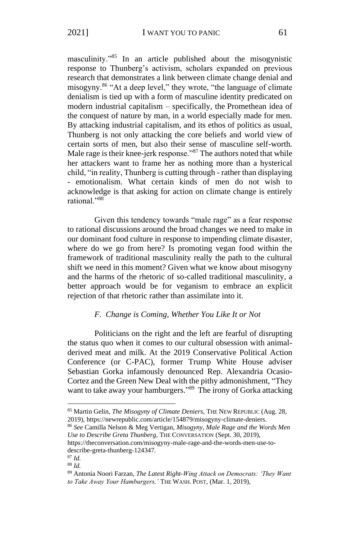masculinity."<sup>85</sup> In an article published about the misogynistic response to Thunberg's activism, scholars expanded on previous research that demonstrates a link between climate change denial and misogyny.<sup>86</sup> "At a deep level," they wrote, "the language of climate denialism is tied up with a form of masculine identity predicated on modern industrial capitalism – specifically, the Promethean idea of the conquest of nature by man, in a world especially made for men. By attacking industrial capitalism, and its ethos of politics as usual, Thunberg is not only attacking the core beliefs and world view of certain sorts of men, but also their sense of masculine self-worth. Male rage is their knee-jerk response."<sup>87</sup> The authors noted that while her attackers want to frame her as nothing more than a hysterical child, "in reality, Thunberg is cutting through - rather than displaying - emotionalism. What certain kinds of men do not wish to acknowledge is that asking for action on climate change is entirely rational."<sup>88</sup>

Given this tendency towards "male rage" as a fear response to rational discussions around the broad changes we need to make in our dominant food culture in response to impending climate disaster, where do we go from here? Is promoting vegan food within the framework of traditional masculinity really the path to the cultural shift we need in this moment? Given what we know about misogyny and the harms of the rhetoric of so-called traditional masculinity, a better approach would be for veganism to embrace an explicit rejection of that rhetoric rather than assimilate into it.

#### *F. Change is Coming, Whether You Like It or Not*

Politicians on the right and the left are fearful of disrupting the status quo when it comes to our cultural obsession with animalderived meat and milk. At the 2019 Conservative Political Action Conference (or C-PAC), former Trump White House adviser Sebastian Gorka infamously denounced Rep. Alexandria Ocasio-Cortez and the Green New Deal with the pithy admonishment, "They want to take away your hamburgers."<sup>89</sup> The irony of Gorka attacking

<sup>86</sup> *See* Camilla Nelson & Meg Vertigan, *Misogyny, Male Rage and the Words Men Use to Describe Greta Thunberg*, THE CONVERSATION (Sept. 30, 2019),

https://theconversation.com/misogyny-male-rage-and-the-words-men-use-todescribe-greta-thunberg-124347. <sup>87</sup> *Id.*

<sup>85</sup> Martin Gelin, *The Misogyny of Climate Deniers*, THE NEW REPUBLIC (Aug. 28, 2019), https://newrepublic.com/article/154879/misogyny-climate-deniers.

<sup>88</sup> *Id.*

<sup>89</sup> Antonia Noori Farzan, *The Latest Right-Wing Attack on Democrats: 'They Want to Take Away Your Hamburgers,'* THE WASH. POST, (Mar. 1, 2019),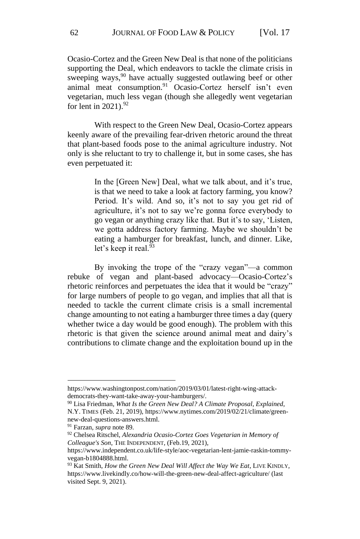Ocasio-Cortez and the Green New Deal is that none of the politicians supporting the Deal, which endeavors to tackle the climate crisis in sweeping ways,<sup>90</sup> have actually suggested outlawing beef or other animal meat consumption.<sup>91</sup> Ocasio-Cortez herself isn't even vegetarian, much less vegan (though she allegedly went vegetarian for lent in  $2021$ ).<sup>92</sup>

With respect to the Green New Deal, Ocasio-Cortez appears keenly aware of the prevailing fear-driven rhetoric around the threat that plant-based foods pose to the animal agriculture industry. Not only is she reluctant to try to challenge it, but in some cases, she has even perpetuated it:

> In the [Green New] Deal, what we talk about, and it's true, is that we need to take a look at factory farming, you know? Period. It's wild. And so, it's not to say you get rid of agriculture, it's not to say we're gonna force everybody to go vegan or anything crazy like that. But it's to say, 'Listen, we gotta address factory farming. Maybe we shouldn't be eating a hamburger for breakfast, lunch, and dinner. Like, let's keep it real.<sup>93</sup>

By invoking the trope of the "crazy vegan"—a common rebuke of vegan and plant-based advocacy—Ocasio-Cortez's rhetoric reinforces and perpetuates the idea that it would be "crazy" for large numbers of people to go vegan, and implies that all that is needed to tackle the current climate crisis is a small incremental change amounting to not eating a hamburger three times a day (query whether twice a day would be good enough). The problem with this rhetoric is that given the science around animal meat and dairy's contributions to climate change and the exploitation bound up in the

https://www.washingtonpost.com/nation/2019/03/01/latest-right-wing-attackdemocrats-they-want-take-away-your-hamburgers/.

<sup>90</sup> Lisa Friedman, *What Is the Green New Deal? A Climate Proposal, Explained*, N.Y. TIMES (Feb. 21, 2019), https://www.nytimes.com/2019/02/21/climate/greennew-deal-questions-answers.html.

<sup>91</sup> Farzan, *supra* note 89.

<sup>92</sup> Chelsea Ritschel, *Alexandria Ocasio-Cortez Goes Vegetarian in Memory of Colleague's Son*, THE INDEPENDENT, (Feb.19, 2021),

https://www.independent.co.uk/life-style/aoc-vegetarian-lent-jamie-raskin-tommyvegan-b1804888.html.

<sup>93</sup> Kat Smith, *How the Green New Deal Will Affect the Way We Eat*, LIVE KINDLY, https://www.livekindly.co/how-will-the-green-new-deal-affect-agriculture/ (last visited Sept. 9, 2021).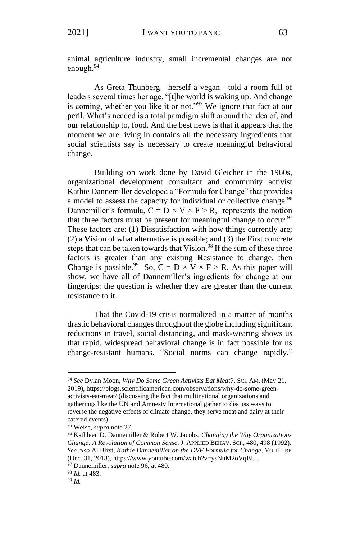animal agriculture industry, small incremental changes are not enough. $94$ 

As Greta Thunberg—herself a vegan—told a room full of leaders several times her age, "[t]he world is waking up. And change is coming, whether you like it or not."<sup>95</sup> We ignore that fact at our peril. What's needed is a total paradigm shift around the idea of, and our relationship to, food. And the best news is that it appears that the moment we are living in contains all the necessary ingredients that social scientists say is necessary to create meaningful behavioral change.

Building on work done by David Gleicher in the 1960s, organizational development consultant and community activist Kathie Dannemiller developed a "Formula for Change" that provides a model to assess the capacity for individual or collective change.<sup>96</sup> Dannemiller's formula,  $C = D \times V \times F > R$ , represents the notion that three factors must be present for meaningful change to occur.<sup>97</sup> These factors are: (1) **D**issatisfaction with how things currently are; (2) a **V**ision of what alternative is possible; and (3) the **F**irst concrete steps that can be taken towards that Vision.<sup>98</sup> If the sum of these three factors is greater than any existing **R**esistance to change, then Change is possible.<sup>99</sup> So,  $C = D \times V \times F > R$ . As this paper will show, we have all of Dannemiller's ingredients for change at our fingertips: the question is whether they are greater than the current resistance to it.

That the Covid-19 crisis normalized in a matter of months drastic behavioral changes throughout the globe including significant reductions in travel, social distancing, and mask-wearing shows us that rapid, widespread behavioral change is in fact possible for us change-resistant humans. "Social norms can change rapidly,"

<sup>94</sup> *See* Dylan Moon, *Why Do Some Green Activists Eat Meat?*, SCI. AM. (May 21, 2019), https://blogs.scientificamerican.com/observations/why-do-some-greenactivists-eat-meat/ (discussing the fact that multinational organizations and gatherings like the UN and Amnesty International gather to discuss ways to reverse the negative effects of climate change, they serve meat and dairy at their catered events).

<sup>95</sup> Weise, *supra* note 27.

<sup>96</sup> Kathleen D. Dannemiller & Robert W. Jacobs, *Changing the Way Organizations Change: A Revolution of Common Sense,* J. APPLIED BEHAV. SCI., 480, 498 (1992). *See also* Al Blixt, *Kathie Dannemiller on the DVF Formula for Change*, YOUTUBE (Dec. 31, 2018), https://www.youtube.com/watch?v=ysNuM2oVqBU .

<sup>97</sup> Dannemiller, *supra* note 96, at 480.

<sup>98</sup> *Id.* at 483.

<sup>99</sup> *Id.*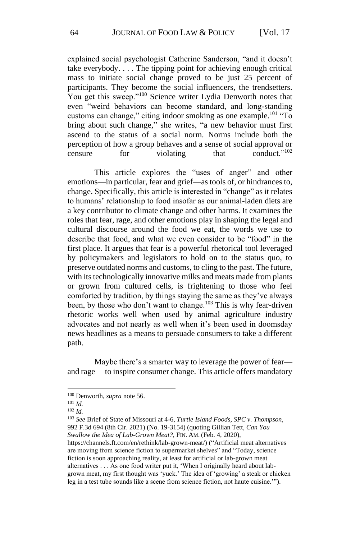explained social psychologist Catherine Sanderson, "and it doesn't take everybody. . . . The tipping point for achieving enough critical mass to initiate social change proved to be just 25 percent of participants. They become the social influencers, the trendsetters. You get this sweep."<sup>100</sup> Science writer Lydia Denworth notes that even "weird behaviors can become standard, and long-standing customs can change," citing indoor smoking as one example.<sup>101</sup> "To bring about such change," she writes, "a new behavior must first ascend to the status of a social norm. Norms include both the perception of how a group behaves and a sense of social approval or censure for violating that conduct<sup>3,102</sup>

This article explores the "uses of anger" and other emotions—in particular, fear and grief—as tools of, or hindrances to, change. Specifically, this article is interested in "change" as it relates to humans' relationship to food insofar as our animal-laden diets are a key contributor to climate change and other harms. It examines the roles that fear, rage, and other emotions play in shaping the legal and cultural discourse around the food we eat, the words we use to describe that food, and what we even consider to be "food" in the first place. It argues that fear is a powerful rhetorical tool leveraged by policymakers and legislators to hold on to the status quo, to preserve outdated norms and customs, to cling to the past. The future, with its technologically innovative milks and meats made from plants or grown from cultured cells, is frightening to those who feel comforted by tradition, by things staying the same as they've always been, by those who don't want to change.<sup>103</sup> This is why fear-driven rhetoric works well when used by animal agriculture industry advocates and not nearly as well when it's been used in doomsday news headlines as a means to persuade consumers to take a different path.

Maybe there's a smarter way to leverage the power of fear and rage— to inspire consumer change. This article offers mandatory

https://channels.ft.com/en/rethink/lab-grown-meat/) ("Artificial meat alternatives are moving from science fiction to supermarket shelves" and "Today, science fiction is soon approaching reality, at least for artificial or lab-grown meat alternatives . . . As one food writer put it, 'When I originally heard about labgrown meat, my first thought was 'yuck.' The idea of 'growing' a steak or chicken leg in a test tube sounds like a scene from science fiction, not haute cuisine.'").

<sup>100</sup> Denworth, *supra* note 56.

<sup>101</sup> *Id.*

<sup>102</sup> *Id.*

<sup>103</sup> *See* Brief of State of Missouri at 4-6, *Turtle Island Foods, SPC v. Thompson*, 992 F.3d 694 (8th Cir. 2021) (No. 19-3154) (quoting Gillian Tett, *Can You Swallow the Idea of Lab-Grown Meat?*, FIN. AM. (Feb. 4, 2020),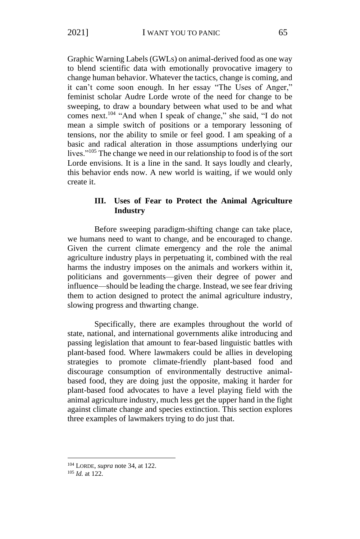Graphic Warning Labels (GWLs) on animal-derived food as one way to blend scientific data with emotionally provocative imagery to change human behavior. Whatever the tactics, change is coming, and it can't come soon enough. In her essay "The Uses of Anger," feminist scholar Audre Lorde wrote of the need for change to be sweeping, to draw a boundary between what used to be and what comes next.<sup>104</sup> "And when I speak of change," she said, "I do not mean a simple switch of positions or a temporary lessoning of tensions, nor the ability to smile or feel good. I am speaking of a basic and radical alteration in those assumptions underlying our lives."<sup>105</sup> The change we need in our relationship to food is of the sort Lorde envisions. It is a line in the sand. It says loudly and clearly, this behavior ends now. A new world is waiting, if we would only create it.

## **III. Uses of Fear to Protect the Animal Agriculture Industry**

Before sweeping paradigm-shifting change can take place, we humans need to want to change, and be encouraged to change. Given the current climate emergency and the role the animal agriculture industry plays in perpetuating it, combined with the real harms the industry imposes on the animals and workers within it, politicians and governments—given their degree of power and influence—should be leading the charge. Instead, we see fear driving them to action designed to protect the animal agriculture industry, slowing progress and thwarting change.

Specifically, there are examples throughout the world of state, national, and international governments alike introducing and passing legislation that amount to fear-based linguistic battles with plant-based food. Where lawmakers could be allies in developing strategies to promote climate-friendly plant-based food and discourage consumption of environmentally destructive animalbased food, they are doing just the opposite, making it harder for plant-based food advocates to have a level playing field with the animal agriculture industry, much less get the upper hand in the fight against climate change and species extinction. This section explores three examples of lawmakers trying to do just that.

<sup>104</sup> LORDE, *supra* note 34, at 122.

<sup>105</sup> *Id.* at 122.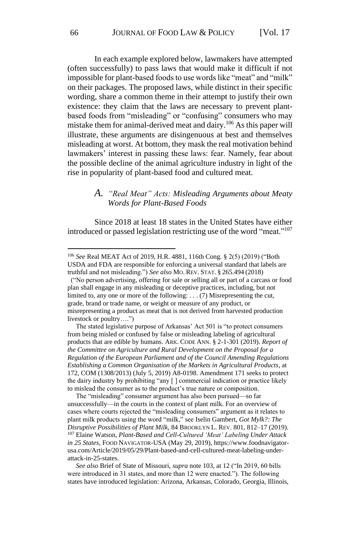In each example explored below, lawmakers have attempted (often successfully) to pass laws that would make it difficult if not impossible for plant-based foods to use words like "meat" and "milk" on their packages. The proposed laws, while distinct in their specific wording, share a common theme in their attempt to justify their own existence: they claim that the laws are necessary to prevent plantbased foods from "misleading" or "confusing" consumers who may mistake them for animal-derived meat and dairy.<sup>106</sup> As this paper will illustrate, these arguments are disingenuous at best and themselves misleading at worst. At bottom, they mask the real motivation behind lawmakers' interest in passing these laws: fear. Namely, fear about the possible decline of the animal agriculture industry in light of the rise in popularity of plant-based food and cultured meat.

## *A. "Real Meat" Acts: Misleading Arguments about Meaty Words for Plant-Based Foods*

Since 2018 at least 18 states in the United States have either introduced or passed legislation restricting use of the word "meat." 107

 ("No person advertising, offering for sale or selling all or part of a carcass or food plan shall engage in any misleading or deceptive practices, including, but not limited to, any one or more of the following: . . . (7) Misrepresenting the cut, grade, brand or trade name, or weight or measure of any product, or misrepresenting a product as meat that is not derived from harvested production livestock or poultry….")

 The stated legislative purpose of Arkansas' Act 501 is "to protect consumers from being misled or confused by false or misleading labeling of agricultural products that are edible by humans. ARK. CODE ANN. § 2-1-301 (2019). *Report of the Committee on Agriculture and Rural Development on the Proposal for a Regulation of the European Parliament and of the Council Amending Regulations Establishing a Common Organisation of the Markets in Agricultural Products*, at 172, COM (1308/2013) (July 5, 2019) A8-0198. Amendment 171 seeks to protect the dairy industry by prohibiting "any [ ] commercial indication or practice likely to mislead the consumer as to the product's true nature or composition.

 The "misleading" consumer argument has also been pursued—so far unsuccessfully—in the courts in the context of plant milk. For an overview of cases where courts rejected the "misleading consumers" argument as it relates to plant milk products using the word "milk," see Iselin Gambert, *Got Mylk?: The Disruptive Possibilities of Plant Milk*, 84 BROOKLYN L. REV. 801, 812–17 (2019). <sup>107</sup> Elaine Watson, *Plant-Based and Cell-Cultured 'Meat' Labeling Under Attack in 25 States*, FOOD NAVIGATOR-USA (May 29, 2019), https://www.foodnavigatorusa.com/Article/2019/05/29/Plant-based-and-cell-cultured-meat-labeling-underattack-in-25-states.

 *See also* Brief of State of Missouri, *supra* note 103, at 12 ("In 2019, 60 bills were introduced in 31 states, and more than 12 were enacted."). The following states have introduced legislation: Arizona, Arkansas, Colorado, Georgia, Illinois,

<sup>106</sup> *See* Real MEAT Act of 2019, H.R. 4881, 116th Cong. § 2(5) (2019) ("Both USDA and FDA are responsible for enforcing a universal standard that labels are truthful and not misleading.") *See also* MO. REV. STAT. § 265.494 (2018)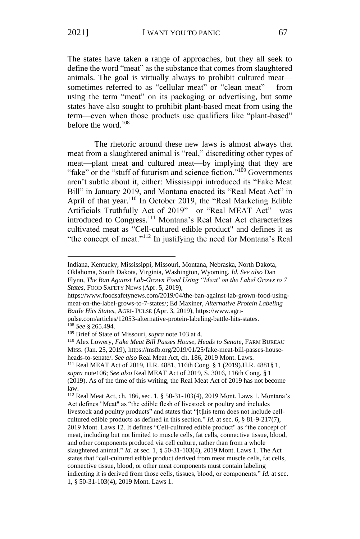The states have taken a range of approaches, but they all seek to define the word "meat" as the substance that comes from slaughtered animals. The goal is virtually always to prohibit cultured meat sometimes referred to as "cellular meat" or "clean meat"— from using the term "meat" on its packaging or advertising, but some states have also sought to prohibit plant-based meat from using the term—even when those products use qualifiers like "plant-based" before the word.<sup>108</sup>

The rhetoric around these new laws is almost always that meat from a slaughtered animal is "real," discrediting other types of meat—plant meat and cultured meat—by implying that they are "fake" or the "stuff of futurism and science fiction."<sup>109</sup> Governments aren't subtle about it, either: Mississippi introduced its "Fake Meat Bill" in January 2019, and Montana enacted its "Real Meat Act" in April of that year.<sup>110</sup> In October 2019, the "Real Marketing Edible Artificials Truthfully Act of 2019"—or "Real MEAT Act"—was introduced to Congress.<sup>111</sup> Montana's Real Meat Act characterizes cultivated meat as "Cell-cultured edible product" and defines it as "the concept of meat."<sup>112</sup> In justifying the need for Montana's Real

Indiana, Kentucky, Mississippi, Missouri, Montana, Nebraska, North Dakota, Oklahoma, South Dakota, Virginia, Washington, Wyoming. *Id. See also* Dan

Flynn, *The Ban Against Lab-Grown Food Using "Meat' on the Label Grows to 7 States*, FOOD SAFETY NEWS (Apr. 5, 2019),

https://www.foodsafetynews.com/2019/04/the-ban-against-lab-grown-food-usingmeat-on-the-label-grows-to-7-states/; Ed Maxiner, *Alternative Protein Labeling Battle Hits States*, AGRI- PULSE (Apr. 3, 2019), https://www.agri-

pulse.com/articles/12053-alternative-protein-labeling-battle-hits-states. <sup>108</sup> *See* § 265.494.

<sup>109</sup> Brief of State of Missouri, *supra* note 103 at 4.

<sup>110</sup> Alex Lowery, *Fake Meat Bill Passes House, Heads to Senate*, FARM BUREAU MISS. (Jan. 25, 2019), https://msfb.org/2019/01/25/fake-meat-bill-passes-househeads-to-senate/. *See also* Real Meat Act, ch. 186, 2019 Mont. Laws.

<sup>111</sup> Real MEAT Act of 2019, H.R. 4881, 116th Cong. § 1 (2019).H.R. 4881§ 1, *supra* note106; *See also* Real MEAT Act of 2019, S. 3016, 116th Cong. § 1 (2019). As of the time of this writing, the Real Meat Act of 2019 has not become law.

<sup>112</sup> Real Meat Act, ch. 186, sec. 1, § 50-31-103(4), 2019 Mont. Laws 1. Montana's Act defines "Meat" as "the edible flesh of livestock or poultry and includes livestock and poultry products" and states that "[t]his term does not include cellcultured edible products as defined in this section." *Id.* at sec. 6, § 81-9-217(7), 2019 Mont. Laws 12. It defines "Cell-cultured edible product" as "the concept of meat, including but not limited to muscle cells, fat cells, connective tissue, blood, and other components produced via cell culture, rather than from a whole slaughtered animal." *Id.* at sec. 1, § 50-31-103(4), 2019 Mont. Laws 1. The Act states that "cell-cultured edible product derived from meat muscle cells, fat cells, connective tissue, blood, or other meat components must contain labeling indicating it is derived from those cells, tissues, blood, or components." *Id.* at sec. 1, § 50-31-103(4), 2019 Mont. Laws 1.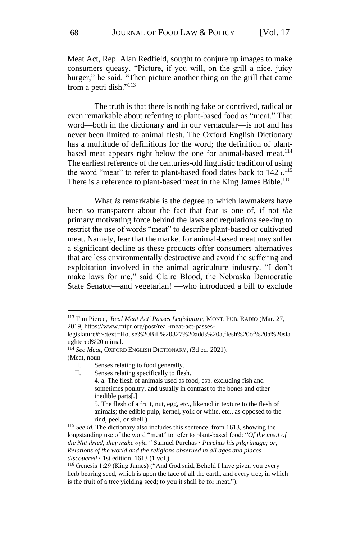Meat Act, Rep. Alan Redfield, sought to conjure up images to make consumers queasy. "Picture, if you will, on the grill a nice, juicy burger," he said. "Then picture another thing on the grill that came from a petri dish." $113$ 

The truth is that there is nothing fake or contrived, radical or even remarkable about referring to plant-based food as "meat." That word—both in the dictionary and in our vernacular—is not and has never been limited to animal flesh. The Oxford English Dictionary has a multitude of definitions for the word; the definition of plantbased meat appears right below the one for animal-based meat.<sup>114</sup> The earliest reference of the centuries-old linguistic tradition of using the word "meat" to refer to plant-based food dates back to 1425.<sup>115</sup> There is a reference to plant-based meat in the King James Bible.<sup>116</sup>

What *is* remarkable is the degree to which lawmakers have been so transparent about the fact that fear is one of, if not *the* primary motivating force behind the laws and regulations seeking to restrict the use of words "meat" to describe plant-based or cultivated meat. Namely, fear that the market for animal-based meat may suffer a significant decline as these products offer consumers alternatives that are less environmentally destructive and avoid the suffering and exploitation involved in the animal agriculture industry. "I don't make laws for me," said Claire Blood, the Nebraska Democratic State Senator—and vegetarian! —who introduced a bill to exclude

<sup>113</sup> Tim Pierce, *'Real Meat Act' Passes Legislature*, MONT. PUB. RADIO (Mar. 27, 2019, https://www.mtpr.org/post/real-meat-act-passes-

legislature#:~:text=House%20Bill%20327%20adds%20a,flesh%20of%20a%20sla ughtered%20animal.

<sup>114</sup> *See Meat*, OXFORD ENGLISH DICTIONARY, (3d ed. 2021). (Meat, noun

I. Senses relating to food generally.

II. Senses relating specifically to flesh.

<sup>4.</sup> a. The flesh of animals used as food, esp. excluding fish and sometimes poultry, and usually in contrast to the bones and other inedible parts[.]

<sup>5.</sup> The flesh of a fruit, nut, egg, etc., likened in texture to the flesh of animals; the edible pulp, kernel, yolk or white, etc., as opposed to the rind, peel, or shell.)

<sup>115</sup> *See id.* The dictionary also includes this sentence, from 1613, showing the longstanding use of the word "meat" to refer to plant-based food: "*Of the meat of the Nut dried, they make oyle."* Samuel Purchas · *Purchas his pilgrimage; or, Relations of the world and the religions obserued in all ages and places discouered* · 1st edition, 1613 (1 vol.).

<sup>116</sup> Genesis 1:29 (King James) ("And God said, Behold I have given you every herb bearing seed, which is upon the face of all the earth, and every tree, in which is the fruit of a tree yielding seed; to you it shall be for meat.").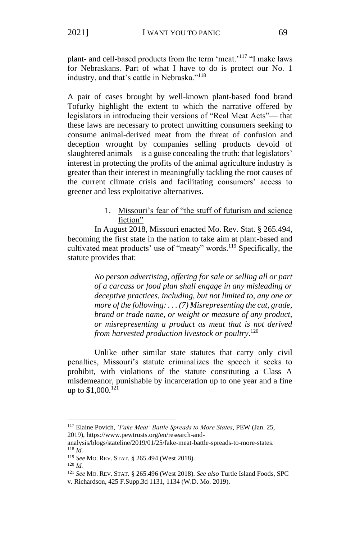plant- and cell-based products from the term 'meat.'<sup>117</sup> "I make laws for Nebraskans. Part of what I have to do is protect our No. 1 industry, and that's cattle in Nebraska."<sup>118</sup>

A pair of cases brought by well-known plant-based food brand Tofurky highlight the extent to which the narrative offered by legislators in introducing their versions of "Real Meat Acts"— that these laws are necessary to protect unwitting consumers seeking to consume animal-derived meat from the threat of confusion and deception wrought by companies selling products devoid of slaughtered animals—is a guise concealing the truth: that legislators' interest in protecting the profits of the animal agriculture industry is greater than their interest in meaningfully tackling the root causes of the current climate crisis and facilitating consumers' access to greener and less exploitative alternatives.

## 1. Missouri's fear of "the stuff of futurism and science fiction"

In August 2018, Missouri enacted Mo. Rev. Stat. § 265.494, becoming the first state in the nation to take aim at plant-based and cultivated meat products' use of "meaty" words.<sup>119</sup> Specifically, the statute provides that:

> *No person advertising, offering for sale or selling all or part of a carcass or food plan shall engage in any misleading or deceptive practices, including, but not limited to, any one or more of the following: . . . (7) Misrepresenting the cut, grade, brand or trade name, or weight or measure of any product, or misrepresenting a product as meat that is not derived from harvested production livestock or poultry*. 120

Unlike other similar state statutes that carry only civil penalties, Missouri's statute criminalizes the speech it seeks to prohibit, with violations of the statute constituting a Class A misdemeanor, punishable by incarceration up to one year and a fine up to  $$1,000$ <sup>121</sup>

<sup>117</sup> Elaine Povich, *'Fake Meat' Battle Spreads to More States*, PEW (Jan. 25, 2019), https://www.pewtrusts.org/en/research-and-

analysis/blogs/stateline/2019/01/25/fake-meat-battle-spreads-to-more-states. <sup>118</sup> *Id.*

<sup>119</sup> *See* MO. REV. STAT. § 265.494 (West 2018).

<sup>120</sup> *Id.*

<sup>121</sup> *See* MO. REV. STAT. § 265.496 (West 2018). *See also* Turtle Island Foods, SPC v. Richardson, 425 F.Supp.3d 1131, 1134 (W.D. Mo. 2019).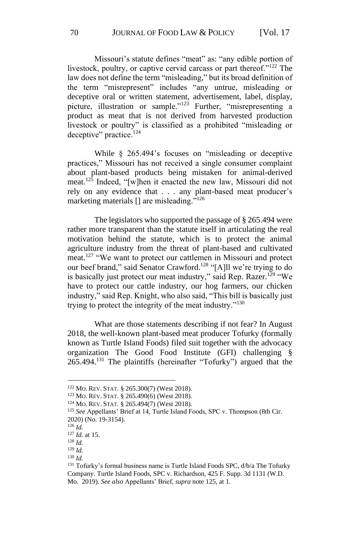Missouri's statute defines "meat" as: "any edible portion of livestock, poultry, or captive cervid carcass or part thereof."<sup>122</sup> The law does not define the term "misleading," but its broad definition of the term "misrepresent" includes "any untrue, misleading or deceptive oral or written statement, advertisement, label, display, picture, illustration or sample."<sup>123</sup> Further, "misrepresenting a product as meat that is not derived from harvested production livestock or poultry" is classified as a prohibited "misleading or deceptive" practice.<sup>124</sup>

While § 265.494's focuses on "misleading or deceptive practices," Missouri has not received a single consumer complaint about plant-based products being mistaken for animal-derived meat.<sup>125</sup> Indeed, "[w]hen it enacted the new law, Missouri did not rely on any evidence that . . . any plant-based meat producer's marketing materials [] are misleading."<sup>126</sup>

The legislators who supported the passage of § 265.494 were rather more transparent than the statute itself in articulating the real motivation behind the statute, which is to protect the animal agriculture industry from the threat of plant-based and cultivated meat.<sup>127</sup> "We want to protect our cattlemen in Missouri and protect our beef brand," said Senator Crawford.<sup>128</sup> "[A]ll we're trying to do is basically just protect our meat industry," said Rep. Razer.<sup>129</sup> "We have to protect our cattle industry, our hog farmers, our chicken industry," said Rep. Knight, who also said, "This bill is basically just trying to protect the integrity of the meat industry."<sup>130</sup>

What are those statements describing if not fear? In August 2018, the well-known plant-based meat producer Tofurky (formally known as Turtle Island Foods) filed suit together with the advocacy organization The Good Food Institute (GFI) challenging § 265.494.<sup>131</sup> The plaintiffs (hereinafter "Tofurky") argued that the

<sup>122</sup> MO. REV. STAT. § 265.300(7) (West 2018).

<sup>123</sup> MO. REV. STAT. § 265.490(6) (West 2018).

<sup>124</sup> MO. REV. STAT. § 265.494(7) (West 2018).

<sup>&</sup>lt;sup>125</sup> *See* Appellants' Brief at 14, Turtle Island Foods, SPC v. Thompson (8th Cir. 2020) (No. 19-3154).

<sup>126</sup> *Id.*

<sup>127</sup> *Id.* at 15.

<sup>128</sup> *Id.*

<sup>129</sup> *Id.* <sup>130</sup> *Id.*

<sup>&</sup>lt;sup>131</sup> Tofurky's formal business name is Turtle Island Foods SPC, d/b/a The Tofurky Company. Turtle Island Foods, SPC v. Richardson, 425 F. Supp. 3d 1131 (W.D. Mo. 2019). *See also* Appellants' Brief, *supra* note 125, at 1.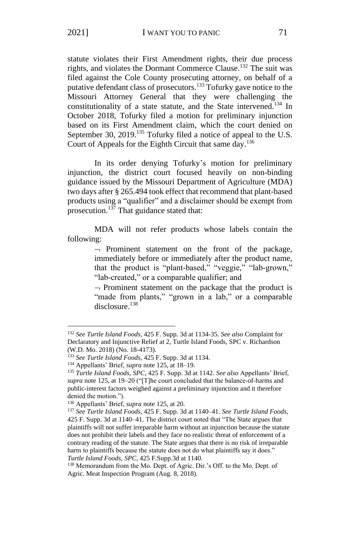statute violates their First Amendment rights, their due process rights, and violates the Dormant Commerce Clause.<sup>132</sup> The suit was filed against the Cole County prosecuting attorney, on behalf of a putative defendant class of prosecutors.<sup>133</sup> Tofurky gave notice to the Missouri Attorney General that they were challenging the constitutionality of a state statute, and the State intervened.<sup>134</sup> In October 2018, Tofurky filed a motion for preliminary injunction based on its First Amendment claim, which the court denied on September 30, 2019.<sup>135</sup> Tofurky filed a notice of appeal to the U.S. Court of Appeals for the Eighth Circuit that same day.<sup>136</sup>

In its order denying Tofurky's motion for preliminary injunction, the district court focused heavily on non-binding guidance issued by the Missouri Department of Agriculture (MDA) two days after § 265.494 took effect that recommend that plant-based products using a "qualifier" and a disclaimer should be exempt from prosecution.<sup>137</sup> That guidance stated that:

MDA will not refer products whose labels contain the following:

> $\neg$  Prominent statement on the front of the package, immediately before or immediately after the product name, that the product is "plant-based," "veggie," "lab-grown," "lab-created," or a comparable qualifier; and

> $\neg$  Prominent statement on the package that the product is "made from plants," "grown in a lab," or a comparable disclosure.<sup>138</sup>

<sup>132</sup> *See Turtle Island Foods*, 425 F. Supp. 3d at 1134-35. *See also* Complaint for Declaratory and Injunctive Relief at 2, Turtle Island Foods, SPC v. Richardson (W.D. Mo. 2018) (No. 18-4173).

<sup>133</sup> *See Turtle Island Foods*, 425 F. Supp. 3d at 1134.

<sup>134</sup> Appellants' Brief, *supra* note 125, at 18–19.

<sup>135</sup> *Turtle Island Foods, SPC*, 425 F. Supp. 3d at 1142. *See also* Appellants' Brief, *supra* note 125, at 19–20 ("[T]he court concluded that the balance-of-harms and public-interest factors weighed against a preliminary injunction and it therefore denied the motion.").

<sup>136</sup> Appellants' Brief, *supra* note 125, at 20.

<sup>137</sup> *See Turtle Island Foods*, 425 F. Supp. 3d at 1140–41. *See Turtle Island Foods*, 425 F. Supp. 3d at 1140–41. The district court noted that "The State argues that plaintiffs will not suffer irreparable harm without an injunction because the statute does not prohibit their labels and they face no realistic threat of enforcement of a contrary reading of the statute. The State argues that there is no risk of irreparable harm to plaintiffs because the statute does not do what plaintiffs say it does." *Turtle Island Foods, SPC*, 425 F.Supp.3d at 1140.

<sup>138</sup> Memorandum from the Mo. Dept. of Agric. Dir.'s Off. to the Mo. Dept. of Agric. Meat Inspection Program (Aug. 8, 2018).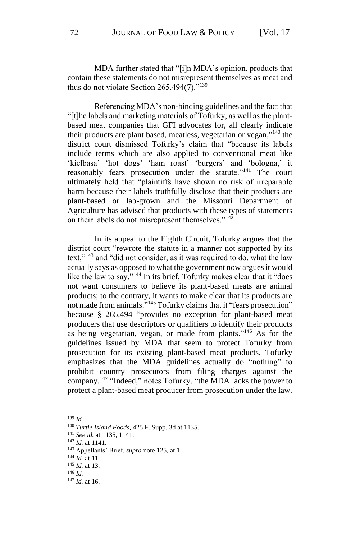MDA further stated that "[i]n MDA's opinion, products that contain these statements do not misrepresent themselves as meat and thus do not violate Section  $265.494(7)$ ."<sup>139</sup>

Referencing MDA's non-binding guidelines and the fact that "[t]he labels and marketing materials of Tofurky, as well as the plantbased meat companies that GFI advocates for, all clearly indicate their products are plant based, meatless, vegetarian or vegan,"<sup>140</sup> the district court dismissed Tofurky's claim that "because its labels include terms which are also applied to conventional meat like 'kielbasa' 'hot dogs' 'ham roast' 'burgers' and 'bologna,' it reasonably fears prosecution under the statute."<sup>141</sup> The court ultimately held that "plaintiffs have shown no risk of irreparable harm because their labels truthfully disclose that their products are plant-based or lab-grown and the Missouri Department of Agriculture has advised that products with these types of statements on their labels do not misrepresent themselves."<sup>142</sup>

In its appeal to the Eighth Circuit, Tofurky argues that the district court "rewrote the statute in a manner not supported by its text,"<sup>143</sup> and "did not consider, as it was required to do, what the law actually says as opposed to what the government now argues it would like the law to say."<sup>144</sup> In its brief, Tofurky makes clear that it "does not want consumers to believe its plant-based meats are animal products; to the contrary, it wants to make clear that its products are not made from animals."<sup>145</sup> Tofurky claims that it "fears prosecution" because § 265.494 "provides no exception for plant-based meat producers that use descriptors or qualifiers to identify their products as being vegetarian, vegan, or made from plants."<sup>146</sup> As for the guidelines issued by MDA that seem to protect Tofurky from prosecution for its existing plant-based meat products, Tofurky emphasizes that the MDA guidelines actually do "nothing" to prohibit country prosecutors from filing charges against the company.<sup>147</sup> "Indeed," notes Tofurky, "the MDA lacks the power to protect a plant-based meat producer from prosecution under the law.

<sup>139</sup> *Id.*

<sup>140</sup> *Turtle Island Foods*, 425 F. Supp. 3d at 1135.

<sup>141</sup> *See id.* at 1135, 1141.

<sup>142</sup> *Id.* at 1141.

<sup>143</sup> Appellants' Brief, *supra* note 125, at 1.

<sup>144</sup> *Id.* at 11.

<sup>145</sup> *Id.* at 13.

<sup>146</sup> *Id.*

<sup>147</sup> *Id.* at 16.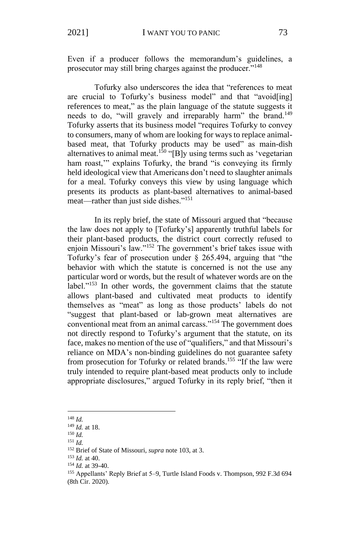Even if a producer follows the memorandum's guidelines, a prosecutor may still bring charges against the producer."<sup>148</sup>

Tofurky also underscores the idea that "references to meat are crucial to Tofurky's business model" and that "avoid[ing] references to meat," as the plain language of the statute suggests it needs to do, "will gravely and irreparably harm" the brand.<sup>149</sup> Tofurky asserts that its business model "requires Tofurky to convey to consumers, many of whom are looking for ways to replace animalbased meat, that Tofurky products may be used" as main-dish alternatives to animal meat.<sup>150</sup> "[B]y using terms such as 'vegetarian ham roast," explains Tofurky, the brand "is conveying its firmly held ideological view that Americans don't need to slaughter animals for a meal. Tofurky conveys this view by using language which presents its products as plant-based alternatives to animal-based meat—rather than just side dishes."<sup>151</sup>

In its reply brief, the state of Missouri argued that "because the law does not apply to [Tofurky's] apparently truthful labels for their plant-based products, the district court correctly refused to enjoin Missouri's law."<sup>152</sup> The government's brief takes issue with Tofurky's fear of prosecution under § 265.494, arguing that "the behavior with which the statute is concerned is not the use any particular word or words, but the result of whatever words are on the label."<sup>153</sup> In other words, the government claims that the statute allows plant-based and cultivated meat products to identify themselves as "meat" as long as those products' labels do not "suggest that plant-based or lab-grown meat alternatives are conventional meat from an animal carcass."<sup>154</sup> The government does not directly respond to Tofurky's argument that the statute, on its face, makes no mention of the use of "qualifiers," and that Missouri's reliance on MDA's non-binding guidelines do not guarantee safety from prosecution for Tofurky or related brands.<sup>155</sup> "If the law were truly intended to require plant-based meat products only to include appropriate disclosures," argued Tofurky in its reply brief, "then it

<sup>148</sup> *Id.* 

<sup>149</sup> *Id.* at 18.

<sup>150</sup> *Id.*

<sup>151</sup> *Id.*

<sup>152</sup> Brief of State of Missouri, *supra* note 103, at 3.

<sup>153</sup> *Id.* at 40.

<sup>154</sup> *Id.* at 39-40.

<sup>155</sup> Appellants' Reply Brief at 5–9, Turtle Island Foods v. Thompson, 992 F.3d 694 (8th Cir. 2020).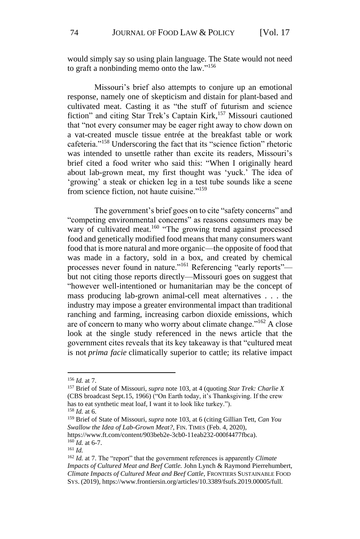would simply say so using plain language. The State would not need to graft a nonbinding memo onto the law."<sup>156</sup>

Missouri's brief also attempts to conjure up an emotional response, namely one of skepticism and distain for plant-based and cultivated meat. Casting it as "the stuff of futurism and science fiction" and citing Star Trek's Captain Kirk,<sup>157</sup> Missouri cautioned that "not every consumer may be eager right away to chow down on a vat-created muscle tissue entrée at the breakfast table or work cafeteria."<sup>158</sup> Underscoring the fact that its "science fiction" rhetoric was intended to unsettle rather than excite its readers, Missouri's brief cited a food writer who said this: "When I originally heard about lab-grown meat, my first thought was 'yuck.' The idea of 'growing' a steak or chicken leg in a test tube sounds like a scene from science fiction, not haute cuisine."<sup>159</sup>

The government's brief goes on to cite "safety concerns" and "competing environmental concerns" as reasons consumers may be wary of cultivated meat.<sup>160</sup> "The growing trend against processed food and genetically modified food means that many consumers want food that is more natural and more organic—the opposite of food that was made in a factory, sold in a box, and created by chemical processes never found in nature."<sup>161</sup> Referencing "early reports"but not citing those reports directly—Missouri goes on suggest that "however well-intentioned or humanitarian may be the concept of mass producing lab-grown animal-cell meat alternatives . . . the industry may impose a greater environmental impact than traditional ranching and farming, increasing carbon dioxide emissions, which are of concern to many who worry about climate change."<sup>162</sup> A close look at the single study referenced in the news article that the government cites reveals that its key takeaway is that "cultured meat is not *prima facie* climatically superior to cattle; its relative impact

https://www.ft.com/content/903beb2e-3cb0-11eab232-000f4477fbca). <sup>160</sup> *Id.* at 6-7.

<sup>161</sup> *Id.*

<sup>156</sup> *Id.* at 7.

<sup>157</sup> Brief of State of Missouri, *supra* note 103, at 4 (quoting *Star Trek: Charlie X* (CBS broadcast Sept.15, 1966) ("On Earth today, it's Thanksgiving. If the crew has to eat synthetic meat loaf, I want it to look like turkey.").

<sup>158</sup> *Id.* at 6.

<sup>159</sup> Brief of State of Missouri, *supra* note 103, at 6 (citing Gillian Tett, *Can You Swallow the Idea of Lab-Grown Meat?*, FIN. TIMES (Feb. 4, 2020),

<sup>162</sup> *Id.* at 7. The "report" that the government references is apparently *Climate Impacts of Cultured Meat and Beef Cattle.* John Lynch & Raymond Pierrehumbert, *Climate Impacts of Cultured Meat and Beef Cattle*, FRONTIERS SUSTAINABLE FOOD SYS. (2019), https://www.frontiersin.org/articles/10.3389/fsufs.2019.00005/full.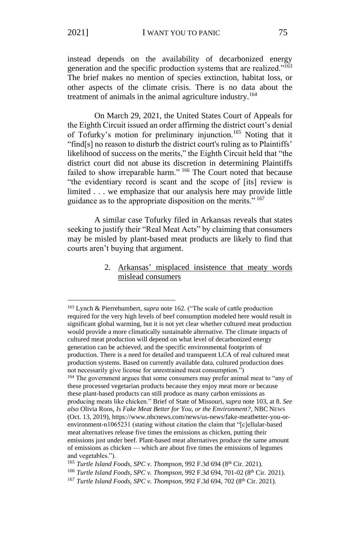instead depends on the availability of decarbonized energy generation and the specific production systems that are realized."<sup>163</sup> The brief makes no mention of species extinction, habitat loss, or other aspects of the climate crisis. There is no data about the treatment of animals in the animal agriculture industry.<sup>164</sup>

On March 29, 2021, the United States Court of Appeals for the Eighth Circuit issued an order affirming the district court's denial of Tofurky's motion for preliminary injunction.<sup>165</sup> Noting that it "find[s] no reason to disturb the district court's ruling as to Plaintiffs' likelihood of success on the merits," the Eighth Circuit held that "the district court did not abuse its discretion in determining Plaintiffs failed to show irreparable harm." <sup>166</sup> The Court noted that because "the evidentiary record is scant and the scope of [its] review is limited . . . we emphasize that our analysis here may provide little guidance as to the appropriate disposition on the merits."<sup>167</sup>

A similar case Tofurky filed in Arkansas reveals that states seeking to justify their "Real Meat Acts" by claiming that consumers may be misled by plant-based meat products are likely to find that courts aren't buying that argument.

> 2. Arkansas' misplaced insistence that meaty words mislead consumers

<sup>163</sup> Lynch & Pierrehumbert, *supra* note 162*.* ("The scale of cattle production required for the very high levels of beef consumption modeled here would result in significant global warming, but it is not yet clear whether cultured meat production would provide a more climatically sustainable alternative. The climate impacts of cultured meat production will depend on what level of decarbonized energy generation can be achieved, and the specific environmental footprints of production. There is a need for detailed and transparent LCA of real cultured meat production systems. Based on currently available data, cultured production does not necessarily give license for unrestrained meat consumption.")

<sup>&</sup>lt;sup>164</sup> The government argues that some consumers may prefer animal meat to "any of these processed vegetarian products because they enjoy meat more or because these plant-based products can still produce as many carbon emissions as producing meats like chicken." Brief of State of Missouri, *supra* note 103, at 8. *See also* Olivia Roos, *Is Fake Meat Better for You, or the Environment?*, NBC NEWS (Oct. 13, 2019), https://www.nbcnews.com/news/us-news/fake-meatbetter-you-orenvironment-n1065231 (stating without citation the claim that "[c]ellular-based meat alternatives release five times the emissions as chicken, putting their emissions just under beef. Plant-based meat alternatives produce the same amount of emissions as chicken — which are about five times the emissions of legumes and vegetables.").

<sup>&</sup>lt;sup>165</sup> *Turtle Island Foods, SPC v. Thompson, 992 F.3d 694 (8th Cir. 2021).* 

<sup>&</sup>lt;sup>166</sup> Turtle Island Foods, SPC v. Thompson, 992 F.3d 694, 701-02 (8<sup>th</sup> Cir. 2021).

<sup>&</sup>lt;sup>167</sup> *Turtle Island Foods, SPC v. Thompson,* 992 F.3d 694, 702 (8<sup>th</sup> Cir. 2021).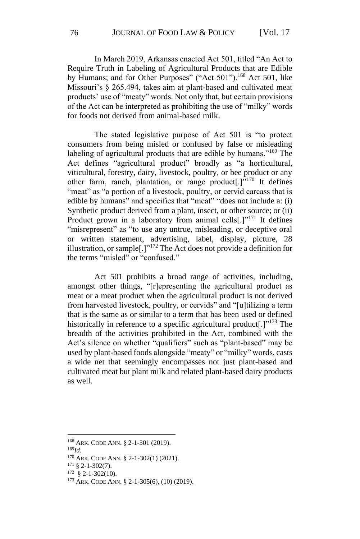In March 2019, Arkansas enacted Act 501, titled "An Act to Require Truth in Labeling of Agricultural Products that are Edible by Humans; and for Other Purposes" ("Act 501").<sup>168</sup> Act 501, like Missouri's § 265.494, takes aim at plant-based and cultivated meat products' use of "meaty" words. Not only that, but certain provisions of the Act can be interpreted as prohibiting the use of "milky" words for foods not derived from animal-based milk.

The stated legislative purpose of Act 501 is "to protect consumers from being misled or confused by false or misleading labeling of agricultural products that are edible by humans."<sup>169</sup> The Act defines "agricultural product" broadly as "a horticultural, viticultural, forestry, dairy, livestock, poultry, or bee product or any other farm, ranch, plantation, or range product[.]"<sup>170</sup> It defines "meat" as "a portion of a livestock, poultry, or cervid carcass that is edible by humans" and specifies that "meat" "does not include a: (i) Synthetic product derived from a plant, insect, or other source; or (ii) Product grown in a laboratory from animal cells<sup>[1]</sup><sup>171</sup> It defines "misrepresent" as "to use any untrue, misleading, or deceptive oral or written statement, advertising, label, display, picture, 28 illustration, or sample[.]"<sup>172</sup> The Act does not provide a definition for the terms "misled" or "confused."

Act 501 prohibits a broad range of activities, including, amongst other things, "[r]epresenting the agricultural product as meat or a meat product when the agricultural product is not derived from harvested livestock, poultry, or cervids" and "[u]tilizing a term that is the same as or similar to a term that has been used or defined historically in reference to a specific agricultural product<sup>[1,173</sup> The breadth of the activities prohibited in the Act, combined with the Act's silence on whether "qualifiers" such as "plant-based" may be used by plant-based foods alongside "meaty" or "milky" words, casts a wide net that seemingly encompasses not just plant-based and cultivated meat but plant milk and related plant-based dairy products as well.

<sup>169</sup>*Id.*

<sup>168</sup> ARK. CODE ANN. § 2-1-301 (2019).

<sup>170</sup> ARK. CODE ANN. § 2-1-302(1) (2021).

<sup>171</sup> § 2-1-302(7).

 $172 \text{ } \text{§ } 2 - 1 - 302(10).$ 

<sup>173</sup> ARK. CODE ANN. § 2-1-305(6), (10) (2019).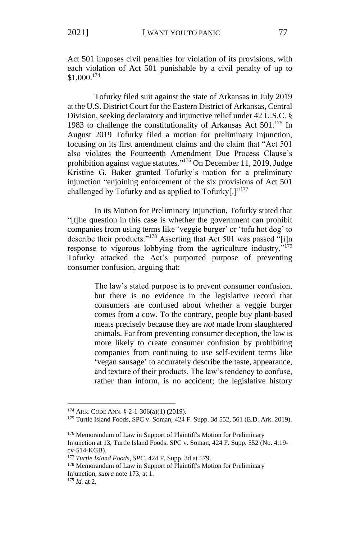Act 501 imposes civil penalties for violation of its provisions, with each violation of Act 501 punishable by a civil penalty of up to \$1,000.<sup>174</sup>

Tofurky filed suit against the state of Arkansas in July 2019 at the U.S. District Court for the Eastern District of Arkansas, Central Division, seeking declaratory and injunctive relief under 42 U.S.C. § 1983 to challenge the constitutionality of Arkansas Act  $501$ .<sup>175</sup> In August 2019 Tofurky filed a motion for preliminary injunction, focusing on its first amendment claims and the claim that "Act 501 also violates the Fourteenth Amendment Due Process Clause's prohibition against vague statutes."<sup>176</sup> On December 11, 2019, Judge Kristine G. Baker granted Tofurky's motion for a preliminary injunction "enjoining enforcement of the six provisions of Act 501 challenged by Tofurky and as applied to Tofurky[.] $"177$ 

In its Motion for Preliminary Injunction, Tofurky stated that "[t]he question in this case is whether the government can prohibit companies from using terms like 'veggie burger' or 'tofu hot dog' to describe their products."<sup>178</sup> Asserting that Act 501 was passed "[i]n response to vigorous lobbying from the agriculture industry,"<sup>179</sup> Tofurky attacked the Act's purported purpose of preventing consumer confusion, arguing that:

> The law's stated purpose is to prevent consumer confusion, but there is no evidence in the legislative record that consumers are confused about whether a veggie burger comes from a cow. To the contrary, people buy plant-based meats precisely because they are *not* made from slaughtered animals. Far from preventing consumer deception, the law is more likely to create consumer confusion by prohibiting companies from continuing to use self-evident terms like 'vegan sausage' to accurately describe the taste, appearance, and texture of their products. The law's tendency to confuse, rather than inform, is no accident; the legislative history

<sup>174</sup> ARK. CODE ANN. § 2-1-306(a)(1) (2019).

<sup>175</sup> Turtle Island Foods, SPC v. Soman, 424 F. Supp. 3d 552, 561 (E.D. Ark. 2019).

<sup>&</sup>lt;sup>176</sup> Memorandum of Law in Support of Plaintiff's Motion for Preliminary Injunction at 13, Turtle Island Foods, SPC v. Soman, 424 F. Supp. 552 (No. 4:19 cv-514-KGB).

<sup>177</sup> *Turtle Island Foods, SPC*, 424 F. Supp. 3d at 579.

<sup>&</sup>lt;sup>178</sup> Memorandum of Law in Support of Plaintiff's Motion for Preliminary Injunction, *supra* note 173, at 1.

<sup>179</sup> *Id.* at 2.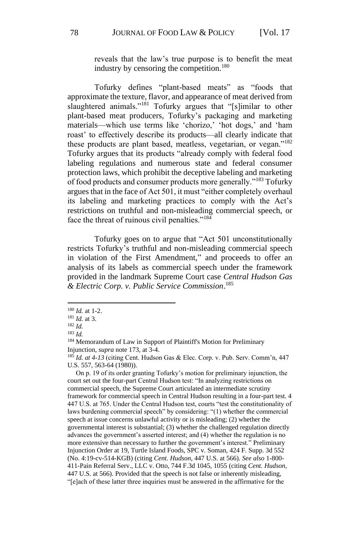reveals that the law's true purpose is to benefit the meat industry by censoring the competition.<sup>180</sup>

Tofurky defines "plant-based meats" as "foods that approximate the texture, flavor, and appearance of meat derived from slaughtered animals."<sup>181</sup> Tofurky argues that "[s]imilar to other plant-based meat producers, Tofurky's packaging and marketing materials—which use terms like 'chorizo,' 'hot dogs,' and 'ham roast' to effectively describe its products—all clearly indicate that these products are plant based, meatless, vegetarian, or vegan."<sup>182</sup> Tofurky argues that its products "already comply with federal food labeling regulations and numerous state and federal consumer protection laws, which prohibit the deceptive labeling and marketing of food products and consumer products more generally."<sup>183</sup> Tofurky argues that in the face of Act 501, it must "either completely overhaul its labeling and marketing practices to comply with the Act's restrictions on truthful and non-misleading commercial speech, or face the threat of ruinous civil penalties." $184$ 

Tofurky goes on to argue that "Act 501 unconstitutionally restricts Tofurky's truthful and non-misleading commercial speech in violation of the First Amendment," and proceeds to offer an analysis of its labels as commercial speech under the framework provided in the landmark Supreme Court case *Central Hudson Gas & Electric Corp. v. Public Service Commission*. 185

 On p. 19 of its order granting Tofurky's motion for preliminary injunction, the court set out the four-part Central Hudson test: "In analyzing restrictions on commercial speech, the Supreme Court articulated an intermediate scrutiny framework for commercial speech in Central Hudson resulting in a four-part test. 4 447 U.S. at 765. Under the Central Hudson test, courts "test the constitutionality of laws burdening commercial speech" by considering: "(1) whether the commercial speech at issue concerns unlawful activity or is misleading; (2) whether the governmental interest is substantial; (3) whether the challenged regulation directly advances the government's asserted interest; and (4) whether the regulation is no more extensive than necessary to further the government's interest." Preliminary Injunction Order at 19, Turtle Island Foods, SPC v. Soman, 424 F. Supp. 3d 552 (No. 4:19-cv-514-KGB) (citing *Cent. Hudson*, 447 U.S. at 566). *See also* 1-800- 411-Pain Referral Serv., LLC v. Otto, 744 F.3d 1045, 1055 (citing *Cent. Hudson*, 447 U.S. at 566). Provided that the speech is not false or inherently misleading, "[e]ach of these latter three inquiries must be answered in the affirmative for the

<sup>180</sup> *Id.* at 1-2.

<sup>181</sup> *Id.* at 3.

<sup>182</sup> *Id.*

<sup>183</sup> *Id.*

<sup>&</sup>lt;sup>184</sup> Memorandum of Law in Support of Plaintiff's Motion for Preliminary Injunction, *supra* note 173, at 3-4.

<sup>185</sup> *Id. at 4-13* (citing Cent. Hudson Gas & Elec. Corp. v. Pub. Serv. Comm'n, 447 U.S. 557, 563-64 (1980)).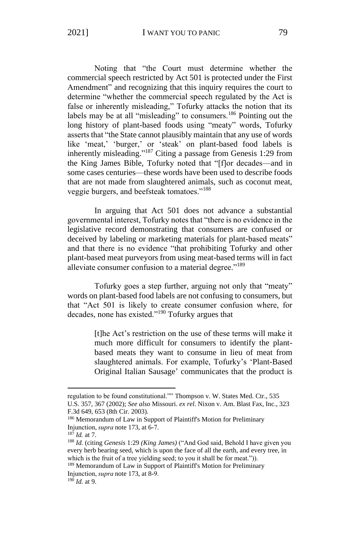Noting that "the Court must determine whether the commercial speech restricted by Act 501 is protected under the First Amendment" and recognizing that this inquiry requires the court to determine "whether the commercial speech regulated by the Act is false or inherently misleading," Tofurky attacks the notion that its labels may be at all "misleading" to consumers.<sup>186</sup> Pointing out the long history of plant-based foods using "meaty" words, Tofurky asserts that "the State cannot plausibly maintain that any use of words like 'meat,' 'burger,' or 'steak' on plant-based food labels is inherently misleading."<sup>187</sup> Citing a passage from Genesis 1:29 from the King James Bible, Tofurky noted that "[f]or decades—and in some cases centuries—these words have been used to describe foods that are not made from slaughtered animals, such as coconut meat, veggie burgers, and beefsteak tomatoes."<sup>188</sup>

In arguing that Act 501 does not advance a substantial governmental interest, Tofurky notes that "there is no evidence in the legislative record demonstrating that consumers are confused or deceived by labeling or marketing materials for plant-based meats" and that there is no evidence "that prohibiting Tofurky and other plant-based meat purveyors from using meat-based terms will in fact alleviate consumer confusion to a material degree."<sup>189</sup>

Tofurky goes a step further, arguing not only that "meaty" words on plant-based food labels are not confusing to consumers, but that "Act 501 is likely to create consumer confusion where, for decades, none has existed."<sup>190</sup> Tofurky argues that

> [t]he Act's restriction on the use of these terms will make it much more difficult for consumers to identify the plantbased meats they want to consume in lieu of meat from slaughtered animals. For example, Tofurky's 'Plant-Based Original Italian Sausage' communicates that the product is

<sup>189</sup> Memorandum of Law in Support of Plaintiff's Motion for Preliminary Injunction, *supra*note 173, at 8-9. 

regulation to be found constitutional."" Thompson v. W. States Med. Ctr., 535 U.S. 357, 367 (2002); *See also* Missouri. *ex rel*. Nixon v. Am. Blast Fax, Inc., 323 F.3d 649, 653 (8th Cir. 2003).

<sup>186</sup> Memorandum of Law in Support of Plaintiff's Motion for Preliminary Injunction, *supra*note 173, at 6-7.  

<sup>187</sup> *Id.* at 7.

<sup>188</sup> *Id.* (citing *Genesis* 1:29 *(King James)* ("And God said, Behold I have given you every herb bearing seed, which is upon the face of all the earth, and every tree, in which is the fruit of a tree yielding seed; to you it shall be for meat.")).

<sup>190</sup> *Id.* at 9.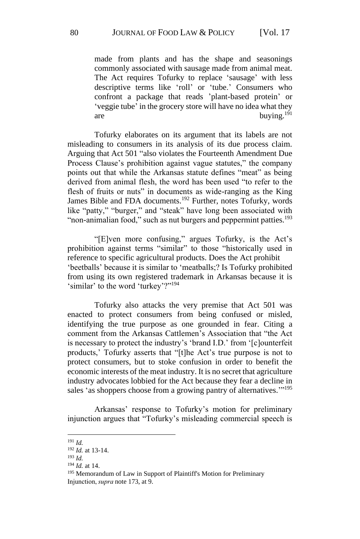made from plants and has the shape and seasonings commonly associated with sausage made from animal meat. The Act requires Tofurky to replace 'sausage' with less descriptive terms like 'roll' or 'tube.' Consumers who confront a package that reads 'plant-based protein' or 'veggie tube' in the grocery store will have no idea what they are buying.<sup>191</sup>

Tofurky elaborates on its argument that its labels are not misleading to consumers in its analysis of its due process claim. Arguing that Act 501 "also violates the Fourteenth Amendment Due Process Clause's prohibition against vague statutes," the company points out that while the Arkansas statute defines "meat" as being derived from animal flesh, the word has been used "to refer to the flesh of fruits or nuts" in documents as wide-ranging as the King James Bible and FDA documents.<sup>192</sup> Further, notes Tofurky, words like "patty," "burger," and "steak" have long been associated with "non-animalian food," such as nut burgers and peppermint patties.<sup>193</sup>

"[E]ven more confusing," argues Tofurky, is the Act's prohibition against terms "similar" to those "historically used in reference to specific agricultural products. Does the Act prohibit 'beetballs' because it is similar to 'meatballs;? Is Tofurky prohibited from using its own registered trademark in Arkansas because it is 'similar' to the word 'turkey'?"<sup>194</sup>

Tofurky also attacks the very premise that Act 501 was enacted to protect consumers from being confused or misled, identifying the true purpose as one grounded in fear. Citing a comment from the Arkansas Cattlemen's Association that "the Act is necessary to protect the industry's 'brand I.D.' from '[c]ounterfeit products,' Tofurky asserts that "[t]he Act's true purpose is not to protect consumers, but to stoke confusion in order to benefit the economic interests of the meat industry. It is no secret that agriculture industry advocates lobbied for the Act because they fear a decline in sales 'as shoppers choose from a growing pantry of alternatives."<sup>195</sup>

Arkansas' response to Tofurky's motion for preliminary injunction argues that "Tofurky's misleading commercial speech is

<sup>191</sup> *Id.*

<sup>192</sup> *Id.* at 13-14.

<sup>193</sup> *Id.*

<sup>194</sup> *Id.* at 14.

<sup>&</sup>lt;sup>195</sup> Memorandum of Law in Support of Plaintiff's Motion for Preliminary Injunction, *supra*note 173, at 9.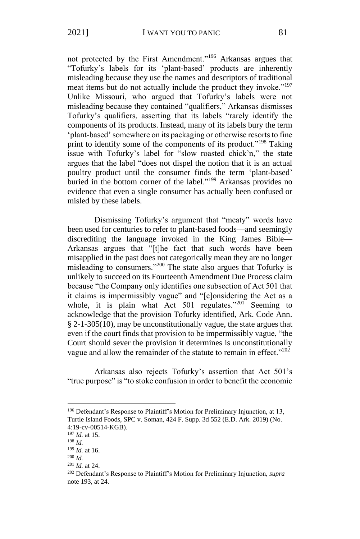not protected by the First Amendment."<sup>196</sup> Arkansas argues that "Tofurky's labels for its 'plant-based' products are inherently misleading because they use the names and descriptors of traditional meat items but do not actually include the product they invoke."<sup>197</sup> Unlike Missouri, who argued that Tofurky's labels were not misleading because they contained "qualifiers," Arkansas dismisses Tofurky's qualifiers, asserting that its labels "rarely identify the components of its products. Instead, many of its labels bury the term 'plant-based' somewhere on its packaging or otherwise resorts to fine print to identify some of the components of its product."<sup>198</sup> Taking issue with Tofurky's label for "slow roasted chick'n," the state argues that the label "does not dispel the notion that it is an actual poultry product until the consumer finds the term 'plant-based' buried in the bottom corner of the label."<sup>199</sup> Arkansas provides no evidence that even a single consumer has actually been confused or misled by these labels.

Dismissing Tofurky's argument that "meaty" words have been used for centuries to refer to plant-based foods—and seemingly discrediting the language invoked in the King James Bible— Arkansas argues that "[t]he fact that such words have been misapplied in the past does not categorically mean they are no longer misleading to consumers."<sup>200</sup> The state also argues that Tofurky is unlikely to succeed on its Fourteenth Amendment Due Process claim because "the Company only identifies one subsection of Act 501 that it claims is impermissibly vague" and "[c]onsidering the Act as a whole, it is plain what Act 501 regulates."<sup>201</sup> Seeming to acknowledge that the provision Tofurky identified, Ark. Code Ann. § 2-1-305(10), may be unconstitutionally vague, the state argues that even if the court finds that provision to be impermissibly vague, "the Court should sever the provision it determines is unconstitutionally vague and allow the remainder of the statute to remain in effect."<sup>202</sup>

Arkansas also rejects Tofurky's assertion that Act 501's "true purpose" is "to stoke confusion in order to benefit the economic

<sup>196</sup> Defendant's Response to Plaintiff's Motion for Preliminary Injunction, at 13, Turtle Island Foods, SPC v. Soman, 424 F. Supp. 3d 552 (E.D. Ark. 2019) (No. 4:19-cv-00514-KGB).

<sup>197</sup> *Id.* at 15.

<sup>198</sup> *Id.*

<sup>199</sup> *Id.* at 16.

<sup>200</sup> *Id.*

<sup>201</sup> *Id.* at 24.

<sup>202</sup> Defendant's Response to Plaintiff's Motion for Preliminary Injunction, *supra*  note 193, at 24.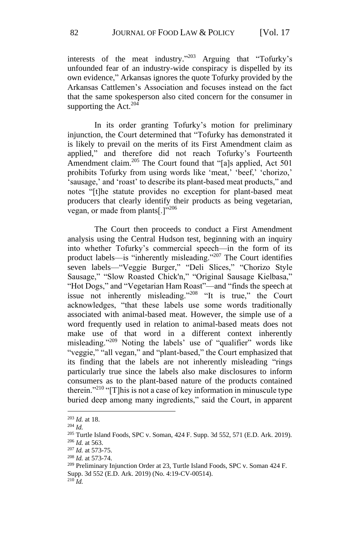interests of the meat industry." <sup>203</sup> Arguing that "Tofurky's unfounded fear of an industry-wide conspiracy is dispelled by its own evidence," Arkansas ignores the quote Tofurky provided by the Arkansas Cattlemen's Association and focuses instead on the fact that the same spokesperson also cited concern for the consumer in supporting the  $\rm{Act.}^{204}$ 

In its order granting Tofurky's motion for preliminary injunction, the Court determined that "Tofurky has demonstrated it is likely to prevail on the merits of its First Amendment claim as applied," and therefore did not reach Tofurky's Fourteenth Amendment claim.<sup>205</sup> The Court found that "[a]s applied, Act 501 prohibits Tofurky from using words like 'meat,' 'beef,' 'chorizo,' 'sausage,' and 'roast' to describe its plant-based meat products," and notes "[t]he statute provides no exception for plant-based meat producers that clearly identify their products as being vegetarian, vegan, or made from plants[.]"<sup>206</sup>

The Court then proceeds to conduct a First Amendment analysis using the Central Hudson test, beginning with an inquiry into whether Tofurky's commercial speech—in the form of its product labels—is "inherently misleading."<sup>207</sup> The Court identifies seven labels—"Veggie Burger," "Deli Slices," "Chorizo Style Sausage," "Slow Roasted Chick'n," "Original Sausage Kielbasa," "Hot Dogs," and "Vegetarian Ham Roast"—and "finds the speech at issue not inherently misleading."<sup>208</sup> "It is true," the Court acknowledges, "that these labels use some words traditionally associated with animal-based meat. However, the simple use of a word frequently used in relation to animal-based meats does not make use of that word in a different context inherently misleading."<sup>209</sup> Noting the labels' use of "qualifier" words like "veggie," "all vegan," and "plant-based," the Court emphasized that its finding that the labels are not inherently misleading "rings particularly true since the labels also make disclosures to inform consumers as to the plant-based nature of the products contained therein."<sup>210</sup> "[T]his is not a case of key information in minuscule type buried deep among many ingredients," said the Court, in apparent

<sup>203</sup> *Id.* at 18.

<sup>204</sup> *Id.*

<sup>205</sup> Turtle Island Foods, SPC v. Soman, 424 F. Supp. 3d 552, 571 (E.D. Ark. 2019). <sup>206</sup> *Id.* at 563.

<sup>207</sup> *Id.* at 573-75.

<sup>208</sup> *Id.* at 573-74.

<sup>209</sup> Preliminary Injunction Order at 23, Turtle Island Foods, SPC v. Soman 424 F. Supp. 3d 552 (E.D. Ark. 2019) (No. 4:19-CV-00514).

 $210$   $\overline{Id}$ .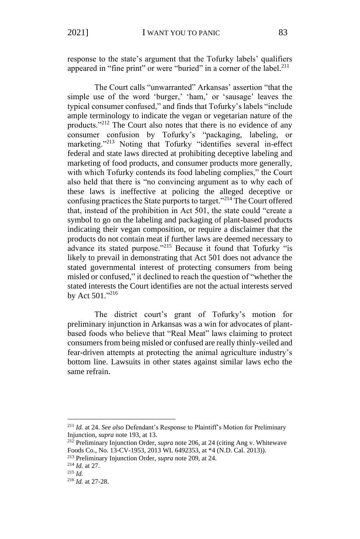response to the state's argument that the Tofurky labels' qualifiers appeared in "fine print" or were "buried" in a corner of the label.<sup>211</sup>

The Court calls "unwarranted" Arkansas' assertion "that the simple use of the word 'burger,' 'ham,' or 'sausage' leaves the typical consumer confused," and finds that Tofurky's labels "include ample terminology to indicate the vegan or vegetarian nature of the products."<sup>212</sup> The Court also notes that there is no evidence of any consumer confusion by Tofurky's "packaging, labeling, or marketing."<sup>213</sup> Noting that Tofurky "identifies several in-effect federal and state laws directed at prohibiting deceptive labeling and marketing of food products, and consumer products more generally, with which Tofurky contends its food labeling complies," the Court also held that there is "no convincing argument as to why each of these laws is ineffective at policing the alleged deceptive or confusing practices the State purports to target."<sup>214</sup> The Court offered that, instead of the prohibition in Act 501, the state could "create a symbol to go on the labeling and packaging of plant-based products indicating their vegan composition, or require a disclaimer that the products do not contain meat if further laws are deemed necessary to advance its stated purpose."<sup>215</sup> Because it found that Tofurky "is likely to prevail in demonstrating that Act 501 does not advance the stated governmental interest of protecting consumers from being misled or confused," it declined to reach the question of "whether the stated interests the Court identifies are not the actual interests served by Act 501."216

The district court's grant of Tofurky's motion for preliminary injunction in Arkansas was a win for advocates of plantbased foods who believe that "Real Meat" laws claiming to protect consumers from being misled or confused are really thinly-veiled and fear-driven attempts at protecting the animal agriculture industry's bottom line. Lawsuits in other states against similar laws echo the same refrain.

<sup>211</sup> *Id.* at 24. *See also* Defendant's Response to Plaintiff's Motion for Preliminary Injunction, *supra* note 193, at 13.

<sup>212</sup> Preliminary Injunction Order, *supra* note 206, at 24 (citing Ang v. Whitewave Foods Co., No. 13-CV-1953, 2013 WL 6492353, at \*4 (N.D. Cal. 2013)).

<sup>213</sup> Preliminary Injunction Order, *supra* note 209, at 24.

<sup>214</sup> *Id.* at 27.

<sup>215</sup> *Id.*

<sup>216</sup> *Id.* at 27-28.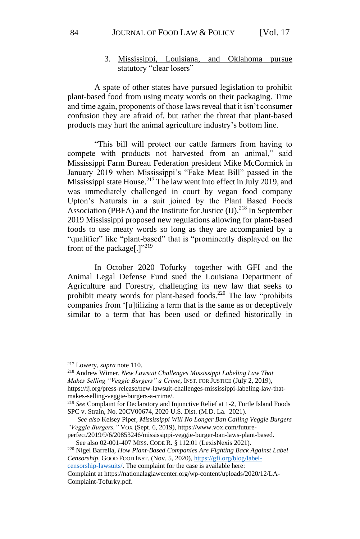## 3. Mississippi, Louisiana, and Oklahoma pursue statutory "clear losers"

A spate of other states have pursued legislation to prohibit plant-based food from using meaty words on their packaging. Time and time again, proponents of those laws reveal that it isn't consumer confusion they are afraid of, but rather the threat that plant-based products may hurt the animal agriculture industry's bottom line.

"This bill will protect our cattle farmers from having to compete with products not harvested from an animal," said Mississippi Farm Bureau Federation president Mike McCormick in January 2019 when Mississippi's "Fake Meat Bill" passed in the Mississippi state House.<sup>217</sup> The law went into effect in July 2019, and was immediately challenged in court by vegan food company Upton's Naturals in a suit joined by the Plant Based Foods Association (PBFA) and the Institute for Justice  $(II)$ .<sup>218</sup> In September 2019 Mississippi proposed new regulations allowing for plant-based foods to use meaty words so long as they are accompanied by a "qualifier" like "plant-based" that is "prominently displayed on the front of the package[.] $"^{219}$ 

In October 2020 Tofurky—together with GFI and the Animal Legal Defense Fund sued the Louisiana Department of Agriculture and Forestry, challenging its new law that seeks to prohibit meaty words for plant-based foods.<sup>220</sup> The law "prohibits" companies from '[u]tilizing a term that is the same as or deceptively similar to a term that has been used or defined historically in

[censorship-lawsuits/.](https://gfi.org/blog/label-censorship-lawsuits/) The complaint for the case is available here:

<sup>217</sup> Lowery, *supra* note 110.

<sup>218</sup> Andrew Wimer, *New Lawsuit Challenges Mississippi Labeling Law That Makes Selling "Veggie Burgers" a Crime*, INST. FOR JUSTICE (July 2, 2019), https://ij.org/press-release/new-lawsuit-challenges-mississippi-labeling-law-thatmakes-selling-veggie-burgers-a-crime/.

<sup>219</sup> *See* Complaint for Declaratory and Injunctive Relief at 1-2, Turtle Island Foods SPC v. Strain, No. 20CV00674, 2020 U.S. Dist. (M.D. La. 2021).

*See also* Kelsey Piper, *Mississippi Will No Longer Ban Calling Veggie Burgers "Veggie Burgers,"* VOX (Sept. 6, 2019), https://www.vox.com/future-

perfect/2019/9/6/20853246/mississippi-veggie-burger-ban-laws-plant-based. See also 02-001-407 MISS. CODE R. § 112.01 (LexisNexis 2021).

<sup>220</sup> Nigel Barrella, *How Plant-Based Companies Are Fighting Back Against Label Censorship*, GOOD FOOD INST. (Nov. 5, 2020), [https://gfi.org/blog/label-](https://gfi.org/blog/label-censorship-lawsuits/)

Complaint at https://nationalaglawcenter.org/wp-content/uploads/2020/12/LA-Complaint-Tofurky.pdf.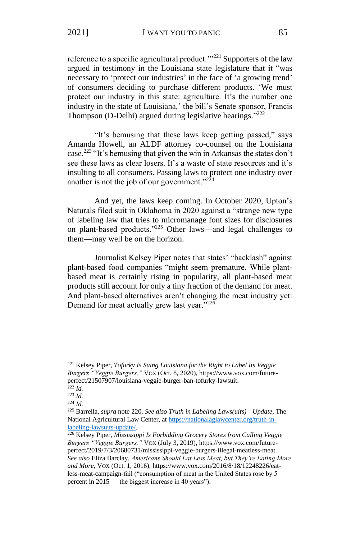reference to a specific agricultural product. $1^{221}$  Supporters of the law argued in testimony in the Louisiana state legislature that it "was necessary to 'protect our industries' in the face of 'a growing trend' of consumers deciding to purchase different products. 'We must protect our industry in this state: agriculture. It's the number one industry in the state of Louisiana,' the bill's Senate sponsor, Francis Thompson (D-Delhi) argued during legislative hearings."<sup>222</sup>

"It's bemusing that these laws keep getting passed," says Amanda Howell, an ALDF attorney co-counsel on the Louisiana case.<sup>223</sup> "It's bemusing that given the win in Arkansas the states don't see these laws as clear losers. It's a waste of state resources and it's insulting to all consumers. Passing laws to protect one industry over another is not the job of our government."<sup>224</sup>

And yet, the laws keep coming. In October 2020, Upton's Naturals filed suit in Oklahoma in 2020 against a "strange new type of labeling law that tries to micromanage font sizes for disclosures on plant-based products."<sup>225</sup> Other laws—and legal challenges to them—may well be on the horizon.

Journalist Kelsey Piper notes that states' "backlash" against plant-based food companies "might seem premature. While plantbased meat is certainly rising in popularity, all plant-based meat products still account for only a tiny fraction of the demand for meat. And plant-based alternatives aren't changing the meat industry yet: Demand for meat actually grew last year."<sup>226</sup>

<sup>221</sup> Kelsey Piper, *Tofurky Is Suing Louisiana for the Right to Label Its Veggie Burgers "Veggie Burgers,"* VOX (Oct. 8, 2020), https://www.vox.com/futureperfect/21507907/louisiana-veggie-burger-ban-tofurky-lawsuit.

 $^{222}$  *Id.* <sup>223</sup> *Id.*

<sup>224</sup> *Id.*

<sup>225</sup> Barrella, *supra* note 220. *See also Truth in Labeling Laws(uits)—Update*, The National Agricultural Law Center, at [https://nationalaglawcenter.org/truth-in](https://nationalaglawcenter.org/truth-in-labeling-lawsuits-update/)[labeling-lawsuits-update/.](https://nationalaglawcenter.org/truth-in-labeling-lawsuits-update/)

<sup>226</sup> Kelsey Piper, *Mississippi Is Forbidding Grocery Stores from Calling Veggie Burgers "Veggie Burgers,"* VOX (July 3, 2019), https://www.vox.com/futureperfect/2019/7/3/20680731/mississippi-veggie-burgers-illegal-meatless-meat. *See also* Eliza Barclay, *Americans Should Eat Less Meat, but They're Eating More and More*, VOX (Oct. 1, 2016), https://www.vox.com/2016/8/18/12248226/eatless-meat-campaign-fail ("consumption of meat in the United States rose by 5 percent in 2015 — the biggest increase in 40 years").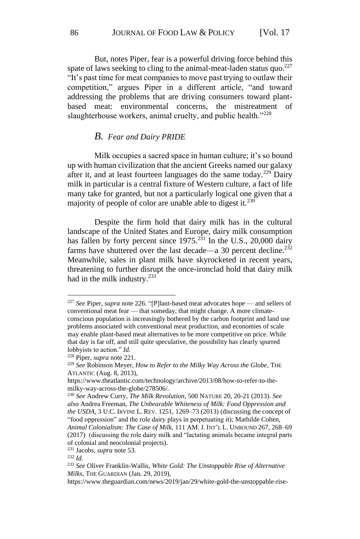But, notes Piper, fear is a powerful driving force behind this spate of laws seeking to cling to the animal-meat-laden status quo. $^{227}$ "It's past time for meat companies to move past trying to outlaw their competition," argues Piper in a different article, "and toward addressing the problems that are driving consumers toward plantbased meat: environmental concerns, the mistreatment of slaughterhouse workers, animal cruelty, and public health."<sup>228</sup>

### *B. Fear and Dairy PRIDE*

Milk occupies a sacred space in human culture; it's so bound up with human civilization that the ancient Greeks named our galaxy after it, and at least fourteen languages do the same today.<sup>229</sup> Dairy milk in particular is a central fixture of Western culture, a fact of life many take for granted, but not a particularly logical one given that a majority of people of color are unable able to digest it.<sup>230</sup>

Despite the firm hold that dairy milk has in the cultural landscape of the United States and Europe, dairy milk consumption has fallen by forty percent since  $1975$ .<sup>231</sup> In the U.S., 20,000 dairy farms have shuttered over the last decade—a 30 percent decline.<sup>232</sup> Meanwhile, sales in plant milk have skyrocketed in recent years, threatening to further disrupt the once-ironclad hold that dairy milk had in the milk industry.<sup>233</sup>

<sup>227</sup> *See* Piper, *supra* note 226. "[P]lant-based meat advocates hope — and sellers of conventional meat fear — that someday, that might change. A more climateconscious population is increasingly bothered by the carbon footprint and land use problems associated with conventional meat production, and economies of scale may enable plant-based meat alternatives to be more competitive on price. While that day is far off, and still quite speculative, the possibility has clearly spurred lobbyists to action." *Id.*

<sup>228</sup> Piper, *supra* note 221.

<sup>229</sup> *See* Robinson Meyer, *How to Refer to the Milky Way Across the Globe*, THE ATLANTIC (Aug. 8, 2013),

https://www.theatlantic.com/technology/archive/2013/08/how-to-refer-to-themilky-way-across-the-globe/278506/.

<sup>230</sup> *See* Andrew Curry, *The Milk Revolution*, 500 NATURE 20, 20-21 (2013). *See also* Andrea Freeman, *The Unbearable Whiteness of Milk: Food Oppression and the USDA*, 3 U.C. IRVINE L. REV. 1251, 1269–73 (2013) (discussing the concept of "food oppression" and the role dairy plays in perpetuating it); Mathilde Cohen, *Animal Colonialism: The Case of Milk*, 111 AM. J. INT'L L. UNBOUND 267, 268–69 (2017) (discussing the role dairy milk and "lactating animals became integral parts of colonial and neocolonial projects).

<sup>231</sup> Jacobs, *supra* note 53.

<sup>232</sup> *Id.*

<sup>233</sup> *See* Oliver Franklin-Wallis, *White Gold: The Unstoppable Rise of Alternative Milks,* THE GUARDIAN (Jan. 29, 2019),

https://www.theguardian.com/news/2019/jan/29/white-gold-the-unstoppable-rise-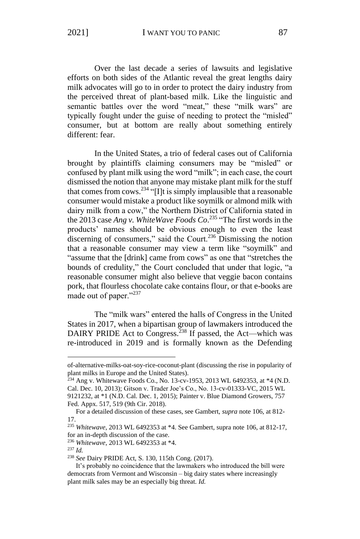Over the last decade a series of lawsuits and legislative efforts on both sides of the Atlantic reveal the great lengths dairy milk advocates will go to in order to protect the dairy industry from the perceived threat of plant-based milk. Like the linguistic and semantic battles over the word "meat," these "milk wars" are typically fought under the guise of needing to protect the "misled" consumer, but at bottom are really about something entirely different: fear.

In the United States, a trio of federal cases out of California brought by plaintiffs claiming consumers may be "misled" or confused by plant milk using the word "milk"; in each case, the court dismissed the notion that anyone may mistake plant milk for the stuff that comes from cows.<sup>234</sup> "[I]t is simply implausible that a reasonable consumer would mistake a product like soymilk or almond milk with dairy milk from a cow," the Northern District of California stated in the 2013 case *Ang v. WhiteWave Foods Co*. <sup>235</sup> "The first words in the products' names should be obvious enough to even the least discerning of consumers," said the Court.<sup>236</sup> Dismissing the notion that a reasonable consumer may view a term like "soymilk" and "assume that the [drink] came from cows" as one that "stretches the bounds of credulity," the Court concluded that under that logic, "a reasonable consumer might also believe that veggie bacon contains pork, that flourless chocolate cake contains flour, or that e-books are made out of paper."<sup>237</sup>

The "milk wars" entered the halls of Congress in the United States in 2017, when a bipartisan group of lawmakers introduced the DAIRY PRIDE Act to Congress.<sup>238</sup> If passed, the Act—which was re-introduced in 2019 and is formally known as the Defending

of-alternative-milks-oat-soy-rice-coconut-plant (discussing the rise in popularity of plant milks in Europe and the United States).

<sup>234</sup> Ang v. Whitewave Foods Co., No. 13-cv-1953, 2013 WL 6492353, at \*4 (N.D. Cal. Dec. 10, 2013); Gitson v. Trader Joe's Co., No. 13-cv-01333-VC, 2015 WL 9121232, at \*1 (N.D. Cal. Dec. 1, 2015); Painter v. Blue Diamond Growers, 757 Fed. Appx. 517, 519 (9th Cir. 2018).

For a detailed discussion of these cases, see Gambert, *supra* note 106, at 812- 17.

<sup>235</sup> *Whitewave*, 2013 WL 6492353 at \*4. See Gambert, supra note 106, at 812-17, for an in-depth discussion of the case.

<sup>236</sup> *Whitewave,* 2013 WL 6492353 at \*4.

<sup>237</sup> *Id.*

<sup>238</sup> *See* Dairy PRIDE Act, S. 130, 115th Cong. (2017).

It's probably no coincidence that the lawmakers who introduced the bill were democrats from Vermont and Wisconsin – big dairy states where increasingly plant milk sales may be an especially big threat. *Id.*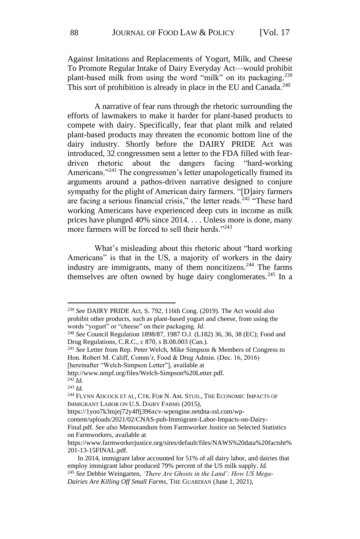Against Imitations and Replacements of Yogurt, Milk, and Cheese To Promote Regular Intake of Dairy Everyday Act—would prohibit plant-based milk from using the word "milk" on its packaging.<sup>239</sup> This sort of prohibition is already in place in the EU and Canada.<sup>240</sup>

A narrative of fear runs through the rhetoric surrounding the efforts of lawmakers to make it harder for plant-based products to compete with dairy. Specifically, fear that plant milk and related plant-based products may threaten the economic bottom line of the dairy industry. Shortly before the DAIRY PRIDE Act was introduced, 32 congressmen sent a letter to the FDA filled with feardriven rhetoric about the dangers facing "hard-working Americans."<sup>241</sup> The congressmen's letter unapologetically framed its arguments around a pathos-driven narrative designed to conjure sympathy for the plight of American dairy farmers. "[D]airy farmers are facing a serious financial crisis," the letter reads.<sup>242</sup> "These hard working Americans have experienced deep cuts in income as milk prices have plunged 40% since 2014. . . . Unless more is done, many more farmers will be forced to sell their herds."<sup>243</sup>

What's misleading about this rhetoric about "hard working Americans" is that in the US, a majority of workers in the dairy industry are immigrants, many of them noncitizens.<sup>244</sup> The farms themselves are often owned by huge dairy conglomerates.<sup>245</sup> In a

<sup>239</sup> *See* DAIRY PRIDE Act, S. 792, 116th Cong. (2019). The Act would also prohibit other products, such as plant-based yogurt and cheese, from using the words "yogurt" or "cheese" on their packaging. *Id.*

<sup>240</sup> *See* Council Regulation 1898/87, 1987 O.J. (L182) 36, 36, 38 (EC); Food and Drug Regulations, C.R.C., c 870, s B.08.003 (Can.).

<sup>241</sup> *See* Letter from Rep. Peter Welch, Mike Simpson & Members of Congress to Hon. Robert M. Califf, Comm'r, Food & Drug Admin. (Dec. 16, 2016) [hereinafter "Welch-Simpson Letter"], available at

http://www.nmpf.org/files/Welch-Simpson%20Letter.pdf.

 $^{242}$ *Id.* 

<sup>243</sup> *Id.*

<sup>&</sup>lt;sup>244</sup> FLYNN ADCOCK ET AL, CTR. FOR N. AM. STUD., THE ECONOMIC IMPACTS OF IMMIGRANT LABOR ON U.S. DAIRY FARMS (2015),

https://1yoo7k3mjej72y4ffj396xcv-wpengine.netdna-ssl.com/wp-

content/uploads/2021/02/CNAS-pub-Immigrant-Labor-Impacts-on-Dairy-

Final.pdf. *See also* Memorandum from Farmworker Justice on Selected Statistics on Farmworkers, available at

https://www.farmworkerjustice.org/sites/default/files/NAWS%20data%20factsht% 201-13-15FINAL.pdf.

In 2014, immigrant labor accounted for 51% of all dairy labor, and dairies that employ immigrant labor produced 79% percent of the US milk supply. *Id.* <sup>245</sup> *See* Debbie Weingarten, *'There Are Ghosts in the Land': How US Mega-Dairies Are Killing Off Small Farms*, THE GUARDIAN (June 1, 2021),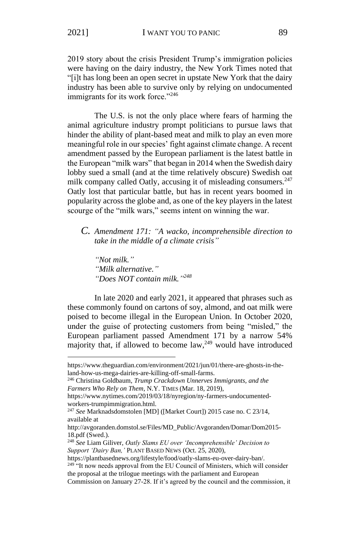2019 story about the crisis President Trump's immigration policies were having on the dairy industry, the New York Times noted that "[i]t has long been an open secret in upstate New York that the dairy industry has been able to survive only by relying on undocumented immigrants for its work force."<sup>246</sup>

The U.S. is not the only place where fears of harming the animal agriculture industry prompt politicians to pursue laws that hinder the ability of plant-based meat and milk to play an even more meaningful role in our species' fight against climate change. A recent amendment passed by the European parliament is the latest battle in the European "milk wars" that began in 2014 when the Swedish dairy lobby sued a small (and at the time relatively obscure) Swedish oat milk company called Oatly, accusing it of misleading consumers.<sup>247</sup> Oatly lost that particular battle, but has in recent years boomed in popularity across the globe and, as one of the key players in the latest scourge of the "milk wars," seems intent on winning the war.

## *C. Amendment 171: "A wacko, incomprehensible direction to take in the middle of a climate crisis"*

*"Not milk." "Milk alternative." "Does NOT contain milk." 248*

In late 2020 and early 2021, it appeared that phrases such as these commonly found on cartons of soy, almond, and oat milk were poised to become illegal in the European Union. In October 2020, under the guise of protecting customers from being "misled," the European parliament passed Amendment 171 by a narrow 54% majority that, if allowed to become  $law<sub>1</sub><sup>249</sup>$  would have introduced

https://www.theguardian.com/environment/2021/jun/01/there-are-ghosts-in-theland-how-us-mega-dairies-are-killing-off-small-farms.

<sup>246</sup> Christina Goldbaum, *Trump Crackdown Unnerves Immigrants, and the Farmers Who Rely on Them*, N.Y. TIMES (Mar. 18, 2019),

https://www.nytimes.com/2019/03/18/nyregion/ny-farmers-undocumentedworkers-trumpimmigration.html.

<sup>247</sup> *See* Marknadsdomstolen [MD] ([Market Court]) 2015 case no. C 23/14, available at

http://avgoranden.domstol.se/Files/MD\_Public/Avgoranden/Domar/Dom2015- 18.pdf (Swed.).

<sup>248</sup> *See* Liam Giliver, *Oatly Slams EU over 'Incomprehensible' Decision to Support 'Dairy Ban,'* PLANT BASED NEWS (Oct. 25, 2020),

https://plantbasednews.org/lifestyle/food/oatly-slams-eu-over-dairy-ban/.

<sup>&</sup>lt;sup>249 "</sup>It now needs approval from the EU Council of Ministers, which will consider the proposal at the trilogue meetings with the parliament and European

Commission on January 27-28. If it's agreed by the council and the commission, it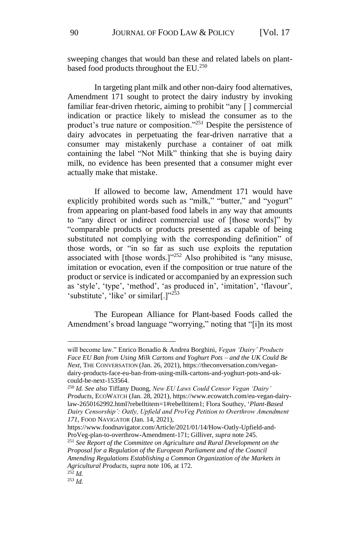sweeping changes that would ban these and related labels on plantbased food products throughout the EU.<sup>250</sup>

In targeting plant milk and other non-dairy food alternatives, Amendment 171 sought to protect the dairy industry by invoking familiar fear-driven rhetoric, aiming to prohibit "any [ ] commercial indication or practice likely to mislead the consumer as to the product's true nature or composition."<sup>251</sup> Despite the persistence of dairy advocates in perpetuating the fear-driven narrative that a consumer may mistakenly purchase a container of oat milk containing the label "Not Milk" thinking that she is buying dairy milk, no evidence has been presented that a consumer might ever actually make that mistake.

If allowed to become law, Amendment 171 would have explicitly prohibited words such as "milk," "butter," and "yogurt" from appearing on plant-based food labels in any way that amounts to "any direct or indirect commercial use of [those words]" by "comparable products or products presented as capable of being substituted not complying with the corresponding definition" of those words, or "in so far as such use exploits the reputation associated with [those words.]"<sup>252</sup> Also prohibited is "any misuse, imitation or evocation, even if the composition or true nature of the product or service is indicated or accompanied by an expression such as 'style', 'type', 'method', 'as produced in', 'imitation', 'flavour', 'substitute', 'like' or similar[.]"<sup>253</sup>

The European Alliance for Plant-based Foods called the Amendment's broad language "worrying," noting that "[i]n its most

will become law." Enrico Bonadio & Andrea Borghini, *Vegan 'Dairy' Products Face EU Ban from Using Milk Cartons and Yoghurt Pots – and the UK Could Be Next*, THE CONVERSATION (Jan. 26, 2021), https://theconversation.com/vegandairy-products-face-eu-ban-from-using-milk-cartons-and-yoghurt-pots-and-ukcould-be-next-153564.

<sup>250</sup> *Id. See also* Tiffany Duong, *New EU Laws Could Censor Vegan 'Dairy' Products*, ECOWATCH (Jan. 28, 2021), https://www.ecowatch.com/eu-vegan-dairylaw-2650162992.html?rebelltitem=1#rebelltitem1; Flora Southey, '*Plant-Based Dairy Censorship': Oatly, Upfield and ProVeg Petition to Overthrow Amendment 171*, FOOD NAVIGATOR (Jan. 14, 2021),

https://www.foodnavigator.com/Article/2021/01/14/How-Oatly-Upfield-and-ProVeg-plan-to-overthrow-Amendment-171; Gilliver, *supra* note 245.

<sup>251</sup> *See Report of the Committee on Agriculture and Rural Development on the Proposal for a Regulation of the European Parliament and of the Council Amending Regulations Establishing a Common Organization of the Markets in Agricultural Products*, *supra* note 106, at 172.

 $^{252}$  *Id.* <sup>253</sup> *Id.*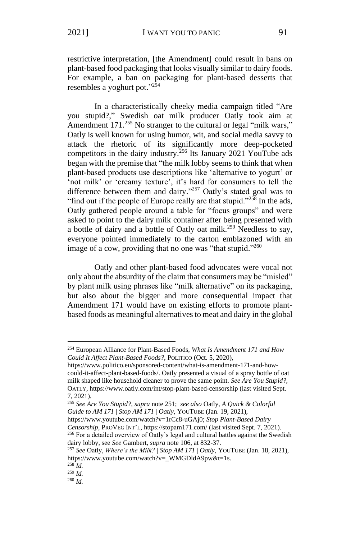restrictive interpretation, [the Amendment] could result in bans on plant-based food packaging that looks visually similar to dairy foods. For example, a ban on packaging for plant-based desserts that resembles a yoghurt pot."<sup>254</sup>

In a characteristically cheeky media campaign titled "Are you stupid?," Swedish oat milk producer Oatly took aim at Amendment 171.<sup>255</sup> No stranger to the cultural or legal "milk wars," Oatly is well known for using humor, wit, and social media savvy to attack the rhetoric of its significantly more deep-pocketed competitors in the dairy industry.<sup>256</sup> Its January 2021 YouTube ads began with the premise that "the milk lobby seems to think that when plant-based products use descriptions like 'alternative to yogurt' or 'not milk' or 'creamy texture', it's hard for consumers to tell the difference between them and dairy."<sup>257</sup> Oatly's stated goal was to "find out if the people of Europe really are that stupid."<sup>258</sup> In the ads, Oatly gathered people around a table for "focus groups" and were asked to point to the dairy milk container after being presented with a bottle of dairy and a bottle of Oatly oat milk.<sup>259</sup> Needless to say, everyone pointed immediately to the carton emblazoned with an image of a cow, providing that no one was "that stupid."<sup>260</sup>

Oatly and other plant-based food advocates were vocal not only about the absurdity of the claim that consumers may be "misled" by plant milk using phrases like "milk alternative" on its packaging, but also about the bigger and more consequential impact that Amendment 171 would have on existing efforts to promote plantbased foods as meaningful alternatives to meat and dairy in the global

https://www.youtube.com/watch?v=1rCc8-uGAj0; *Stop Plant-Based Dairy* 

*Censorship*, PROVEG INT'L,<https://stopam171.com/> (last visited Sept. 7, 2021). <sup>256</sup> For a detailed overview of Oatly's legal and cultural battles against the Swedish dairy lobby, see *See* Gambert, *supra* note 106, at 832-37.

<sup>254</sup> European Alliance for Plant-Based Foods, *What Is Amendment 171 and How Could It Affect Plant-Based Foods?*, POLITICO (Oct. 5, 2020),

https://www.politico.eu/sponsored-content/what-is-amendment-171-and-howcould-it-affect-plant-based-foods/. Oatly presented a visual of a spray bottle of oat milk shaped like household cleaner to prove the same point. *See Are You Stupid?*, OATLY, https://www.oatly.com/int/stop-plant-based-censorship (last visited Sept. 7, 2021).

<sup>255</sup> *See Are You Stupid?*, *supra* note 251; *see also* Oatly, *A Quick & Colorful Guide to AM 171* | *Stop AM 171* | *Oatly*, YOUTUBE (Jan. 19, 2021),

<sup>257</sup> *See* Oatly, *Where's the Milk?* | *Stop AM 171* | *Oatly*, YOUTUBE (Jan. 18, 2021), https://www.youtube.com/watch?v=\_WMGDldA9pw&t=1s.

<sup>258</sup> *Id.*

<sup>259</sup> *Id.*

<sup>260</sup> *Id.*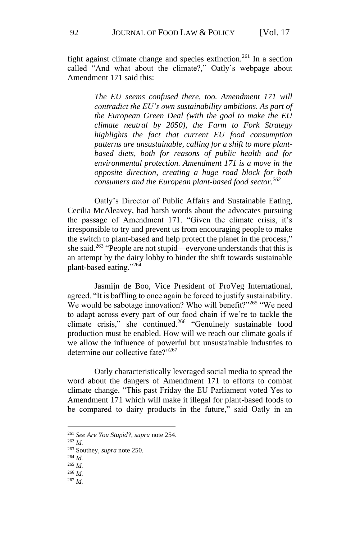fight against climate change and species extinction.<sup>261</sup> In a section called "And what about the climate?," Oatly's webpage about Amendment 171 said this:

> *The EU seems confused there, too. Amendment 171 will contradict the EU's own sustainability ambitions. As part of the European Green Deal (with the goal to make the EU climate neutral by 2050), the Farm to Fork Strategy highlights the fact that current EU food consumption patterns are unsustainable, calling for a shift to more plantbased diets, both for reasons of public health and for environmental protection. Amendment 171 is a move in the opposite direction, creating a huge road block for both consumers and the European plant-based food sector.<sup>262</sup>*

Oatly's Director of Public Affairs and Sustainable Eating, Cecilia McAleavey, had harsh words about the advocates pursuing the passage of Amendment 171. "Given the climate crisis, it's irresponsible to try and prevent us from encouraging people to make the switch to plant-based and help protect the planet in the process," she said.<sup>263</sup> "People are not stupid—everyone understands that this is an attempt by the dairy lobby to hinder the shift towards sustainable plant-based eating."<sup>264</sup>

Jasmijn de Boo, Vice President of ProVeg International, agreed. "It is baffling to once again be forced to justify sustainability. We would be sabotage innovation? Who will benefit?"<sup>265</sup> "We need to adapt across every part of our food chain if we're to tackle the climate crisis," she continued. $266$  "Genuinely sustainable food production must be enabled. How will we reach our climate goals if we allow the influence of powerful but unsustainable industries to determine our collective fate?"267

Oatly characteristically leveraged social media to spread the word about the dangers of Amendment 171 to efforts to combat climate change. "This past Friday the EU Parliament voted Yes to Amendment 171 which will make it illegal for plant-based foods to be compared to dairy products in the future," said Oatly in an

<sup>261</sup> *See Are You Stupid?*, *supra* note 254.

<sup>262</sup> *Id.*

<sup>263</sup> Southey, *supra* note 250.

<sup>264</sup> *Id.*

<sup>265</sup> *Id.* <sup>266</sup> *Id.*

<sup>267</sup> *Id.*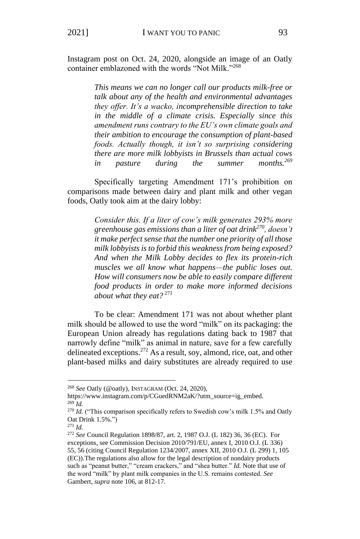Instagram post on Oct. 24, 2020, alongside an image of an Oatly container emblazoned with the words "Not Milk."<sup>268</sup>

> *This means we can no longer call our products milk-free or talk about any of the health and environmental advantages they offer. It's a wacko, incomprehensible direction to take in the middle of a climate crisis. Especially since this amendment runs contrary to the EU's own climate goals and their ambition to encourage the consumption of plant-based foods. Actually though, it isn't so surprising considering there are more milk lobbyists in Brussels than actual cows in pasture during the summer months.<sup>269</sup>*

Specifically targeting Amendment 171's prohibition on comparisons made between dairy and plant milk and other vegan foods, Oatly took aim at the dairy lobby:

> *Consider this. If a liter of cow's milk generates 293% more greenhouse gas emissions than a liter of oat drink<sup>270</sup>, doesn't it make perfect sense that the number one priority of all those milk lobbyists is to forbid this weakness from being exposed? And when the Milk Lobby decides to flex its protein-rich muscles we all know what happens—the public loses out. How will consumers now be able to easily compare different food products in order to make more informed decisions about what they eat?* <sup>271</sup>

To be clear: Amendment 171 was not about whether plant milk should be allowed to use the word "milk" on its packaging: the European Union already has regulations dating back to 1987 that narrowly define "milk" as animal in nature, save for a few carefully delineated exceptions.<sup>272</sup> As a result, soy, almond, rice, oat, and other plant-based milks and dairy substitutes are already required to use

<sup>268</sup> *See* Oatly (@oatly), INSTAGRAM (Oct. 24, 2020),

https://www.instagram.com/p/CGuedRNM2aK/?utm\_source=ig\_embed. <sup>269</sup> *Id.*

<sup>270</sup> *Id.* ("This comparison specifically refers to Swedish cow's milk 1.5% and Oatly Oat Drink 1.5%.")

<sup>271</sup> *Id.*

<sup>272</sup> *See* Council Regulation 1898/87, art. 2, 1987 O.J. (L 182) 36, 36 (EC). For exceptions, see Commission Decision 2010/791/EU, annex I, 2010 O.J. (L 336) 55, 56 (citing Council Regulation 1234/2007, annex XII, 2010 O.J. (L 299) 1, 105 (EC)).The regulations also allow for the legal description of nondairy products such as "peanut butter," "cream crackers," and "shea butter." *Id.* Note that use of the word "milk" by plant milk companies in the U.S. remains contested. *See*  Gambert, *supra* note 106, at 812-17.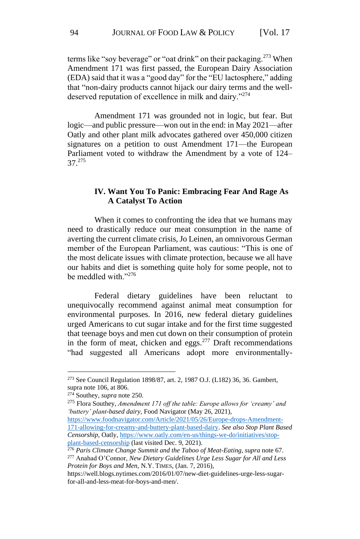terms like "soy beverage" or "oat drink" on their packaging.<sup>273</sup> When Amendment 171 was first passed, the European Dairy Association (EDA) said that it was a "good day" for the "EU lactosphere," adding that "non-dairy products cannot hijack our dairy terms and the welldeserved reputation of excellence in milk and dairy."<sup>274</sup>

Amendment 171 was grounded not in logic, but fear. But logic—and public pressure—won out in the end: in May 2021—after Oatly and other plant milk advocates gathered over 450,000 citizen signatures on a petition to oust Amendment 171—the European Parliament voted to withdraw the Amendment by a vote of 124– 37.<sup>275</sup>

## **IV. Want You To Panic: Embracing Fear And Rage As A Catalyst To Action**

When it comes to confronting the idea that we humans may need to drastically reduce our meat consumption in the name of averting the current climate crisis, Jo Leinen, an omnivorous German member of the European Parliament, was cautious: "This is one of the most delicate issues with climate protection, because we all have our habits and diet is something quite holy for some people, not to be meddled with."<sup>276</sup>

Federal dietary guidelines have been reluctant to unequivocally recommend against animal meat consumption for environmental purposes. In 2016, new federal dietary guidelines urged Americans to cut sugar intake and for the first time suggested that teenage boys and men cut down on their consumption of protein in the form of meat, chicken and eggs. $277$  Draft recommendations "had suggested all Americans adopt more environmentally-

<sup>273</sup> See Council Regulation 1898/87, art. 2, 1987 O.J. (L182) 36, 36. Gambert, supra note 106, at 806.

<sup>274</sup> Southey, *supra* note 250.

<sup>275</sup> Flora Southey, *Amendment 171 off the table: Europe allows for 'creamy' and 'buttery' plant-based dairy*, Food Navigator (May 26, 2021),

[https://www.foodnavigator.com/Article/2021/05/26/Europe-drops-Amendment-](https://www.foodnavigator.com/Article/2021/05/26/Europe-drops-Amendment-171-allowing-for-creamy-and-buttery-plant-based-dairy)[171-allowing-for-creamy-and-buttery-plant-based-dairy.](https://www.foodnavigator.com/Article/2021/05/26/Europe-drops-Amendment-171-allowing-for-creamy-and-buttery-plant-based-dairy) *See also Stop Plant Based Censorship*, Oatly, [https://www.oatly.com/en-us/things-we-do/initiatives/stop](https://www.oatly.com/en-us/things-we-do/initiatives/stop-plant-based-censorship)[plant-based-censorship](https://www.oatly.com/en-us/things-we-do/initiatives/stop-plant-based-censorship) (last visited Dec. 9, 2021).

<sup>276</sup> *Paris Climate Change Summit and the Taboo of Meat-Eating*, *supra* note 67. <sup>277</sup> Anahad O'Connor, *New Dietary Guidelines Urge Less Sugar for All and Less Protein for Boys and Men,* N.Y. TIMES, (Jan. 7, 2016),

https://well.blogs.nytimes.com/2016/01/07/new-diet-guidelines-urge-less-sugarfor-all-and-less-meat-for-boys-and-men/.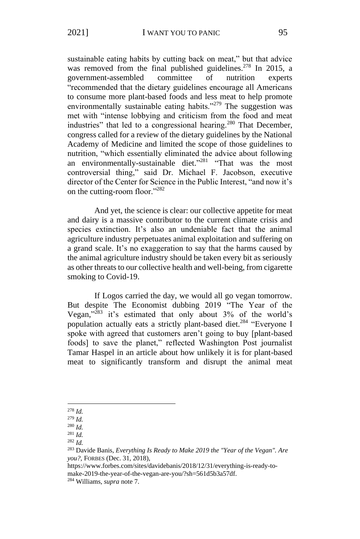sustainable eating habits by cutting back on meat," but that advice was removed from the final published guidelines.<sup>278</sup> In 2015, a government-assembled committee of nutrition experts "recommended that the dietary guidelines encourage all Americans to consume more plant-based foods and less meat to help promote environmentally sustainable eating habits."<sup>279</sup> The suggestion was met with "intense lobbying and criticism from the food and meat industries" that led to a congressional hearing.<sup>280</sup> That December, congress called for a review of the dietary guidelines by the National Academy of Medicine and limited the scope of those guidelines to nutrition, "which essentially eliminated the advice about following an environmentally-sustainable diet."<sup>281</sup> "That was the most controversial thing," said Dr. Michael F. Jacobson, executive director of the Center for Science in the Public Interest, "and now it's on the cutting-room floor."<sup>282</sup>

And yet, the science is clear: our collective appetite for meat and dairy is a massive contributor to the current climate crisis and species extinction. It's also an undeniable fact that the animal agriculture industry perpetuates animal exploitation and suffering on a grand scale. It's no exaggeration to say that the harms caused by the animal agriculture industry should be taken every bit as seriously as other threats to our collective health and well-being, from cigarette smoking to Covid-19.

If Logos carried the day, we would all go vegan tomorrow. But despite The Economist dubbing 2019 "The Year of the Vegan," <sup>283</sup> it's estimated that only about 3% of the world's population actually eats a strictly plant-based diet.<sup>284</sup> "Everyone I spoke with agreed that customers aren't going to buy [plant-based foods] to save the planet," reflected Washington Post journalist Tamar Haspel in an article about how unlikely it is for plant-based meat to significantly transform and disrupt the animal meat

<sup>278</sup> *Id.*

<sup>279</sup> *Id.*

<sup>280</sup> *Id.*

<sup>281</sup> *Id.* <sup>282</sup> *Id.*

<sup>283</sup> Davide Banis, *Everything Is Ready to Make 2019 the "Year of the Vegan". Are you?,* FORBES (Dec. 31, 2018),

https://www.forbes.com/sites/davidebanis/2018/12/31/everything-is-ready-tomake-2019-the-year-of-the-vegan-are-you/?sh=561d5b3a57df. <sup>284</sup> Williams, *supra* note 7.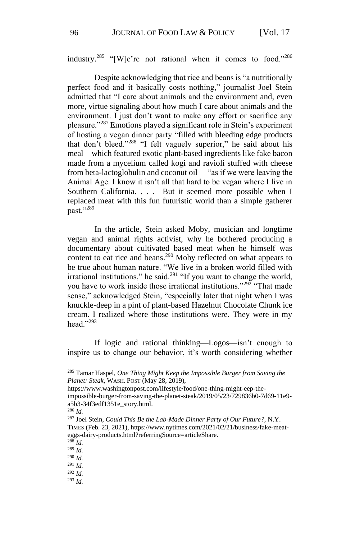industry.<sup>285</sup> "[W]e're not rational when it comes to food."<sup>286</sup>

Despite acknowledging that rice and beans is "a nutritionally perfect food and it basically costs nothing," journalist Joel Stein admitted that "I care about animals and the environment and, even more, virtue signaling about how much I care about animals and the environment. I just don't want to make any effort or sacrifice any pleasure."<sup>287</sup> Emotions played a significant role in Stein's experiment of hosting a vegan dinner party "filled with bleeding edge products that don't bleed."<sup>288</sup> "I felt vaguely superior," he said about his meal—which featured exotic plant-based ingredients like fake bacon made from a mycelium called kogi and ravioli stuffed with cheese from beta-lactoglobulin and coconut oil— "as if we were leaving the Animal Age. I know it isn't all that hard to be vegan where I live in Southern California. . . . But it seemed more possible when I replaced meat with this fun futuristic world than a simple gatherer past."<sup>289</sup>

In the article, Stein asked Moby, musician and longtime vegan and animal rights activist, why he bothered producing a documentary about cultivated based meat when he himself was content to eat rice and beans.<sup>290</sup> Moby reflected on what appears to be true about human nature. "We live in a broken world filled with irrational institutions," he said. $291$  "If you want to change the world, you have to work inside those irrational institutions."<sup>292</sup> "That made sense," acknowledged Stein, "especially later that night when I was knuckle-deep in a pint of plant-based Hazelnut Chocolate Chunk ice cream. I realized where those institutions were. They were in my head." $^{293}$ 

If logic and rational thinking—Logos—isn't enough to inspire us to change our behavior, it's worth considering whether

<sup>285</sup> Tamar Haspel, *One Thing Might Keep the Impossible Burger from Saving the Planet: Steak*, WASH. POST (May 28, 2019),

https://www.washingtonpost.com/lifestyle/food/one-thing-might-eep-the-

impossible-burger-from-saving-the-planet-steak/2019/05/23/729836b0-7d69-11e9 a5b3-34f3edf1351e\_story.html.

<sup>286</sup> *Id.*

<sup>287</sup> Joel Stein, *Could This Be the Lab-Made Dinner Party of Our Future?*, N.Y. TIMES (Feb. 23, 2021), https://www.nytimes.com/2021/02/21/business/fake-meateggs-dairy-products.html?referringSource=articleShare.

<sup>288</sup> *Id.*

<sup>289</sup> *Id.*

<sup>290</sup> *Id.*

<sup>291</sup> *Id.*

<sup>292</sup> *Id.*

<sup>293</sup> *Id.*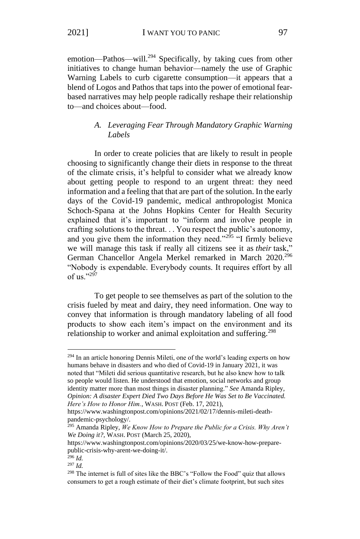emotion—Pathos—will.<sup>294</sup> Specifically, by taking cues from other initiatives to change human behavior—namely the use of Graphic Warning Labels to curb cigarette consumption—it appears that a blend of Logos and Pathos that taps into the power of emotional fearbased narratives may help people radically reshape their relationship to—and choices about—food.

# *A. Leveraging Fear Through Mandatory Graphic Warning Labels*

In order to create policies that are likely to result in people choosing to significantly change their diets in response to the threat of the climate crisis, it's helpful to consider what we already know about getting people to respond to an urgent threat: they need information and a feeling that that are part of the solution. In the early days of the Covid-19 pandemic, medical anthropologist Monica Schoch-Spana at the Johns Hopkins Center for Health Security explained that it's important to "inform and involve people in crafting solutions to the threat. . . You respect the public's autonomy, and you give them the information they need."<sup>295</sup> "I firmly believe we will manage this task if really all citizens see it as *their* task," German Chancellor Angela Merkel remarked in March 2020.<sup>296</sup> "Nobody is expendable. Everybody counts. It requires effort by all of us." $297$ 

To get people to see themselves as part of the solution to the crisis fueled by meat and dairy, they need information. One way to convey that information is through mandatory labeling of all food products to show each item's impact on the environment and its relationship to worker and animal exploitation and suffering.<sup>298</sup>

<sup>294</sup> In an article honoring Dennis Mileti, one of the world's leading experts on how humans behave in disasters and who died of Covid-19 in January 2021, it was noted that "Mileti did serious quantitative research, but he also knew how to talk so people would listen. He understood that emotion, social networks and group identity matter more than most things in disaster planning." *See* Amanda Ripley, *Opinion: A disaster Expert Died Two Days Before He Was Set to Be Vaccinated. Here's How to Honor Him.*, WASH. POST (Feb. 17, 2021),

https://www.washingtonpost.com/opinions/2021/02/17/dennis-mileti-deathpandemic-psychology/.

<sup>295</sup> Amanda Ripley, *We Know How to Prepare the Public for a Crisis. Why Aren't We Doing it?*, WASH. POST (March 25, 2020),

https://www.washingtonpost.com/opinions/2020/03/25/we-know-how-preparepublic-crisis-why-arent-we-doing-it/.

 $296$  *Id.* 

<sup>297</sup> *Id.*

<sup>298</sup> The internet is full of sites like the BBC's "Follow the Food" quiz that allows consumers to get a rough estimate of their diet's climate footprint, but such sites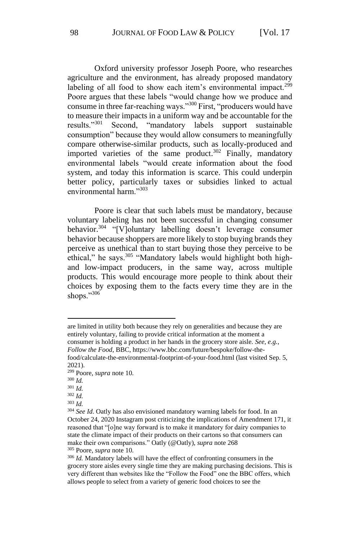Oxford university professor Joseph Poore, who researches agriculture and the environment, has already proposed mandatory labeling of all food to show each item's environmental impact.<sup>299</sup> Poore argues that these labels "would change how we produce and consume in three far-reaching ways."<sup>300</sup> First, "producers would have to measure their impacts in a uniform way and be accountable for the results."<sup>301</sup> Second, "mandatory labels support sustainable consumption" because they would allow consumers to meaningfully compare otherwise-similar products, such as locally-produced and imported varieties of the same product.<sup>302</sup> Finally, mandatory environmental labels "would create information about the food system, and today this information is scarce. This could underpin better policy, particularly taxes or subsidies linked to actual environmental harm."<sup>303</sup>

Poore is clear that such labels must be mandatory, because voluntary labeling has not been successful in changing consumer behavior.<sup>304</sup> "[V]oluntary labelling doesn't leverage consumer behavior because shoppers are more likely to stop buying brands they perceive as unethical than to start buying those they perceive to be ethical," he says. $305$  "Mandatory labels would highlight both highand low-impact producers, in the same way, across multiple products. This would encourage more people to think about their choices by exposing them to the facts every time they are in the shops."306

are limited in utility both because they rely on generalities and because they are entirely voluntary, failing to provide critical information at the moment a consumer is holding a product in her hands in the grocery store aisle. *See, e.g.*, *Follow the Food*, BBC, https://www.bbc.com/future/bespoke/follow-thefood/calculate-the-environmental-footprint-of-your-food.html (last visited Sep. 5,

2021).

<sup>302</sup> *Id.*

<sup>299</sup> Poore, *supra* note 10.

<sup>300</sup> *Id.*

<sup>301</sup> *Id.*

<sup>303</sup> *Id.*

<sup>&</sup>lt;sup>304</sup> See Id. Oatly has also envisioned mandatory warning labels for food. In an October 24, 2020 Instagram post criticizing the implications of Amendment 171, it reasoned that "[o]ne way forward is to make it mandatory for dairy companies to state the climate impact of their products on their cartons so that consumers can make their own comparisons." Oatly (@Oatly), *supra* note 268 <sup>305</sup> Poore, *supra* note 10.

<sup>306</sup> *Id.* Mandatory labels will have the effect of confronting consumers in the grocery store aisles every single time they are making purchasing decisions. This is very different than websites like the "Follow the Food" one the BBC offers, which allows people to select from a variety of generic food choices to see the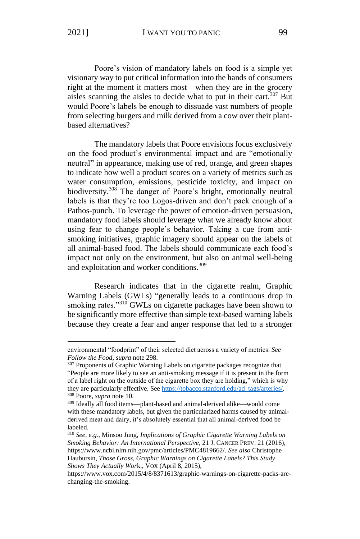Poore's vision of mandatory labels on food is a simple yet visionary way to put critical information into the hands of consumers right at the moment it matters most—when they are in the grocery aisles scanning the aisles to decide what to put in their cart.<sup>307</sup> But would Poore's labels be enough to dissuade vast numbers of people from selecting burgers and milk derived from a cow over their plantbased alternatives?

The mandatory labels that Poore envisions focus exclusively on the food product's environmental impact and are "emotionally neutral" in appearance, making use of red, orange, and green shapes to indicate how well a product scores on a variety of metrics such as water consumption, emissions, pesticide toxicity, and impact on biodiversity.<sup>308</sup> The danger of Poore's bright, emotionally neutral labels is that they're too Logos-driven and don't pack enough of a Pathos-punch. To leverage the power of emotion-driven persuasion, mandatory food labels should leverage what we already know about using fear to change people's behavior. Taking a cue from antismoking initiatives, graphic imagery should appear on the labels of all animal-based food. The labels should communicate each food's impact not only on the environment, but also on animal well-being and exploitation and worker conditions. 309

Research indicates that in the cigarette realm, Graphic Warning Labels (GWLs) "generally leads to a continuous drop in smoking rates."<sup>310</sup> GWLs on cigarette packages have been shown to be significantly more effective than simple text-based warning labels because they create a fear and anger response that led to a stronger

environmental "foodprint" of their selected diet across a variety of metrics. *See Follow the Food*, *supra* note 298.

<sup>&</sup>lt;sup>307</sup> Proponents of Graphic Warning Labels on cigarette packages recognize that "People are more likely to see an anti-smoking message if it is present in the form of a label right on the outside of the cigarette box they are holding," which is why they are particularly effective. See https://tobacco.stanford.edu/ad\_tags/arteries/. <sup>308</sup> Poore, *supra* note 10.

<sup>309</sup> Ideally all food items—plant-based and animal-derived alike—would come with these mandatory labels, but given the particularized harms caused by animalderived meat and dairy, it's absolutely essential that all animal-derived food be labeled.

<sup>310</sup> *See, e.g.*, Minsoo Jung, *Implications of Graphic Cigarette Warning Labels on Smoking Behavior: An International Perspective*, 21 J. CANCER PREV. 21 (2016), https://www.ncbi.nlm.nih.gov/pmc/articles/PMC4819662/. *See also* Christophe Haubursin, *Those Gross, Graphic Warnings on Cigarette Labels? This Study Shows They Actually Wor*k., VOX (April 8, 2015),

https://www.vox.com/2015/4/8/8371613/graphic-warnings-on-cigarette-packs-arechanging-the-smoking.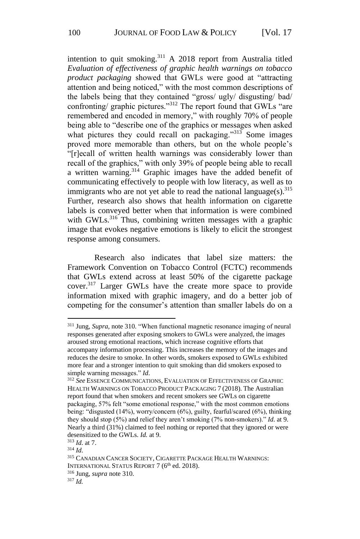intention to quit smoking.<sup>311</sup> A 2018 report from Australia titled *Evaluation of effectiveness of graphic health warnings on tobacco product packaging* showed that GWLs were good at "attracting attention and being noticed," with the most common descriptions of the labels being that they contained "gross/ ugly/ disgusting/ bad/ confronting/ graphic pictures."<sup>312</sup> The report found that GWLs "are remembered and encoded in memory," with roughly 70% of people being able to "describe one of the graphics or messages when asked what pictures they could recall on packaging."<sup>313</sup> Some images proved more memorable than others, but on the whole people's "[r]ecall of written health warnings was considerably lower than recall of the graphics," with only 39% of people being able to recall a written warning.<sup>314</sup> Graphic images have the added benefit of communicating effectively to people with low literacy, as well as to immigrants who are not yet able to read the national language $(s)$ .<sup>315</sup> Further, research also shows that health information on cigarette labels is conveyed better when that information is were combined with GWLs.<sup>316</sup> Thus, combining written messages with a graphic image that evokes negative emotions is likely to elicit the strongest response among consumers.

Research also indicates that label size matters: the Framework Convention on Tobacco Control (FCTC) recommends that GWLs extend across at least 50% of the cigarette package cover.<sup>317</sup> Larger GWLs have the create more space to provide information mixed with graphic imagery, and do a better job of competing for the consumer's attention than smaller labels do on a

<sup>311</sup> Jung, *Supra*, note 310. "When functional magnetic resonance imaging of neural responses generated after exposing smokers to GWLs were analyzed, the images aroused strong emotional reactions, which increase cognitive efforts that accompany information processing. This increases the memory of the images and reduces the desire to smoke. In other words, smokers exposed to GWLs exhibited more fear and a stronger intention to quit smoking than did smokers exposed to simple warning messages." *Id*.

<sup>312</sup> *See* ESSENCE COMMUNICATIONS, EVALUATION OF EFFECTIVENESS OF GRAPHIC HEALTH WARNINGS ON TOBACCO PRODUCT PACKAGING 7 (2018). The Australian report found that when smokers and recent smokers see GWLs on cigarette packaging, 57% felt "some emotional response," with the most common emotions being: "disgusted (14%), worry/concern (6%), guilty, fearful/scared (6%), thinking they should stop (5%) and relief they aren't smoking (7% non-smokers)." *Id*. at 9. Nearly a third (31%) claimed to feel nothing or reported that they ignored or were desensitized to the GWLs. *Id.* at 9.

<sup>313</sup> *Id*. at 7.

<sup>314</sup> *Id*.

<sup>315</sup> CANADIAN CANCER SOCIETY, CIGARETTE PACKAGE HEALTH WARNINGS: INTERNATIONAL STATUS REPORT 7 (6<sup>th</sup> ed. 2018).

<sup>316</sup> Jung, *supra* note 310.

<sup>317</sup> *Id.*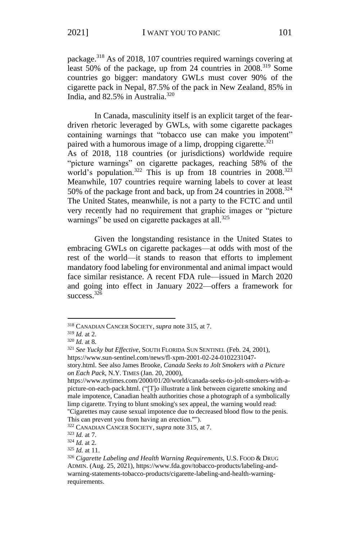package.<sup>318</sup> As of 2018, 107 countries required warnings covering at least 50% of the package, up from 24 countries in  $2008$ .<sup>319</sup> Some countries go bigger: mandatory GWLs must cover 90% of the cigarette pack in Nepal, 87.5% of the pack in New Zealand, 85% in India, and  $82.5\%$  in Australia.<sup>320</sup>

In Canada, masculinity itself is an explicit target of the feardriven rhetoric leveraged by GWLs, with some cigarette packages containing warnings that "tobacco use can make you impotent" paired with a humorous image of a limp, dropping cigarette.<sup>321</sup> As of 2018, 118 countries (or jurisdictions) worldwide require "picture warnings" on cigarette packages, reaching 58% of the world's population.<sup>322</sup> This is up from 18 countries in 2008.<sup>323</sup> Meanwhile, 107 countries require warning labels to cover at least 50% of the package front and back, up from 24 countries in 2008.<sup>324</sup> The United States, meanwhile, is not a party to the FCTC and until very recently had no requirement that graphic images or "picture warnings" be used on cigarette packages at all. $325$ 

Given the longstanding resistance in the United States to embracing GWLs on cigarette packages—at odds with most of the rest of the world—it stands to reason that efforts to implement mandatory food labeling for environmental and animal impact would face similar resistance. A recent FDA rule—issued in March 2020 and going into effect in January 2022—offers a framework for success. $326$ 

<sup>322</sup> CANADIAN CANCER SOCIETY, *supra* note 315, at 7.

<sup>318</sup> CANADIAN CANCER SOCIETY, *supra* note 315, at 7.

<sup>319</sup> *Id.* at 2.

<sup>320</sup> *Id.* at 8.

<sup>321</sup> *See Yucky but Effective*, SOUTH FLORIDA SUN SENTINEL (Feb. 24, 2001),

https://www.sun-sentinel.com/news/fl-xpm-2001-02-24-0102231047-

story.html. See also James Brooke, *Canada Seeks to Jolt Smokers with a Picture on Each Pack*, N.Y. TIMES (Jan. 20, 2000),

https://www.nytimes.com/2000/01/20/world/canada-seeks-to-jolt-smokers-with-apicture-on-each-pack.html. ("[T]o illustrate a link between cigarette smoking and male impotence, Canadian health authorities chose a photograph of a symbolically limp cigarette. Trying to blunt smoking's sex appeal, the warning would read: ''Cigarettes may cause sexual impotence due to decreased blood flow to the penis. This can prevent you from having an erection.''").

<sup>323</sup> *Id.* at 7.

<sup>324</sup> *Id.* at 2.

<sup>325</sup> *Id.* at 11.

<sup>&</sup>lt;sup>326</sup> Cigarette Labeling and Health Warning Requirements, U.S. FOOD & DRUG ADMIN. (Aug. 25, 2021), https://www.fda.gov/tobacco-products/labeling-andwarning-statements-tobacco-products/cigarette-labeling-and-health-warningrequirements.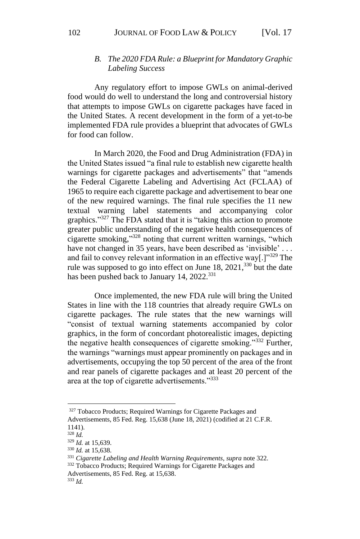## *B. The 2020 FDA Rule: a Blueprint for Mandatory Graphic Labeling Success*

Any regulatory effort to impose GWLs on animal-derived food would do well to understand the long and controversial history that attempts to impose GWLs on cigarette packages have faced in the United States. A recent development in the form of a yet-to-be implemented FDA rule provides a blueprint that advocates of GWLs for food can follow.

In March 2020, the Food and Drug Administration (FDA) in the United States issued "a final rule to establish new cigarette health warnings for cigarette packages and advertisements" that "amends the Federal Cigarette Labeling and Advertising Act (FCLAA) of 1965 to require each cigarette package and advertisement to bear one of the new required warnings. The final rule specifies the 11 new textual warning label statements and accompanying color graphics."<sup>327</sup> The FDA stated that it is "taking this action to promote greater public understanding of the negative health consequences of cigarette smoking," <sup>328</sup> noting that current written warnings, "which have not changed in 35 years, have been described as 'invisible' ... and fail to convey relevant information in an effective way.  $\mathbb{I}^{\cdot329}$  The rule was supposed to go into effect on June  $18$ ,  $2021$ ,  $330$  but the date has been pushed back to January 14, 2022.<sup>331</sup>

Once implemented, the new FDA rule will bring the United States in line with the 118 countries that already require GWLs on cigarette packages. The rule states that the new warnings will "consist of textual warning statements accompanied by color graphics, in the form of concordant photorealistic images, depicting the negative health consequences of cigarette smoking."<sup>332</sup> Further, the warnings "warnings must appear prominently on packages and in advertisements, occupying the top 50 percent of the area of the front and rear panels of cigarette packages and at least 20 percent of the area at the top of cigarette advertisements."<sup>333</sup>

<sup>&</sup>lt;sup>327</sup> Tobacco Products; Required Warnings for Cigarette Packages and Advertisements, 85 Fed. Reg. 15,638 (June 18, 2021) (codified at 21 C.F.R. 1141).

<sup>328</sup> *Id.*

<sup>329</sup> *Id.* at 15,639.

<sup>330</sup> *Id.* at 15,638.

<sup>331</sup> *Cigarette Labeling and Health Warning Requirements*, *supra* note 322.

<sup>332</sup> Tobacco Products; Required Warnings for Cigarette Packages and

Advertisements, 85 Fed. Reg. at 15,638.

<sup>333</sup> *Id.*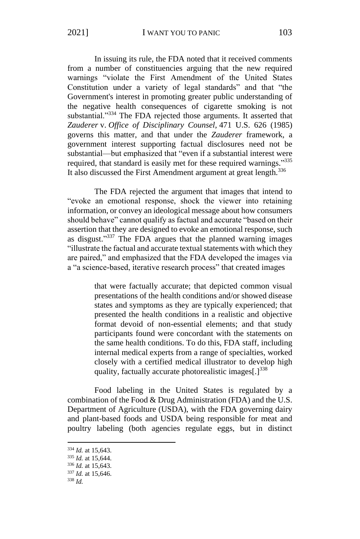In issuing its rule, the FDA noted that it received comments from a number of constituencies arguing that the new required warnings "violate the First Amendment of the United States Constitution under a variety of legal standards" and that "the Government's interest in promoting greater public understanding of the negative health consequences of cigarette smoking is not substantial."<sup>334</sup> The FDA rejected those arguments. It asserted that *Zauderer* v. *Office of Disciplinary Counsel,* 471 U.S. 626 (1985) governs this matter, and that under the *Zauderer* framework, a government interest supporting factual disclosures need not be substantial—but emphasized that "even if a substantial interest were required, that standard is easily met for these required warnings."335 It also discussed the First Amendment argument at great length.<sup>336</sup>

The FDA rejected the argument that images that intend to "evoke an emotional response, shock the viewer into retaining information, or convey an ideological message about how consumers should behave" cannot qualify as factual and accurate "based on their assertion that they are designed to evoke an emotional response, such as disgust."<sup>337</sup> The FDA argues that the planned warning images "illustrate the factual and accurate textual statements with which they are paired," and emphasized that the FDA developed the images via a "a science-based, iterative research process" that created images

> that were factually accurate; that depicted common visual presentations of the health conditions and/or showed disease states and symptoms as they are typically experienced; that presented the health conditions in a realistic and objective format devoid of non-essential elements; and that study participants found were concordant with the statements on the same health conditions. To do this, FDA staff, including internal medical experts from a range of specialties, worked closely with a certified medical illustrator to develop high quality, factually accurate photorealistic images[.]<sup>338</sup>

Food labeling in the United States is regulated by a combination of the Food & Drug Administration (FDA) and the U.S. Department of Agriculture (USDA), with the FDA governing dairy and plant-based foods and USDA being responsible for meat and poultry labeling (both agencies regulate eggs, but in distinct

<sup>334</sup> *Id.* at 15,643.

<sup>335</sup> *Id.* at 15,644.

<sup>336</sup> *Id.* at 15,643.

<sup>337</sup> *Id.* at 15,646.

<sup>338</sup> *Id.*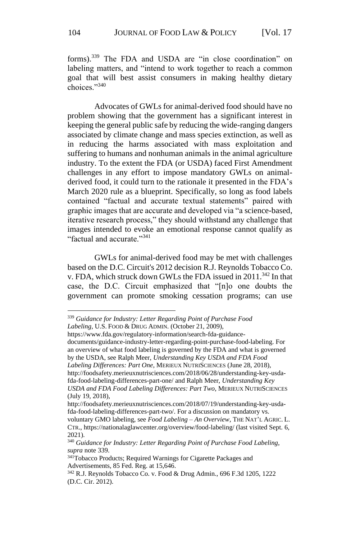forms).<sup>339</sup> The FDA and USDA are "in close coordination" on labeling matters, and "intend to work together to reach a common goal that will best assist consumers in making healthy dietary choices."340

Advocates of GWLs for animal-derived food should have no problem showing that the government has a significant interest in keeping the general public safe by reducing the wide-ranging dangers associated by climate change and mass species extinction, as well as in reducing the harms associated with mass exploitation and suffering to humans and nonhuman animals in the animal agriculture industry. To the extent the FDA (or USDA) faced First Amendment challenges in any effort to impose mandatory GWLs on animalderived food, it could turn to the rationale it presented in the FDA's March 2020 rule as a blueprint. Specifically, so long as food labels contained "factual and accurate textual statements" paired with graphic images that are accurate and developed via "a science-based, iterative research process," they should withstand any challenge that images intended to evoke an emotional response cannot qualify as "factual and accurate."341

GWLs for animal-derived food may be met with challenges based on the D.C. Circuit's 2012 decision R.J. Reynolds Tobacco Co. v. FDA, which struck down GWLs the FDA issued in 2011.<sup>342</sup> In that case, the D.C. Circuit emphasized that "[n]o one doubts the government can promote smoking cessation programs; can use

http://foodsafety.merieuxnutrisciences.com/2018/06/28/understanding-key-usdafda-food-labeling-differences-part-one/ and Ralph Meer, *Understanding Key USDA and FDA Food Labeling Differences: Part Two*, MERIEUX NUTRISCIENCES

<sup>339</sup> *Guidance for Industry: Letter Regarding Point of Purchase Food Labeling*, U.S. FOOD & DRUG ADMIN. (October 21, 2009),

https://www.fda.gov/regulatory-information/search-fda-guidance-

documents/guidance-industry-letter-regarding-point-purchase-food-labeling. For an overview of what food labeling is governed by the FDA and what is governed by the USDA, see Ralph Meer, *Understanding Key USDA and FDA Food Labeling Differences: Part One*, MERIEUX NUTRISCIENCES (June 28, 2018),

<sup>(</sup>July 19, 2018), http://foodsafety.merieuxnutrisciences.com/2018/07/19/understanding-key-usdafda-food-labeling-differences-part-two/. For a discussion on mandatory vs.

voluntary GMO labeling, see *Food Labeling – An Overview*, THE NAT'L AGRIC. L. CTR., https://nationalaglawcenter.org/overview/food-labeling/ (last visited Sept. 6, 2021).

<sup>340</sup> *Guidance for Industry: Letter Regarding Point of Purchase Food Labeling*, *supra* note 339.

<sup>341</sup>Tobacco Products; Required Warnings for Cigarette Packages and Advertisements, 85 Fed. Reg. at 15,646.

<sup>342</sup> R.J. Reynolds Tobacco Co. v. Food & Drug Admin., 696 F.3d 1205, 1222 (D.C. Cir. 2012).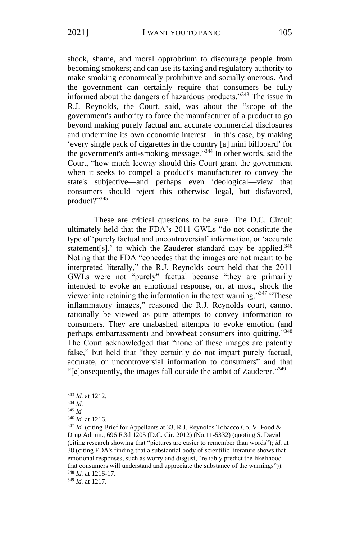shock, shame, and moral opprobrium to discourage people from becoming smokers; and can use its taxing and regulatory authority to make smoking economically prohibitive and socially onerous. And the government can certainly require that consumers be fully informed about the dangers of hazardous products."<sup>343</sup> The issue in R.J. Reynolds, the Court, said, was about the "scope of the government's authority to force the manufacturer of a product to go beyond making purely factual and accurate commercial disclosures and undermine its own economic interest—in this case, by making 'every single pack of cigarettes in the country [a] mini billboard' for the government's anti-smoking message."<sup>344</sup> In other words, said the Court, "how much leeway should this Court grant the government when it seeks to compel a product's manufacturer to convey the state's subjective—and perhaps even ideological—view that consumers should reject this otherwise legal, but disfavored, product?"<sup>345</sup>

These are critical questions to be sure. The D.C. Circuit ultimately held that the FDA's 2011 GWLs "do not constitute the type of 'purely factual and uncontroversial' information, or 'accurate statement[s],' to which the Zauderer standard may be applied. $346$ Noting that the FDA "concedes that the images are not meant to be interpreted literally," the R.J. Reynolds court held that the 2011 GWLs were not "purely" factual because "they are primarily intended to evoke an emotional response, or, at most, shock the viewer into retaining the information in the text warning."<sup>347</sup> "These inflammatory images," reasoned the R.J. Reynolds court, cannot rationally be viewed as pure attempts to convey information to consumers. They are unabashed attempts to evoke emotion (and perhaps embarrassment) and browbeat consumers into quitting."<sup>348</sup> The Court acknowledged that "none of these images are patently false," but held that "they certainly do not impart purely factual, accurate, or uncontroversial information to consumers" and that "[c]onsequently, the images fall outside the ambit of Zauderer."<sup>349</sup>

<sup>349</sup> *Id.* at 1217.

<sup>343</sup> *Id.* at 1212.

<sup>344</sup> *Id.*

<sup>345</sup> *Id*

<sup>346</sup> *Id.* at 1216.

<sup>&</sup>lt;sup>347</sup> Id. (citing Brief for Appellants at 33, R.J. Reynolds Tobacco Co. V. Food & Drug Admin., 696 F.3d 1205 (D.C. Cir. 2012) (No.11-5332) (quoting S. David (citing research showing that "pictures are easier to remember than words"); *id.* at 38 (citing FDA's finding that a substantial body of scientific literature shows that emotional responses, such as worry and disgust, "reliably predict the likelihood that consumers will understand and appreciate the substance of the warnings")). <sup>348</sup> *Id.* at 1216-17.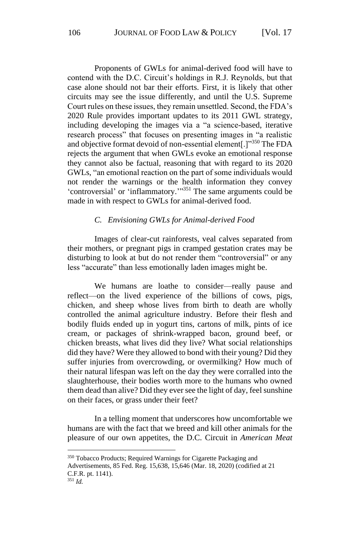Proponents of GWLs for animal-derived food will have to contend with the D.C. Circuit's holdings in R.J. Reynolds, but that case alone should not bar their efforts. First, it is likely that other circuits may see the issue differently, and until the U.S. Supreme Court rules on these issues, they remain unsettled. Second, the FDA's 2020 Rule provides important updates to its 2011 GWL strategy, including developing the images via a "a science-based, iterative research process" that focuses on presenting images in "a realistic and objective format devoid of non-essential element[.]"<sup>350</sup> The FDA rejects the argument that when GWLs evoke an emotional response they cannot also be factual, reasoning that with regard to its 2020 GWLs, "an emotional reaction on the part of some individuals would not render the warnings or the health information they convey 'controversial' or 'inflammatory.'" <sup>351</sup> The same arguments could be made in with respect to GWLs for animal-derived food.

#### *C. Envisioning GWLs for Animal-derived Food*

Images of clear-cut rainforests, veal calves separated from their mothers, or pregnant pigs in cramped gestation crates may be disturbing to look at but do not render them "controversial" or any less "accurate" than less emotionally laden images might be.

We humans are loathe to consider—really pause and reflect—on the lived experience of the billions of cows, pigs, chicken, and sheep whose lives from birth to death are wholly controlled the animal agriculture industry. Before their flesh and bodily fluids ended up in yogurt tins, cartons of milk, pints of ice cream, or packages of shrink-wrapped bacon, ground beef, or chicken breasts, what lives did they live? What social relationships did they have? Were they allowed to bond with their young? Did they suffer injuries from overcrowding, or overmilking? How much of their natural lifespan was left on the day they were corralled into the slaughterhouse, their bodies worth more to the humans who owned them dead than alive? Did they ever see the light of day, feel sunshine on their faces, or grass under their feet?

In a telling moment that underscores how uncomfortable we humans are with the fact that we breed and kill other animals for the pleasure of our own appetites, the D.C. Circuit in *American Meat* 

<sup>350</sup> Tobacco Products; Required Warnings for Cigarette Packaging and Advertisements, 85 Fed. Reg. 15,638, 15,646 (Mar. 18, 2020) (codified at 21 C.F.R. pt. 1141). <sup>351</sup> *Id.*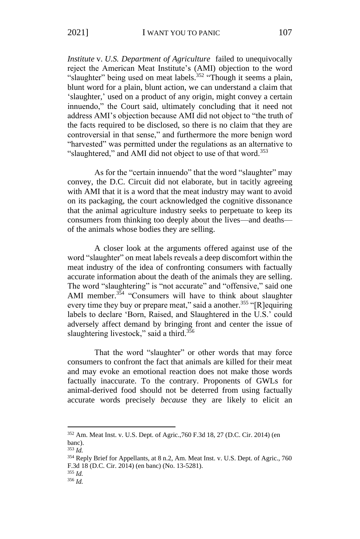*Institute* v. *U.S. Department of Agriculture* failed to unequivocally reject the American Meat Institute's (AMI) objection to the word "slaughter" being used on meat labels.<sup>352</sup> "Though it seems a plain, blunt word for a plain, blunt action, we can understand a claim that 'slaughter,' used on a product of any origin, might convey a certain innuendo," the Court said, ultimately concluding that it need not address AMI's objection because AMI did not object to "the truth of the facts required to be disclosed, so there is no claim that they are controversial in that sense," and furthermore the more benign word "harvested" was permitted under the regulations as an alternative to "slaughtered," and AMI did not object to use of that word.<sup>353</sup>

As for the "certain innuendo" that the word "slaughter" may convey, the D.C. Circuit did not elaborate, but in tacitly agreeing with AMI that it is a word that the meat industry may want to avoid on its packaging, the court acknowledged the cognitive dissonance that the animal agriculture industry seeks to perpetuate to keep its consumers from thinking too deeply about the lives—and deaths of the animals whose bodies they are selling.

A closer look at the arguments offered against use of the word "slaughter" on meat labels reveals a deep discomfort within the meat industry of the idea of confronting consumers with factually accurate information about the death of the animals they are selling. The word "slaughtering" is "not accurate" and "offensive," said one AMI member.<sup>354</sup> "Consumers will have to think about slaughter every time they buy or prepare meat," said a another.<sup>355</sup> "[R]equiring labels to declare 'Born, Raised, and Slaughtered in the U.S.' could adversely affect demand by bringing front and center the issue of slaughtering livestock," said a third. $356$ 

That the word "slaughter" or other words that may force consumers to confront the fact that animals are killed for their meat and may evoke an emotional reaction does not make those words factually inaccurate. To the contrary. Proponents of GWLs for animal-derived food should not be deterred from using factually accurate words precisely *because* they are likely to elicit an

<sup>352</sup> Am. Meat Inst. v. U.S. Dept. of Agric.,760 F.3d 18, 27 (D.C. Cir. 2014) (en banc).

<sup>353</sup> *Id.*

<sup>354</sup> Reply Brief for Appellants, at 8 n.2, Am. Meat Inst. v. U.S. Dept. of Agric., 760 F.3d 18 (D.C. Cir. 2014) (en banc) (No. 13-5281). <sup>355</sup> *Id.*

<sup>356</sup> *Id.*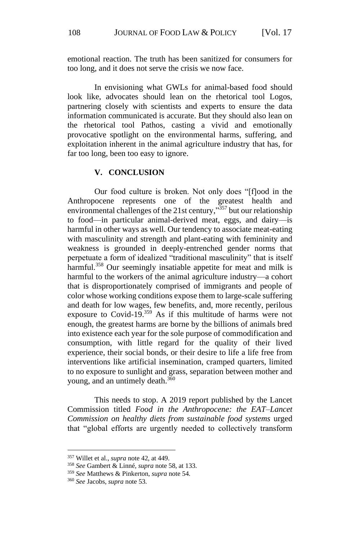emotional reaction. The truth has been sanitized for consumers for too long, and it does not serve the crisis we now face.

In envisioning what GWLs for animal-based food should look like, advocates should lean on the rhetorical tool Logos, partnering closely with scientists and experts to ensure the data information communicated is accurate. But they should also lean on the rhetorical tool Pathos, casting a vivid and emotionally provocative spotlight on the environmental harms, suffering, and exploitation inherent in the animal agriculture industry that has, for far too long, been too easy to ignore.

### **V. CONCLUSION**

Our food culture is broken. Not only does "[f]ood in the Anthropocene represents one of the greatest health and environmental challenges of the 21st century,"<sup>357</sup> but our relationship to food—in particular animal-derived meat, eggs, and dairy—is harmful in other ways as well. Our tendency to associate meat-eating with masculinity and strength and plant-eating with femininity and weakness is grounded in deeply-entrenched gender norms that perpetuate a form of idealized "traditional masculinity" that is itself harmful.<sup>358</sup> Our seemingly insatiable appetite for meat and milk is harmful to the workers of the animal agriculture industry—a cohort that is disproportionately comprised of immigrants and people of color whose working conditions expose them to large-scale suffering and death for low wages, few benefits, and, more recently, perilous exposure to Covid-19.<sup>359</sup> As if this multitude of harms were not enough, the greatest harms are borne by the billions of animals bred into existence each year for the sole purpose of commodification and consumption, with little regard for the quality of their lived experience, their social bonds, or their desire to life a life free from interventions like artificial insemination, cramped quarters, limited to no exposure to sunlight and grass, separation between mother and young, and an untimely death.<sup>360</sup>

This needs to stop. A 2019 report published by the Lancet Commission titled *Food in the Anthropocene: the EAT–Lancet Commission on healthy diets from sustainable food systems* urged that "global efforts are urgently needed to collectively transform

<sup>357</sup> Willet et al., *supra* note 42, at 449.

<sup>358</sup> *See* Gambert & Linné, *supra* note 58, at 133.

<sup>359</sup> *See* Matthews & Pinkerton, *supra* note 54.

<sup>360</sup> *See* Jacobs, *supra* note 53.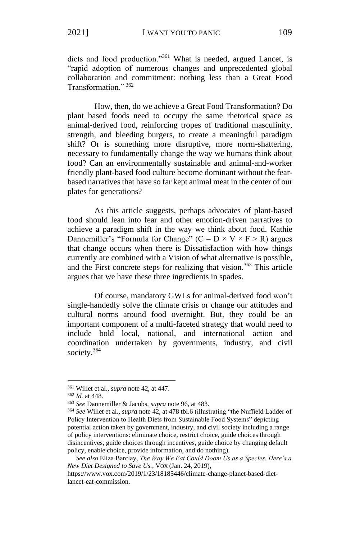diets and food production."<sup>361</sup> What is needed, argued Lancet, is "rapid adoption of numerous changes and unprecedented global collaboration and commitment: nothing less than a Great Food Transformation." <sup>362</sup>

How, then, do we achieve a Great Food Transformation? Do plant based foods need to occupy the same rhetorical space as animal-derived food, reinforcing tropes of traditional masculinity, strength, and bleeding burgers, to create a meaningful paradigm shift? Or is something more disruptive, more norm-shattering, necessary to fundamentally change the way we humans think about food? Can an environmentally sustainable and animal-and-worker friendly plant-based food culture become dominant without the fearbased narratives that have so far kept animal meat in the center of our plates for generations?

As this article suggests, perhaps advocates of plant-based food should lean into fear and other emotion-driven narratives to achieve a paradigm shift in the way we think about food. Kathie Dannemiller's "Formula for Change" (C =  $D \times V \times F > R$ ) argues that change occurs when there is Dissatisfaction with how things currently are combined with a Vision of what alternative is possible, and the First concrete steps for realizing that vision.<sup>363</sup> This article argues that we have these three ingredients in spades.

Of course, mandatory GWLs for animal-derived food won't single-handedly solve the climate crisis or change our attitudes and cultural norms around food overnight. But, they could be an important component of a multi-faceted strategy that would need to include bold local, national, and international action and coordination undertaken by governments, industry, and civil society. 364

<sup>361</sup> Willet et al., *supra* note 42, at 447.

<sup>362</sup> *Id.* at 448.

<sup>363</sup> *See* Dannemiller & Jacobs, *supra* note 96, at 483.

<sup>364</sup> *See* Willet et al., *supra* note 42, at 478 tbl.6 (illustrating "the Nuffield Ladder of Policy Intervention to Health Diets from Sustainable Food Systems" depicting potential action taken by government, industry, and civil society including a range of policy interventions: eliminate choice, restrict choice, guide choices through disincentives, guide choices through incentives, guide choice by changing default policy, enable choice, provide information, and do nothing).

*See also* Eliza Barclay, *The Way We Eat Could Doom Us as a Species. Here's a New Diet Designed to Save Us.*, VOX (Jan. 24, 2019),

https://www.vox.com/2019/1/23/18185446/climate-change-planet-based-dietlancet-eat-commission.